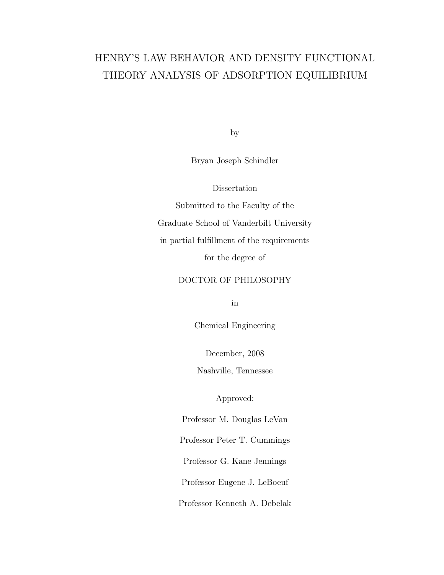# HENRY'S LAW BEHAVIOR AND DENSITY FUNCTIONAL THEORY ANALYSIS OF ADSORPTION EQUILIBRIUM

by

Bryan Joseph Schindler

Dissertation

Submitted to the Faculty of the Graduate School of Vanderbilt University in partial fulfillment of the requirements for the degree of

## DOCTOR OF PHILOSOPHY

in

Chemical Engineering

December, 2008

Nashville, Tennessee

Approved:

Professor M. Douglas LeVan

Professor Peter T. Cummings

Professor G. Kane Jennings

Professor Eugene J. LeBoeuf

Professor Kenneth A. Debelak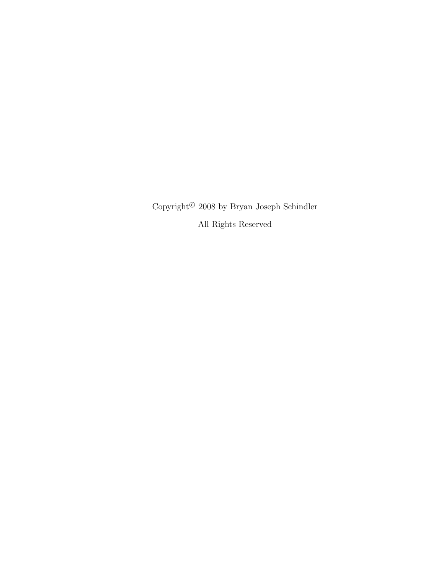Copyright<sup> $©$ </sup> 2008 by Bryan Joseph Schindler All Rights Reserved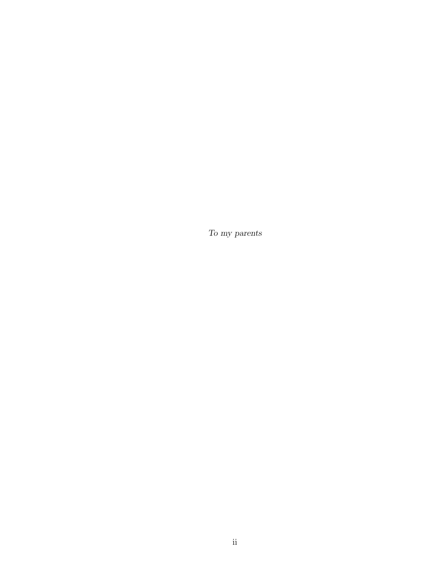To my parents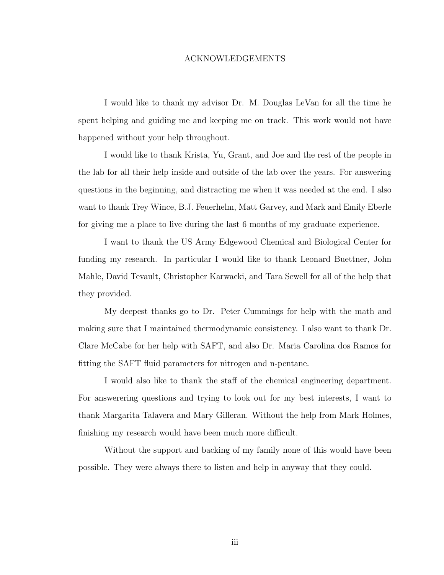#### ACKNOWLEDGEMENTS

I would like to thank my advisor Dr. M. Douglas LeVan for all the time he spent helping and guiding me and keeping me on track. This work would not have happened without your help throughout.

I would like to thank Krista, Yu, Grant, and Joe and the rest of the people in the lab for all their help inside and outside of the lab over the years. For answering questions in the beginning, and distracting me when it was needed at the end. I also want to thank Trey Wince, B.J. Feuerhelm, Matt Garvey, and Mark and Emily Eberle for giving me a place to live during the last 6 months of my graduate experience.

I want to thank the US Army Edgewood Chemical and Biological Center for funding my research. In particular I would like to thank Leonard Buettner, John Mahle, David Tevault, Christopher Karwacki, and Tara Sewell for all of the help that they provided.

My deepest thanks go to Dr. Peter Cummings for help with the math and making sure that I maintained thermodynamic consistency. I also want to thank Dr. Clare McCabe for her help with SAFT, and also Dr. Maria Carolina dos Ramos for fitting the SAFT fluid parameters for nitrogen and n-pentane.

I would also like to thank the staff of the chemical engineering department. For answerering questions and trying to look out for my best interests, I want to thank Margarita Talavera and Mary Gilleran. Without the help from Mark Holmes, finishing my research would have been much more difficult.

Without the support and backing of my family none of this would have been possible. They were always there to listen and help in anyway that they could.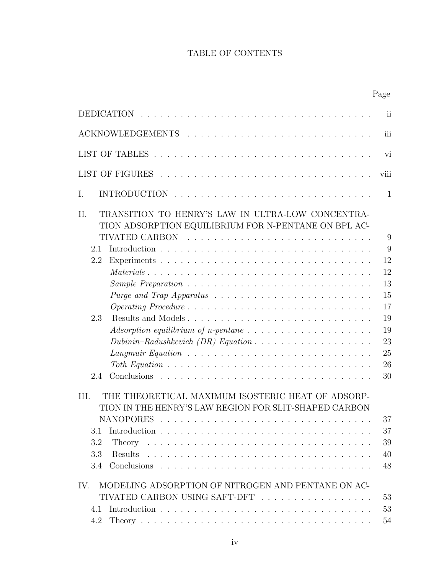# TABLE OF CONTENTS

|                                                                                                                    | Page                    |
|--------------------------------------------------------------------------------------------------------------------|-------------------------|
| <b>DEDICATION</b>                                                                                                  | $\overline{\textbf{i}}$ |
|                                                                                                                    | iii                     |
|                                                                                                                    | vi                      |
|                                                                                                                    | viii                    |
| Ι.                                                                                                                 | $\mathbf{1}$            |
| TRANSITION TO HENRY'S LAW IN ULTRA-LOW CONCENTRA-<br>II.<br>TION ADSORPTION EQUILIBRIUM FOR N-PENTANE ON BPL AC-   |                         |
|                                                                                                                    | 9                       |
| 2.1                                                                                                                | 9                       |
| 2.2                                                                                                                | 12                      |
| $Materials \dots \dots \dots \dots \dots \dots \dots \dots \dots \dots \dots \dots \dots \dots \dots \dots$        | 12                      |
|                                                                                                                    | 13                      |
|                                                                                                                    | 15                      |
|                                                                                                                    | 17                      |
| Results and Models<br>2.3                                                                                          | 19                      |
|                                                                                                                    | 19                      |
| Dubinin-Radushkevich (DR) Equation $\ldots \ldots \ldots \ldots \ldots \ldots$                                     | 23                      |
| Langmuir Equation $\ldots \ldots \ldots \ldots \ldots \ldots \ldots \ldots \ldots \ldots$                          | 25                      |
|                                                                                                                    | 26                      |
| 2.4                                                                                                                | 30                      |
| THE THEORETICAL MAXIMUM ISOSTERIC HEAT OF ADSORP-<br>III.<br>TION IN THE HENRY'S LAW REGION FOR SLIT-SHAPED CARBON | 37                      |
| 3.1                                                                                                                | 37                      |
| 3.2                                                                                                                | 39                      |
| Results<br>3.3                                                                                                     | 40                      |
| 3.4                                                                                                                | 48                      |
| MODELING ADSORPTION OF NITROGEN AND PENTANE ON AC-<br>IV.<br>TIVATED CARBON USING SAFT-DFT                         | 53                      |
| 4.1                                                                                                                | 53                      |
| 4.2                                                                                                                | 54                      |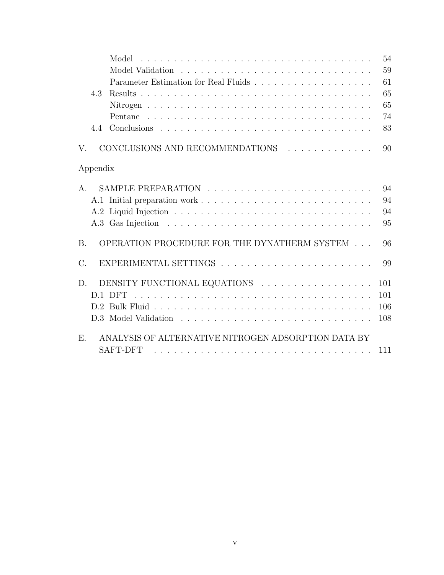| Model                                                                 | 54  |
|-----------------------------------------------------------------------|-----|
|                                                                       | 59  |
|                                                                       | 61  |
| 4.3                                                                   | 65  |
|                                                                       | 65  |
|                                                                       | 74  |
| 4.4                                                                   | 83  |
| CONCLUSIONS AND RECOMMENDATIONS<br>V.                                 | 90  |
| Appendix                                                              |     |
| A.                                                                    | 94  |
|                                                                       | 94  |
|                                                                       | 94  |
|                                                                       | 95  |
| OPERATION PROCEDURE FOR THE DYNATHERM SYSTEM<br><b>B.</b>             | 96  |
| $C$ .                                                                 | 99  |
| DENSITY FUNCTIONAL EQUATIONS<br>D.                                    | 101 |
| D.1 DFT                                                               | 101 |
|                                                                       | 106 |
|                                                                       | 108 |
| ANALYSIS OF ALTERNATIVE NITROGEN ADSORPTION DATA BY<br>E.<br>SAFT-DFT |     |
|                                                                       | 111 |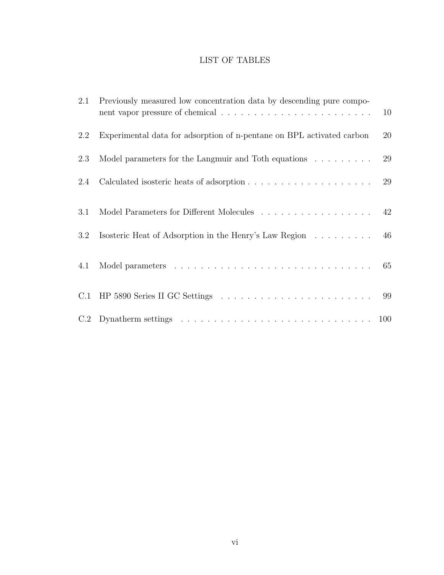# LIST OF TABLES

| 2.1 | Previously measured low concentration data by descending pure compo-                                             | 10 |
|-----|------------------------------------------------------------------------------------------------------------------|----|
| 2.2 | Experimental data for adsorption of n-pentane on BPL activated carbon                                            | 20 |
| 2.3 | Model parameters for the Langmuir and Toth equations                                                             | 29 |
| 2.4 |                                                                                                                  | 29 |
| 3.1 | Model Parameters for Different Molecules $\ldots \ldots \ldots \ldots \ldots$ 42                                 |    |
| 3.2 | Isosteric Heat of Adsorption in the Henry's Law Region 46                                                        |    |
| 4.1 |                                                                                                                  | 65 |
|     |                                                                                                                  | 99 |
|     | C.2 Dynatherm settings $\ldots \ldots \ldots \ldots \ldots \ldots \ldots \ldots \ldots \ldots \ldots \ldots 100$ |    |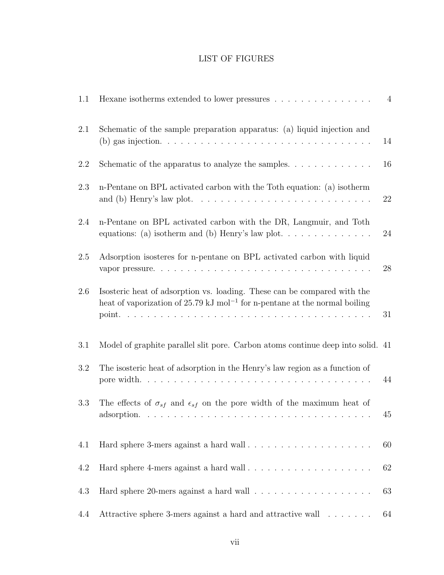# LIST OF FIGURES

| 1.1 | Hexane isotherms extended to lower pressures $\ldots \ldots \ldots \ldots \ldots$                                                                                             | $\overline{4}$ |
|-----|-------------------------------------------------------------------------------------------------------------------------------------------------------------------------------|----------------|
| 2.1 | Schematic of the sample preparation apparatus: (a) liquid injection and                                                                                                       | 14             |
| 2.2 | Schematic of the apparatus to analyze the samples. $\dots \dots \dots \dots$                                                                                                  | 16             |
| 2.3 | n-Pentane on BPL activated carbon with the Toth equation: (a) isotherm<br>and (b) Henry's law plot. $\dots \dots \dots \dots \dots \dots \dots \dots \dots \dots \dots \dots$ | 22             |
| 2.4 | n-Pentane on BPL activated carbon with the DR, Langmuir, and Toth<br>equations: (a) isotherm and (b) Henry's law plot. $\dots \dots \dots \dots$                              | 24             |
| 2.5 | Adsorption isosteres for n-pentane on BPL activated carbon with liquid                                                                                                        | 28             |
| 2.6 | Isosteric heat of adsorption vs. loading. These can be compared with the<br>heat of vaporization of $25.79 \text{ kJ} \text{ mol}^{-1}$ for n-pentane at the normal boiling   | 31             |
| 3.1 | Model of graphite parallel slit pore. Carbon atoms continue deep into solid. 41                                                                                               |                |
| 3.2 | The isosteric heat of adsorption in the Henry's law region as a function of                                                                                                   | 44             |
| 3.3 | The effects of $\sigma_{sf}$ and $\epsilon_{sf}$ on the pore width of the maximum heat of                                                                                     | 45             |
| 4.1 |                                                                                                                                                                               | 60             |
| 4.2 | Hard sphere 4-mers against a hard wall                                                                                                                                        | 62             |
| 4.3 |                                                                                                                                                                               | 63             |
| 4.4 | Attractive sphere 3-mers against a hard and attractive wall                                                                                                                   | 64             |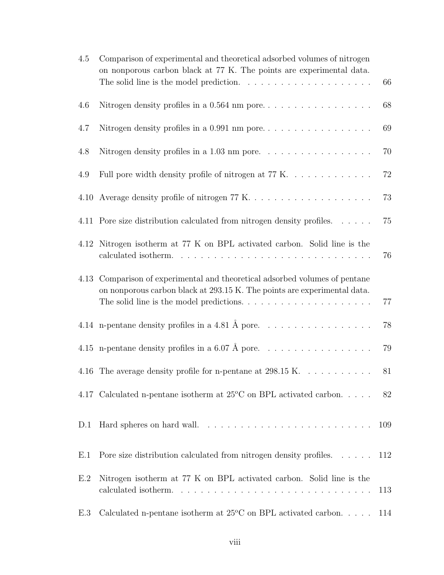| 4.5 | Comparison of experimental and theoretical adsorbed volumes of nitrogen<br>on nonporous carbon black at 77 K. The points are experimental data.<br>The solid line is the model prediction. $\ldots \ldots \ldots \ldots \ldots \ldots$ | 66  |
|-----|----------------------------------------------------------------------------------------------------------------------------------------------------------------------------------------------------------------------------------------|-----|
| 4.6 |                                                                                                                                                                                                                                        | 68  |
| 4.7 |                                                                                                                                                                                                                                        | 69  |
| 4.8 | Nitrogen density profiles in a 1.03 nm pore. $\ldots \ldots \ldots \ldots \ldots$                                                                                                                                                      | 70  |
| 4.9 | Full pore width density profile of nitrogen at $77 K. \ldots \ldots \ldots$                                                                                                                                                            | 72  |
|     |                                                                                                                                                                                                                                        | 73  |
|     | 4.11 Pore size distribution calculated from nitrogen density profiles.                                                                                                                                                                 | 75  |
|     | 4.12 Nitrogen isotherm at 77 K on BPL activated carbon. Solid line is the                                                                                                                                                              | 76  |
|     | 4.13 Comparison of experimental and theoretical adsorbed volumes of pentane<br>on nonporous carbon black at 293.15 K. The points are experimental data.                                                                                | 77  |
|     |                                                                                                                                                                                                                                        | 78  |
|     |                                                                                                                                                                                                                                        | 79  |
|     | 4.16 The average density profile for n-pentane at 298.15 K.                                                                                                                                                                            | 81  |
|     | 4.17 Calculated n-pentane isotherm at $25^{\circ}$ C on BPL activated carbon                                                                                                                                                           | 82  |
| D.1 |                                                                                                                                                                                                                                        | 109 |
| E.1 | Pore size distribution calculated from nitrogen density profiles.                                                                                                                                                                      | 112 |
| E.2 | Nitrogen isotherm at 77 K on BPL activated carbon. Solid line is the                                                                                                                                                                   | 113 |
| E.3 | Calculated n-pentane isotherm at $25^{\circ}$ C on BPL activated carbon 114                                                                                                                                                            |     |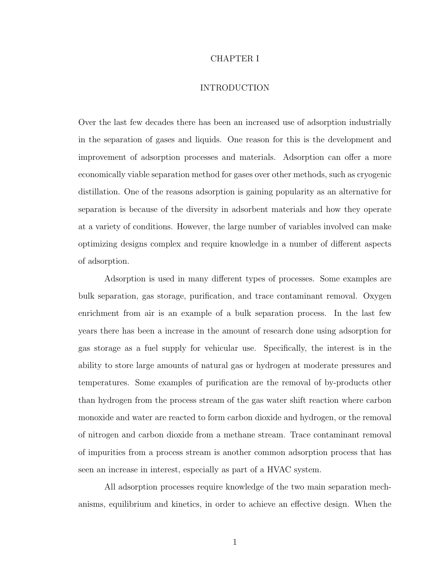### CHAPTER I

# INTRODUCTION

Over the last few decades there has been an increased use of adsorption industrially in the separation of gases and liquids. One reason for this is the development and improvement of adsorption processes and materials. Adsorption can offer a more economically viable separation method for gases over other methods, such as cryogenic distillation. One of the reasons adsorption is gaining popularity as an alternative for separation is because of the diversity in adsorbent materials and how they operate at a variety of conditions. However, the large number of variables involved can make optimizing designs complex and require knowledge in a number of different aspects of adsorption.

Adsorption is used in many different types of processes. Some examples are bulk separation, gas storage, purification, and trace contaminant removal. Oxygen enrichment from air is an example of a bulk separation process. In the last few years there has been a increase in the amount of research done using adsorption for gas storage as a fuel supply for vehicular use. Specifically, the interest is in the ability to store large amounts of natural gas or hydrogen at moderate pressures and temperatures. Some examples of purification are the removal of by-products other than hydrogen from the process stream of the gas water shift reaction where carbon monoxide and water are reacted to form carbon dioxide and hydrogen, or the removal of nitrogen and carbon dioxide from a methane stream. Trace contaminant removal of impurities from a process stream is another common adsorption process that has seen an increase in interest, especially as part of a HVAC system.

All adsorption processes require knowledge of the two main separation mechanisms, equilibrium and kinetics, in order to achieve an effective design. When the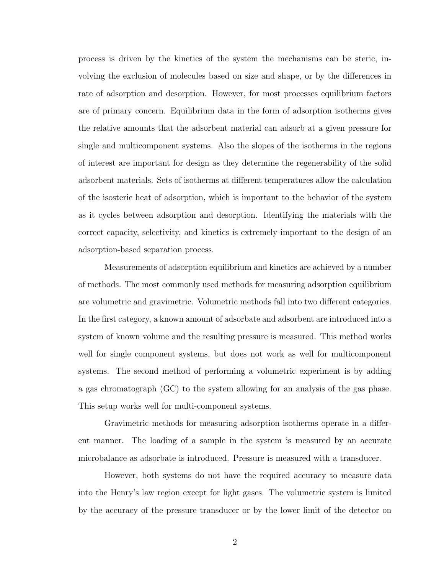process is driven by the kinetics of the system the mechanisms can be steric, involving the exclusion of molecules based on size and shape, or by the differences in rate of adsorption and desorption. However, for most processes equilibrium factors are of primary concern. Equilibrium data in the form of adsorption isotherms gives the relative amounts that the adsorbent material can adsorb at a given pressure for single and multicomponent systems. Also the slopes of the isotherms in the regions of interest are important for design as they determine the regenerability of the solid adsorbent materials. Sets of isotherms at different temperatures allow the calculation of the isosteric heat of adsorption, which is important to the behavior of the system as it cycles between adsorption and desorption. Identifying the materials with the correct capacity, selectivity, and kinetics is extremely important to the design of an adsorption-based separation process.

Measurements of adsorption equilibrium and kinetics are achieved by a number of methods. The most commonly used methods for measuring adsorption equilibrium are volumetric and gravimetric. Volumetric methods fall into two different categories. In the first category, a known amount of adsorbate and adsorbent are introduced into a system of known volume and the resulting pressure is measured. This method works well for single component systems, but does not work as well for multicomponent systems. The second method of performing a volumetric experiment is by adding a gas chromatograph (GC) to the system allowing for an analysis of the gas phase. This setup works well for multi-component systems.

Gravimetric methods for measuring adsorption isotherms operate in a different manner. The loading of a sample in the system is measured by an accurate microbalance as adsorbate is introduced. Pressure is measured with a transducer.

However, both systems do not have the required accuracy to measure data into the Henry's law region except for light gases. The volumetric system is limited by the accuracy of the pressure transducer or by the lower limit of the detector on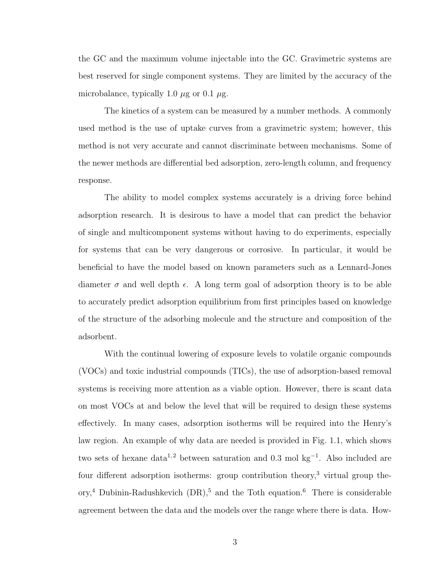the GC and the maximum volume injectable into the GC. Gravimetric systems are best reserved for single component systems. They are limited by the accuracy of the microbalance, typically 1.0  $\mu$ g or 0.1  $\mu$ g.

The kinetics of a system can be measured by a number methods. A commonly used method is the use of uptake curves from a gravimetric system; however, this method is not very accurate and cannot discriminate between mechanisms. Some of the newer methods are differential bed adsorption, zero-length column, and frequency response.

The ability to model complex systems accurately is a driving force behind adsorption research. It is desirous to have a model that can predict the behavior of single and multicomponent systems without having to do experiments, especially for systems that can be very dangerous or corrosive. In particular, it would be beneficial to have the model based on known parameters such as a Lennard-Jones diameter  $\sigma$  and well depth  $\epsilon$ . A long term goal of adsorption theory is to be able to accurately predict adsorption equilibrium from first principles based on knowledge of the structure of the adsorbing molecule and the structure and composition of the adsorbent.

With the continual lowering of exposure levels to volatile organic compounds (VOCs) and toxic industrial compounds (TICs), the use of adsorption-based removal systems is receiving more attention as a viable option. However, there is scant data on most VOCs at and below the level that will be required to design these systems effectively. In many cases, adsorption isotherms will be required into the Henry's law region. An example of why data are needed is provided in Fig. 1.1, which shows two sets of hexane data<sup>1,2</sup> between saturation and 0.3 mol kg<sup>-1</sup>. Also included are four different adsorption isotherms: group contribution theory,<sup>3</sup> virtual group theory,<sup>4</sup> Dubinin-Radushkevich  $(DR)$ ,<sup>5</sup> and the Toth equation.<sup>6</sup> There is considerable agreement between the data and the models over the range where there is data. How-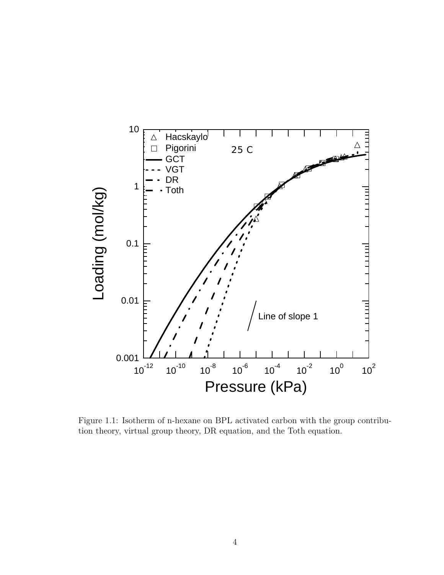

Figure 1.1: Isotherm of n-hexane on BPL activated carbon with the group contribution theory, virtual group theory, DR equation, and the Toth equation.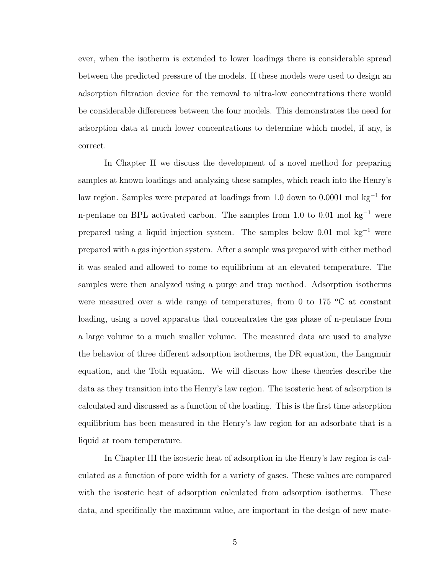ever, when the isotherm is extended to lower loadings there is considerable spread between the predicted pressure of the models. If these models were used to design an adsorption filtration device for the removal to ultra-low concentrations there would be considerable differences between the four models. This demonstrates the need for adsorption data at much lower concentrations to determine which model, if any, is correct.

In Chapter II we discuss the development of a novel method for preparing samples at known loadings and analyzing these samples, which reach into the Henry's law region. Samples were prepared at loadings from 1.0 down to 0.0001 mol kg<sup>−</sup><sup>1</sup> for n-pentane on BPL activated carbon. The samples from 1.0 to 0.01 mol kg<sup>−</sup><sup>1</sup> were prepared using a liquid injection system. The samples below 0.01 mol kg<sup>-1</sup> were prepared with a gas injection system. After a sample was prepared with either method it was sealed and allowed to come to equilibrium at an elevated temperature. The samples were then analyzed using a purge and trap method. Adsorption isotherms were measured over a wide range of temperatures, from 0 to 175  $\rm{^{\circ}C}$  at constant loading, using a novel apparatus that concentrates the gas phase of n-pentane from a large volume to a much smaller volume. The measured data are used to analyze the behavior of three different adsorption isotherms, the DR equation, the Langmuir equation, and the Toth equation. We will discuss how these theories describe the data as they transition into the Henry's law region. The isosteric heat of adsorption is calculated and discussed as a function of the loading. This is the first time adsorption equilibrium has been measured in the Henry's law region for an adsorbate that is a liquid at room temperature.

In Chapter III the isosteric heat of adsorption in the Henry's law region is calculated as a function of pore width for a variety of gases. These values are compared with the isosteric heat of adsorption calculated from adsorption isotherms. These data, and specifically the maximum value, are important in the design of new mate-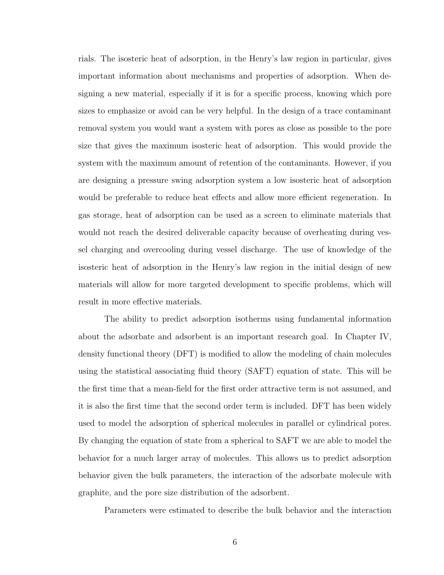rials. The isosteric heat of adsorption, in the Henry's law region in particular, gives important information about mechanisms and properties of adsorption. When designing a new material, especially if it is for a specific process, knowing which pore sizes to emphasize or avoid can be very helpful. In the design of a trace contaminant removal system you would want a system with pores as close as possible to the pore size that gives the maximum isosteric heat of adsorption. This would provide the system with the maximum amount of retention of the contaminants. However, if you are designing a pressure swing adsorption system a low isosteric heat of adsorption would be preferable to reduce heat effects and allow more efficient regeneration. In gas storage, heat of adsorption can be used as a screen to eliminate materials that would not reach the desired deliverable capacity because of overheating during vessel charging and overcooling during vessel discharge. The use of knowledge of the isosteric heat of adsorption in the Henry's law region in the initial design of new materials will allow for more targeted development to specific problems, which will result in more effective materials.

The ability to predict adsorption isotherms using fundamental information about the adsorbate and adsorbent is an important research goal. In Chapter IV, density functional theory (DFT) is modified to allow the modeling of chain molecules using the statistical associating fluid theory (SAFT) equation of state. This will be the first time that a mean-field for the first order attractive term is not assumed, and it is also the first time that the second order term is included. DFT has been widely used to model the adsorption of spherical molecules in parallel or cylindrical pores. By changing the equation of state from a spherical to SAFT we are able to model the behavior for a much larger array of molecules. This allows us to predict adsorption behavior given the bulk parameters, the interaction of the adsorbate molecule with graphite, and the pore size distribution of the adsorbent.

Parameters were estimated to describe the bulk behavior and the interaction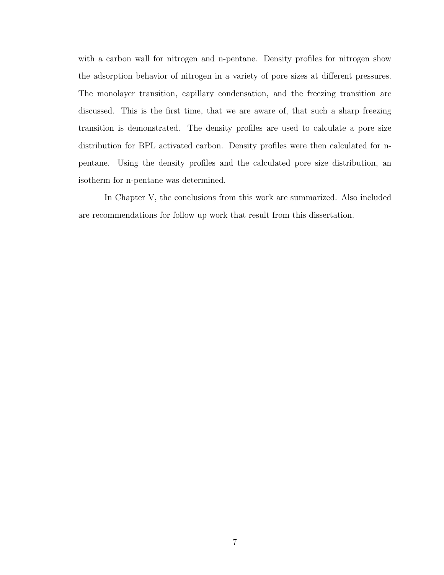with a carbon wall for nitrogen and n-pentane. Density profiles for nitrogen show the adsorption behavior of nitrogen in a variety of pore sizes at different pressures. The monolayer transition, capillary condensation, and the freezing transition are discussed. This is the first time, that we are aware of, that such a sharp freezing transition is demonstrated. The density profiles are used to calculate a pore size distribution for BPL activated carbon. Density profiles were then calculated for npentane. Using the density profiles and the calculated pore size distribution, an isotherm for n-pentane was determined.

In Chapter V, the conclusions from this work are summarized. Also included are recommendations for follow up work that result from this dissertation.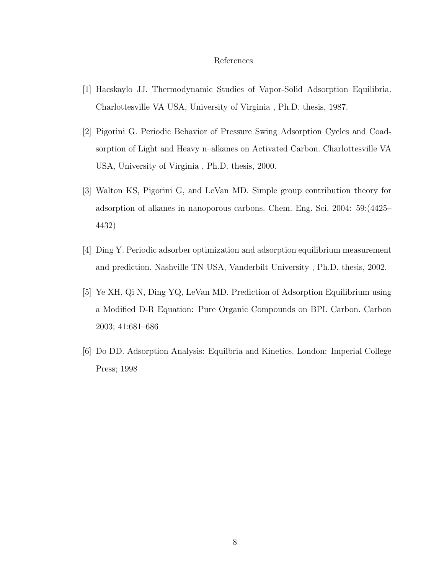### References

- [1] Hacskaylo JJ. Thermodynamic Studies of Vapor-Solid Adsorption Equilibria. Charlottesville VA USA, University of Virginia , Ph.D. thesis, 1987.
- [2] Pigorini G. Periodic Behavior of Pressure Swing Adsorption Cycles and Coadsorption of Light and Heavy n–alkanes on Activated Carbon. Charlottesville VA USA, University of Virginia , Ph.D. thesis, 2000.
- [3] Walton KS, Pigorini G, and LeVan MD. Simple group contribution theory for adsorption of alkanes in nanoporous carbons. Chem. Eng. Sci. 2004: 59:(4425– 4432)
- [4] Ding Y. Periodic adsorber optimization and adsorption equilibrium measurement and prediction. Nashville TN USA, Vanderbilt University , Ph.D. thesis, 2002.
- [5] Ye XH, Qi N, Ding YQ, LeVan MD. Prediction of Adsorption Equilibrium using a Modified D-R Equation: Pure Organic Compounds on BPL Carbon. Carbon 2003; 41:681–686
- [6] Do DD. Adsorption Analysis: Equilbria and Kinetics. London: Imperial College Press; 1998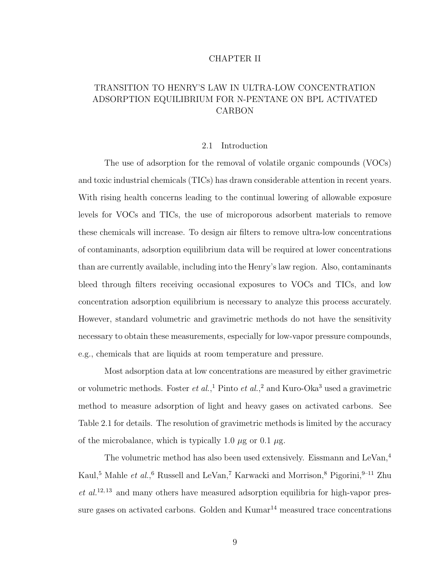### CHAPTER II

# TRANSITION TO HENRY'S LAW IN ULTRA-LOW CONCENTRATION ADSORPTION EQUILIBRIUM FOR N-PENTANE ON BPL ACTIVATED CARBON

### 2.1 Introduction

The use of adsorption for the removal of volatile organic compounds (VOCs) and toxic industrial chemicals (TICs) has drawn considerable attention in recent years. With rising health concerns leading to the continual lowering of allowable exposure levels for VOCs and TICs, the use of microporous adsorbent materials to remove these chemicals will increase. To design air filters to remove ultra-low concentrations of contaminants, adsorption equilibrium data will be required at lower concentrations than are currently available, including into the Henry's law region. Also, contaminants bleed through filters receiving occasional exposures to VOCs and TICs, and low concentration adsorption equilibrium is necessary to analyze this process accurately. However, standard volumetric and gravimetric methods do not have the sensitivity necessary to obtain these measurements, especially for low-vapor pressure compounds, e.g., chemicals that are liquids at room temperature and pressure.

Most adsorption data at low concentrations are measured by either gravimetric or volumetric methods. Foster *et al.*,<sup>1</sup> Pinto *et al.*,<sup>2</sup> and Kuro-Oka<sup>3</sup> used a gravimetric method to measure adsorption of light and heavy gases on activated carbons. See Table 2.1 for details. The resolution of gravimetric methods is limited by the accuracy of the microbalance, which is typically 1.0  $\mu$ g or 0.1  $\mu$ g.

The volumetric method has also been used extensively. Eissmann and LeVan.<sup>4</sup> Kaul,<sup>5</sup> Mahle *et al.*,<sup>6</sup> Russell and LeVan,<sup>7</sup> Karwacki and Morrison,<sup>8</sup> Pigorini,<sup>9–11</sup> Zhu  $et \ al.<sup>12,13</sup>$  and many others have measured adsorption equilibria for high-vapor pressure gases on activated carbons. Golden and  $Kumar^{14}$  measured trace concentrations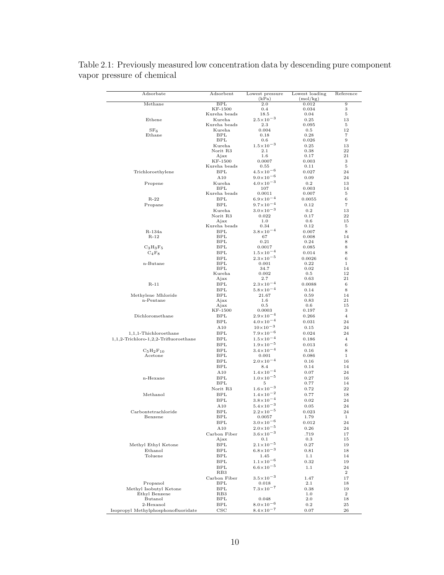| Adsorbate                             | Adsorbent                | Lowest pressure<br>(kPa)                       | Lowest loading<br>(mol/kg) | Reference                     |
|---------------------------------------|--------------------------|------------------------------------------------|----------------------------|-------------------------------|
| Methane                               | BPL                      | 2.0                                            | 0.012                      | 9                             |
|                                       | KF-1500                  | 0.4                                            | 0.034                      | 3                             |
| Ethene                                | Kureha beads<br>Kureha   | 18.5<br>$2.5\!\times\!10^{-3}$                 | 0.04                       | 5<br>13                       |
|                                       | Kureha beads             | 2.3                                            | 0.25<br>0.095              | 5                             |
| $SF_6$                                | Kureha                   | 0.004                                          | 0.5                        | 12                            |
| Ethane                                | BPL                      | 0.18                                           | 0.28                       | 7                             |
|                                       | <b>BPL</b>               | 0.6                                            | 0.026                      | 9                             |
|                                       | Kureha                   | $1.5 \times 10^{-3}$                           | 0.25                       | 13                            |
|                                       | Norit R3<br>Ajax         | $2.1\,$<br>$1.6\,$                             | 0.38<br>0.17               | 22<br>21                      |
|                                       | KF-1500                  | 0.0007                                         | $_{0.003}$                 | 3                             |
|                                       | Kureha beads             | 0.55                                           | 0.11                       | 5                             |
| Trichloroethylene                     | <b>BPL</b>               | $4.5 \times 10^{-6}$                           | 0.027                      | 24                            |
|                                       | A10                      | $9.0\times10^{-6}$                             | 0.09                       | 24                            |
| Propene                               | Kureha                   | $4.0\times10^{-3}$                             | 0.2                        | 13                            |
|                                       | <b>BPL</b>               | 107                                            | 0.003                      | 14                            |
|                                       | Kureha beads             | 0.0011                                         | 0.007                      | 5                             |
| R-22                                  | <b>BPL</b><br><b>BPL</b> | $6.9 \times 10^{-4}$<br>$9.7 \times 10^{-4}$   | 0.0055                     | 6<br>$\overline{\phantom{a}}$ |
| Propane                               | Kureha                   | $3.0\times10^{-3}$                             | 0.12<br>0.2                | 13                            |
|                                       | Norit R3                 | 0.022                                          | 0.17                       | 22                            |
|                                       | Ajax                     | 1.0                                            | $0.6\,$                    | 15                            |
|                                       | Kureha beads             | 0.34                                           | 0.12                       | 5                             |
| R-134a                                | <b>BPL</b>               | $3.8 \times 10^{-4}$                           | 0.007                      | 8                             |
| $R-12$                                | <b>BPL</b>               | 67                                             | 0.008                      | 14                            |
| $C_3H_3F_5$                           | BPL<br>BPL               | 0.21<br>0.0017                                 | 0.24<br>0.085              | 8<br>8                        |
| $C_4F_8$                              | BPL                      | $1.5 \times 10^{-4}$                           | 0.014                      | 8                             |
|                                       | <b>BPL</b>               | $2.3 \times 10^{-5}$                           | 0.0026                     | 6                             |
| n-Butane                              | BPL                      | 0.001                                          | 0.22                       | $\mathbf 1$                   |
|                                       | <b>BPL</b>               | 34.7                                           | 0.02                       | 14                            |
|                                       | Kureha                   | 0.002                                          | 0.5                        | 12                            |
|                                       | Ajax                     | 2.7                                            | $_{0.63}$                  | 21                            |
| $R-11$                                | BPL                      | $2.3 \times 10^{-4}$<br>$5.8 \times 10^{-4}$   | 0.0088                     | 6                             |
| Methylene Mhloride                    | BPL<br>BPL               | 21.67                                          | 0.14<br>0.59               | 8<br>14                       |
| n-Pentane                             | Ajax                     | 1.6                                            | 0.83                       | 21                            |
|                                       | Ajax                     | 0.5                                            | $0.6\,$                    | 15                            |
|                                       | KF-1500                  | 0.0003                                         | 0.197                      | 3                             |
| Dichloromethane                       | BPL                      | $2.9 \times 10^{-4}$                           | 0.266                      | $\overline{4}$                |
|                                       | <b>BPL</b>               | $4.0 \times 10^{-4}$                           | 0.031                      | 24                            |
|                                       | A10                      | $10\times10^{-3}$                              | 0.15                       | 24                            |
| 1,1,1-Thichloroethane                 | BPL                      | $7.9 \times 10^{-6}$                           | 0.024                      | 24                            |
| 1,1,2-Trichloro-1,2,2-Trifluoroethane | BPL                      | $1.5 \times 10^{-4}$<br>$1.9 \times 10^{-5}$   | 0.186                      | 4                             |
| $C_5H_2F_{10}$                        | BPL<br>BPL               | $3.4 \times 10^{-4}$                           | 0.013<br>0.16              | 6<br>8                        |
| Acetone                               | BPL                      | 0.001                                          | 0.086                      | 1                             |
|                                       | <b>BPL</b>               | $2.0\times10^{-4}$                             | 0.16                       | 16                            |
|                                       | BPL                      | 8.4                                            | 0.14                       | 14                            |
|                                       | A10                      | $1.4 \times 10^{-4}$                           | 0.07                       | 24                            |
| n-Hexane                              | <b>BPL</b>               | $1.0 \times 10^{-5}$                           | 0.27                       | 16                            |
|                                       | BPL                      | $\rm 5$                                        | 0.77                       | 14                            |
|                                       | Norit R3                 | $1.6 \times 10^{-3}$                           | 0.72                       | 22                            |
| Methanol                              | BPL                      | $1.4 \times 10^{-2}$                           | 0.77                       | 18                            |
|                                       | <b>BPL</b>               | $3.8 \times 10^{-4}$<br>$5.4 \times 10^{-3}$   | 0.02                       | 24<br>24                      |
| Carbontetrachloride                   | A10<br>BPL               | $2.2 \times 10^{-5}$                           | 0.05<br>0.023              | 24                            |
| Benzene                               | BPL                      | 0.0057                                         | 1.79                       | $1\,$                         |
|                                       | BPL                      | $3.0\times10^{-6}$                             | 0.012                      | 24                            |
|                                       | A10                      | $2.0\times10^{-5}$                             | 0.26                       | 24                            |
|                                       | Carbon Fiber             | $3.6 \times 10^{-3}$                           | .719                       | 17                            |
|                                       | Ajax                     | 0.1                                            | $0.3\,$                    | 15                            |
| Methyl Ethyl Ketone                   | BPL                      | $2.1 \times 10^{-5}$                           | 0.27                       | 19                            |
| Ethanol                               | <b>BPL</b>               | $6.8 \times 10^{-3}$                           | 0.81                       | 18                            |
| Toluene                               | BPL                      | 1.45                                           | 1.1                        | 14                            |
|                                       | BPL                      | $1.1\!\times\!10^{-6}$<br>$6.6 \times 10^{-5}$ | 0.32                       | 19                            |
|                                       | <b>BPL</b><br>RB3        |                                                | 1.1                        | 24<br>$\overline{2}$          |
|                                       | Carbon Fiber             | $3.5 \times 10^{-3}$                           | 1.47                       | 17                            |
| Propanol                              | BPL                      | 0.018                                          | $2.1\,$                    | 18                            |
| Methyl Isobutyl Ketone                | BPL                      | $7.3 \times 10^{-7}$                           | 0.38                       | 19                            |
| Ethyl Benzene                         | RB3                      |                                                | $1.0\,$                    | $\boldsymbol{2}$              |
| Butanol                               | BPL                      | 0.048                                          | $2.0\,$                    | 18                            |
| 2-Hexanol                             | BPL                      | $8.0 \times 10^{-6}$                           | $0.2\,$                    | 25                            |
| Isopropyl Methylphosphonofluoridate   | $_{\rm CSC}$             | $8.4 \times 10^{-7}$                           | 0.07                       | 26                            |

Table 2.1: Previously measured low concentration data by descending pure component vapor pressure of chemical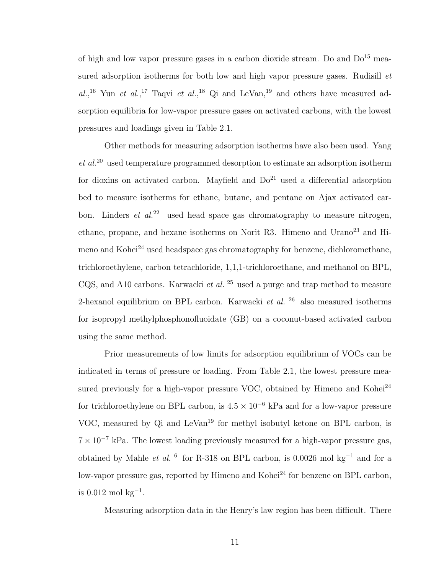of high and low vapor pressure gases in a carbon dioxide stream. Do and  $Do^{15}$  measured adsorption isotherms for both low and high vapor pressure gases. Rudisill *et* al.,<sup>16</sup> Yun et al.,<sup>17</sup> Taqvi et al.,<sup>18</sup> Qi and LeVan,<sup>19</sup> and others have measured adsorption equilibria for low-vapor pressure gases on activated carbons, with the lowest pressures and loadings given in Table 2.1.

Other methods for measuring adsorption isotherms have also been used. Yang  $et al.<sup>20</sup>$  used temperature programmed desorption to estimate an adsorption isotherm for dioxins on activated carbon. Mayfield and  $Do^{21}$  used a differential adsorption bed to measure isotherms for ethane, butane, and pentane on Ajax activated carbon. Linders et  $al^{22}$  used head space gas chromatography to measure nitrogen, ethane, propane, and hexane isotherms on Norit R3. Himeno and  $Urano<sup>23</sup>$  and Himeno and Kohei<sup>24</sup> used headspace gas chromatography for benzene, dichloromethane, trichloroethylene, carbon tetrachloride, 1,1,1-trichloroethane, and methanol on BPL, CQS, and A10 carbons. Karwacki *et al.* <sup>25</sup> used a purge and trap method to measure 2-hexanol equilibrium on BPL carbon. Karwacki et al.  $^{26}$  also measured isotherms for isopropyl methylphosphonofluoidate (GB) on a coconut-based activated carbon using the same method.

Prior measurements of low limits for adsorption equilibrium of VOCs can be indicated in terms of pressure or loading. From Table 2.1, the lowest pressure measured previously for a high-vapor pressure VOC, obtained by Himeno and Kohei<sup>24</sup> for trichloroethylene on BPL carbon, is  $4.5 \times 10^{-6}$  kPa and for a low-vapor pressure VOC, measured by Qi and LeVan<sup>19</sup> for methyl isobutyl ketone on BPL carbon, is  $7 \times 10^{-7}$  kPa. The lowest loading previously measured for a high-vapor pressure gas, obtained by Mahle *et al.* <sup>6</sup> for R-318 on BPL carbon, is 0.0026 mol kg<sup>-1</sup> and for a low-vapor pressure gas, reported by Himeno and Kohei<sup>24</sup> for benzene on BPL carbon,  $is 0.012 \text{ mol kg}^{-1}.$ 

Measuring adsorption data in the Henry's law region has been difficult. There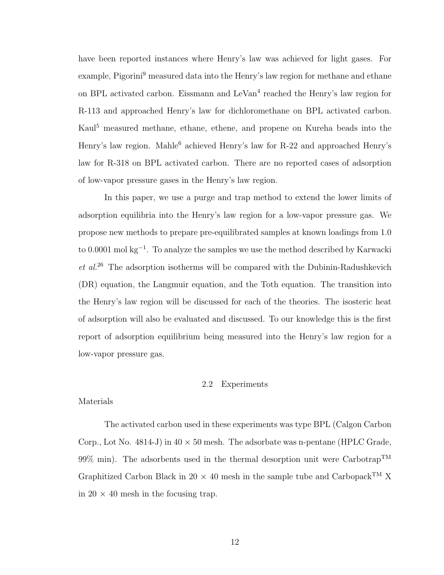have been reported instances where Henry's law was achieved for light gases. For example, Pigorini<sup>9</sup> measured data into the Henry's law region for methane and ethane on BPL activated carbon. Eissmann and LeVan<sup>4</sup> reached the Henry's law region for R-113 and approached Henry's law for dichloromethane on BPL activated carbon. Kaul<sup>5</sup> measured methane, ethane, ethene, and propene on Kureha beads into the Henry's law region. Mahle<sup>6</sup> achieved Henry's law for R-22 and approached Henry's law for R-318 on BPL activated carbon. There are no reported cases of adsorption of low-vapor pressure gases in the Henry's law region.

In this paper, we use a purge and trap method to extend the lower limits of adsorption equilibria into the Henry's law region for a low-vapor pressure gas. We propose new methods to prepare pre-equilibrated samples at known loadings from 1.0 to 0.0001 mol kg<sup>-1</sup>. To analyze the samples we use the method described by Karwacki  $et \ al.<sup>26</sup>$  The adsorption isotherms will be compared with the Dubinin-Radushkevich (DR) equation, the Langmuir equation, and the Toth equation. The transition into the Henry's law region will be discussed for each of the theories. The isosteric heat of adsorption will also be evaluated and discussed. To our knowledge this is the first report of adsorption equilibrium being measured into the Henry's law region for a low-vapor pressure gas.

### 2.2 Experiments

### Materials

The activated carbon used in these experiments was type BPL (Calgon Carbon Corp., Lot No. 4814-J) in  $40 \times 50$  mesh. The adsorbate was n-pentane (HPLC Grade, 99% min). The adsorbents used in the thermal desorption unit were Carbotrap<sup>TM</sup> Graphitized Carbon Black in 20  $\times$  40 mesh in the sample tube and Carbopack<sup>TM</sup> X in 20  $\times$  40 mesh in the focusing trap.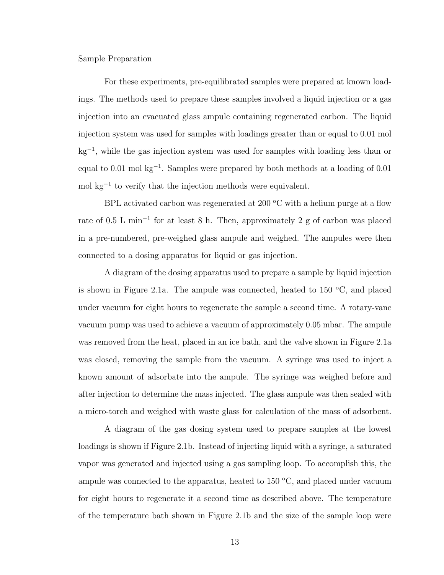Sample Preparation

For these experiments, pre-equilibrated samples were prepared at known loadings. The methods used to prepare these samples involved a liquid injection or a gas injection into an evacuated glass ampule containing regenerated carbon. The liquid injection system was used for samples with loadings greater than or equal to 0.01 mol kg<sup>−</sup><sup>1</sup> , while the gas injection system was used for samples with loading less than or equal to 0.01 mol kg<sup>−</sup><sup>1</sup> . Samples were prepared by both methods at a loading of 0.01 mol kg<sup>−</sup><sup>1</sup> to verify that the injection methods were equivalent.

BPL activated carbon was regenerated at 200  $\rm{^{\circ}C}$  with a helium purge at a flow rate of 0.5 L min<sup>-1</sup> for at least 8 h. Then, approximately 2 g of carbon was placed in a pre-numbered, pre-weighed glass ampule and weighed. The ampules were then connected to a dosing apparatus for liquid or gas injection.

A diagram of the dosing apparatus used to prepare a sample by liquid injection is shown in Figure 2.1a. The ampule was connected, heated to  $150 \text{ °C}$ , and placed under vacuum for eight hours to regenerate the sample a second time. A rotary-vane vacuum pump was used to achieve a vacuum of approximately 0.05 mbar. The ampule was removed from the heat, placed in an ice bath, and the valve shown in Figure 2.1a was closed, removing the sample from the vacuum. A syringe was used to inject a known amount of adsorbate into the ampule. The syringe was weighed before and after injection to determine the mass injected. The glass ampule was then sealed with a micro-torch and weighed with waste glass for calculation of the mass of adsorbent.

A diagram of the gas dosing system used to prepare samples at the lowest loadings is shown if Figure 2.1b. Instead of injecting liquid with a syringe, a saturated vapor was generated and injected using a gas sampling loop. To accomplish this, the ampule was connected to the apparatus, heated to  $150 \degree C$ , and placed under vacuum for eight hours to regenerate it a second time as described above. The temperature of the temperature bath shown in Figure 2.1b and the size of the sample loop were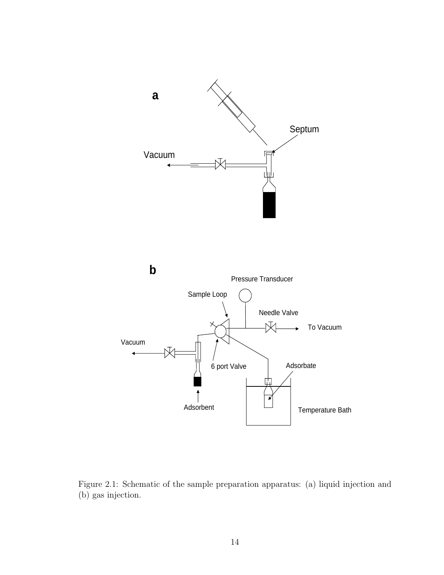



Figure 2.1: Schematic of the sample preparation apparatus: (a) liquid injection and (b) gas injection.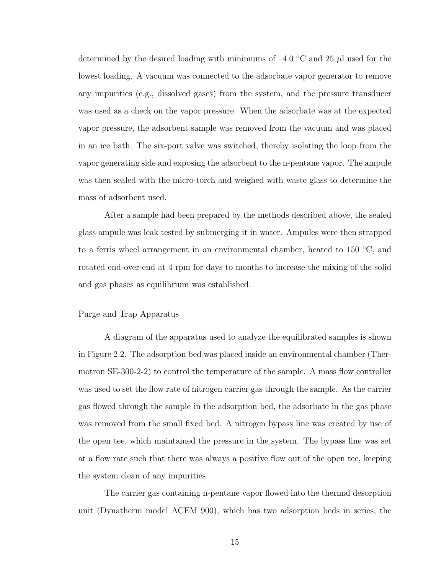determined by the desired loading with minimums of  $-4.0$  °C and 25  $\mu$ l used for the lowest loading. A vacuum was connected to the adsorbate vapor generator to remove any impurities (e.g., dissolved gases) from the system, and the pressure transducer was used as a check on the vapor pressure. When the adsorbate was at the expected vapor pressure, the adsorbent sample was removed from the vacuum and was placed in an ice bath. The six-port valve was switched, thereby isolating the loop from the vapor generating side and exposing the adsorbent to the n-pentane vapor. The ampule was then sealed with the micro-torch and weighed with waste glass to determine the mass of adsorbent used.

After a sample had been prepared by the methods described above, the sealed glass ampule was leak tested by submerging it in water. Ampules were then strapped to a ferris wheel arrangement in an environmental chamber, heated to  $150 \degree C$ , and rotated end-over-end at 4 rpm for days to months to increase the mixing of the solid and gas phases as equilibrium was established.

#### Purge and Trap Apparatus

A diagram of the apparatus used to analyze the equilibrated samples is shown in Figure 2.2. The adsorption bed was placed inside an environmental chamber (Thermotron SE-300-2-2) to control the temperature of the sample. A mass flow controller was used to set the flow rate of nitrogen carrier gas through the sample. As the carrier gas flowed through the sample in the adsorption bed, the adsorbate in the gas phase was removed from the small fixed bed. A nitrogen bypass line was created by use of the open tee, which maintained the pressure in the system. The bypass line was set at a flow rate such that there was always a positive flow out of the open tee, keeping the system clean of any impurities.

The carrier gas containing n-pentane vapor flowed into the thermal desorption unit (Dynatherm model ACEM 900), which has two adsorption beds in series, the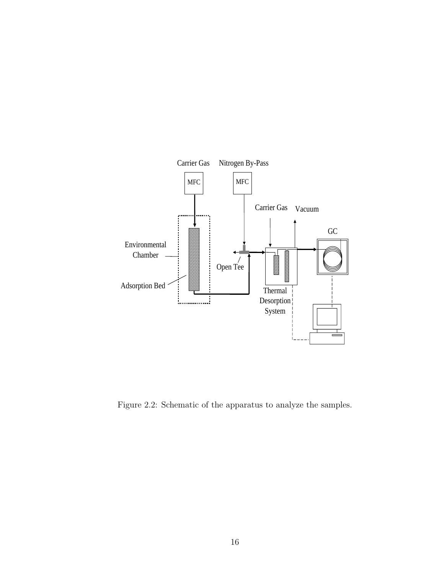

Figure 2.2: Schematic of the apparatus to analyze the samples.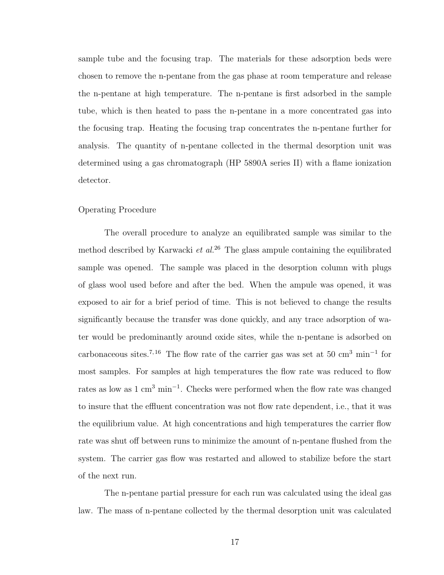sample tube and the focusing trap. The materials for these adsorption beds were chosen to remove the n-pentane from the gas phase at room temperature and release the n-pentane at high temperature. The n-pentane is first adsorbed in the sample tube, which is then heated to pass the n-pentane in a more concentrated gas into the focusing trap. Heating the focusing trap concentrates the n-pentane further for analysis. The quantity of n-pentane collected in the thermal desorption unit was determined using a gas chromatograph (HP 5890A series II) with a flame ionization detector.

### Operating Procedure

The overall procedure to analyze an equilibrated sample was similar to the method described by Karwacki et  $al^{26}$ . The glass ampule containing the equilibrated sample was opened. The sample was placed in the desorption column with plugs of glass wool used before and after the bed. When the ampule was opened, it was exposed to air for a brief period of time. This is not believed to change the results significantly because the transfer was done quickly, and any trace adsorption of water would be predominantly around oxide sites, while the n-pentane is adsorbed on carbonaceous sites.<sup>7, 16</sup> The flow rate of the carrier gas was set at 50 cm<sup>3</sup> min<sup>-1</sup> for most samples. For samples at high temperatures the flow rate was reduced to flow rates as low as 1 cm<sup>3</sup> min<sup>-1</sup>. Checks were performed when the flow rate was changed to insure that the effluent concentration was not flow rate dependent, i.e., that it was the equilibrium value. At high concentrations and high temperatures the carrier flow rate was shut off between runs to minimize the amount of n-pentane flushed from the system. The carrier gas flow was restarted and allowed to stabilize before the start of the next run.

The n-pentane partial pressure for each run was calculated using the ideal gas law. The mass of n-pentane collected by the thermal desorption unit was calculated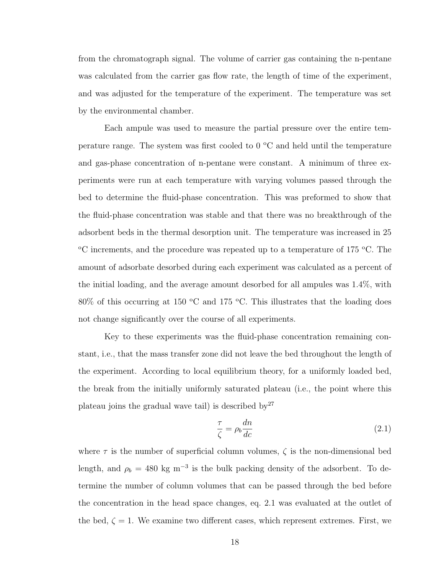from the chromatograph signal. The volume of carrier gas containing the n-pentane was calculated from the carrier gas flow rate, the length of time of the experiment, and was adjusted for the temperature of the experiment. The temperature was set by the environmental chamber.

Each ampule was used to measure the partial pressure over the entire temperature range. The system was first cooled to  $0^{\circ}$ C and held until the temperature and gas-phase concentration of n-pentane were constant. A minimum of three experiments were run at each temperature with varying volumes passed through the bed to determine the fluid-phase concentration. This was preformed to show that the fluid-phase concentration was stable and that there was no breakthrough of the adsorbent beds in the thermal desorption unit. The temperature was increased in 25 <sup>o</sup>C increments, and the procedure was repeated up to a temperature of 175 <sup>o</sup>C. The amount of adsorbate desorbed during each experiment was calculated as a percent of the initial loading, and the average amount desorbed for all ampules was 1.4%, with  $80\%$  of this occurring at 150 °C and 175 °C. This illustrates that the loading does not change significantly over the course of all experiments.

Key to these experiments was the fluid-phase concentration remaining constant, i.e., that the mass transfer zone did not leave the bed throughout the length of the experiment. According to local equilibrium theory, for a uniformly loaded bed, the break from the initially uniformly saturated plateau (i.e., the point where this plateau joins the gradual wave tail) is described by  $27$ 

$$
\frac{\tau}{\zeta} = \rho_b \frac{dn}{dc} \tag{2.1}
$$

where  $\tau$  is the number of superficial column volumes,  $\zeta$  is the non-dimensional bed length, and  $\rho_b = 480 \text{ kg m}^{-3}$  is the bulk packing density of the adsorbent. To determine the number of column volumes that can be passed through the bed before the concentration in the head space changes, eq. 2.1 was evaluated at the outlet of the bed,  $\zeta = 1$ . We examine two different cases, which represent extremes. First, we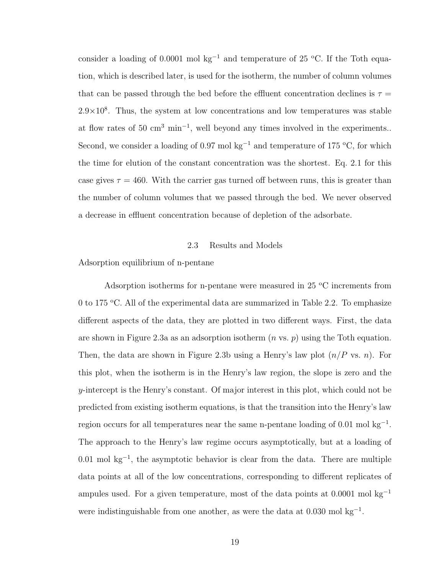consider a loading of 0.0001 mol kg<sup>-1</sup> and temperature of 25 °C. If the Toth equation, which is described later, is used for the isotherm, the number of column volumes that can be passed through the bed before the effluent concentration declines is  $\tau =$  $2.9 \times 10^8$ . Thus, the system at low concentrations and low temperatures was stable at flow rates of 50  $\text{cm}^3$  min<sup>-1</sup>, well beyond any times involved in the experiments.. Second, we consider a loading of 0.97 mol kg<sup>-1</sup> and temperature of 175 <sup>o</sup>C, for which the time for elution of the constant concentration was the shortest. Eq. 2.1 for this case gives  $\tau = 460$ . With the carrier gas turned off between runs, this is greater than the number of column volumes that we passed through the bed. We never observed a decrease in effluent concentration because of depletion of the adsorbate.

### 2.3 Results and Models

Adsorption equilibrium of n-pentane

Adsorption isotherms for n-pentane were measured in 25  $\mathrm{^{\circ}C}$  increments from 0 to 175 °C. All of the experimental data are summarized in Table 2.2. To emphasize different aspects of the data, they are plotted in two different ways. First, the data are shown in Figure 2.3a as an adsorption isotherm  $(n \text{ vs. } p)$  using the Toth equation. Then, the data are shown in Figure 2.3b using a Henry's law plot  $(n/P \text{ vs. } n)$ . For this plot, when the isotherm is in the Henry's law region, the slope is zero and the y-intercept is the Henry's constant. Of major interest in this plot, which could not be predicted from existing isotherm equations, is that the transition into the Henry's law region occurs for all temperatures near the same n-pentane loading of  $0.01$  mol kg<sup>-1</sup>. The approach to the Henry's law regime occurs asymptotically, but at a loading of 0.01 mol kg<sup>−</sup><sup>1</sup> , the asymptotic behavior is clear from the data. There are multiple data points at all of the low concentrations, corresponding to different replicates of ampules used. For a given temperature, most of the data points at  $0.0001$  mol kg<sup>-1</sup> were indistinguishable from one another, as were the data at  $0.030$  mol kg<sup>-1</sup>.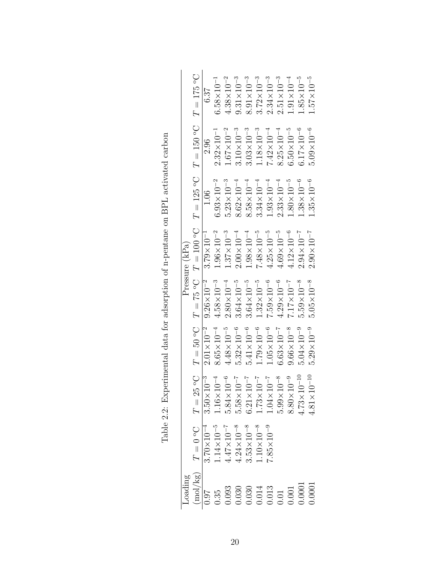| Loading  |                                                                         |                               |                         |                       |                                                                                                                 |                       |                       |                       |
|----------|-------------------------------------------------------------------------|-------------------------------|-------------------------|-----------------------|-----------------------------------------------------------------------------------------------------------------|-----------------------|-----------------------|-----------------------|
|          |                                                                         |                               |                         |                       | Pressure (kPa)                                                                                                  |                       |                       |                       |
| (mol/kg) | $D\circ 0 = T$                                                          |                               |                         |                       | $T = 25\degree C$ $T = 50\degree C$ $T = 100\degree C$ $T = 125\degree C$ $T = 150\degree C$ $T = 175\degree C$ |                       |                       |                       |
|          | $3.70\times10^{-4}$                                                     | $3.50 \times 10^{-3}$         | $2.01\times10^{-2}$     | $9.26 \times 10^{-2}$ | $3.79\times10^{-1}$                                                                                             | 1.06                  | 2.96                  | 6.37                  |
|          |                                                                         | $1.16\times10^{-4}$           | $8.65\times10^{-4}$     | $4.58 \times 10^{-3}$ | $1.96\!\times\!10^{-2}$                                                                                         | $6.93\times10^{-2}$   | $2.32 \times 10^{-1}$ | $6.58 \times 10^{-1}$ |
|          |                                                                         | $5.84{\times}10^{-6}$         | $4.48\times10^{-5}$     | $2.80 \times 10^{-4}$ | $1.37 \times 10^{-3}$                                                                                           | $5.23 \times 10^{-3}$ | $1.67 \times 10^{-2}$ | $4.38{\times}10^{-2}$ |
|          | 1.14×10 <sup>-5</sup><br>4.47×10 <sup>-7</sup><br>4.24×10 <sup>-8</sup> | $5.58\times10^{-7}$           | $5.32 \times 10^{-6}$   | $3.64\times10^{-5}$   | $2.00\times10^{-4}$                                                                                             | $8.62 \times 10^{-4}$ | $3.10\times10^{-3}$   | $9.31{\times}10^{-3}$ |
|          | $3.53 \times 10^{-8}$                                                   | $6.21\times10^{-7}$           | $5.41\times10^{-6}$     | $3.64\times10^{-5}$   | $1.98 \times 10^{-4}$                                                                                           | $8.58\times10^{-4}$   | $3.03{\times}10^{-3}$ | $8.91\times10^{-3}$   |
|          | $.10{\times}10^{-8}$                                                    | $1.73\times10^{-7}$           | $1.79\!\times\!10^{-6}$ | $1.32{\times}10^{-5}$ | $7.48{\times}10^{-5}$                                                                                           | $3.34 \times 10^{-4}$ | $1.18{\times}10^{-3}$ | $3.72 \times 10^{-3}$ |
|          | $7.85 \times 10^{-9}$                                                   | $1.04\times10^{-7}$           | $1.05 \times 10^{-6}$   | $7.59\times10^{-6}$   | $4.25 \times 10^{-5}$                                                                                           | $1.93 \times 10^{-4}$ | $7.42 \times 10^{-4}$ | $2.34 \times 10^{-3}$ |
|          |                                                                         | $5.99\times10^{-8}$           | $6.63\!\times\!10^{-7}$ | $4.29{\times}10^{-6}$ | $4.69 \times 10^{-5}$                                                                                           | $2.33 \times 10^{-4}$ | $8.25 \times 10^{-4}$ | $2.51{\times}10^{-3}$ |
|          |                                                                         | $8.80\times10^{-9}$           | $9.66 \times 10^{-8}$   | $7.17 \times 10^{-7}$ | $4.12 \times 10^{-6}$                                                                                           | $1.80\times10^{-5}$   | $6.50\times10^{-5}$   | $1.91 \times 10^{-4}$ |
|          |                                                                         | $10^{-10}$<br>$4.73 \times 1$ | $5.04\times10^{-9}$     | $5.59{\times}10^{-8}$ | $2.94 \times 10^{-7}$                                                                                           | $1.38{\times}10^{-6}$ | $6.17\times10^{-6}$   | $1.85{\times}10^{-5}$ |
|          |                                                                         | $10^{-10}$<br>$4.81 \times 1$ | $5.29 \times 10^{-9}$   | $5.05\times10^{-8}$   | $2.90\times10^{-7}$                                                                                             | $1.35 \times 10^{-6}$ | $5.09\times10^{-6}$   | $1.57{\times}10^{-5}$ |
|          |                                                                         |                               |                         |                       |                                                                                                                 |                       |                       |                       |

Table 2.2: Experimental data for adsorption of n-pentane on BPL activated carbon Table 2.2: Experimental data for adsorption of n-pentane on BPL activated carbon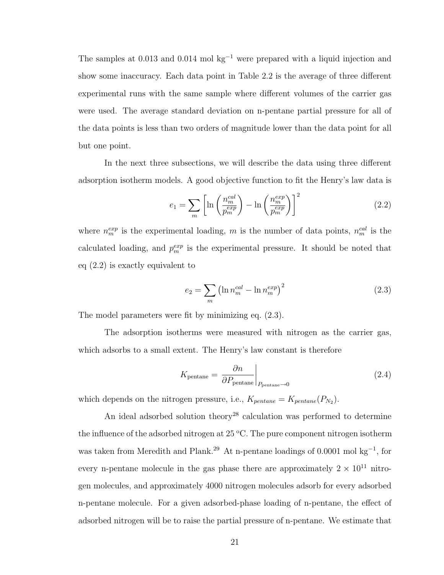The samples at  $0.013$  and  $0.014$  mol kg<sup>-1</sup> were prepared with a liquid injection and show some inaccuracy. Each data point in Table 2.2 is the average of three different experimental runs with the same sample where different volumes of the carrier gas were used. The average standard deviation on n-pentane partial pressure for all of the data points is less than two orders of magnitude lower than the data point for all but one point.

In the next three subsections, we will describe the data using three different adsorption isotherm models. A good objective function to fit the Henry's law data is

$$
e_1 = \sum_{m} \left[ \ln \left( \frac{n_m^{cal}}{p_m^{exp}} \right) - \ln \left( \frac{n_m^{exp}}{p_m^{exp}} \right) \right]^2 \tag{2.2}
$$

where  $n_m^{exp}$  is the experimental loading, m is the number of data points,  $n_m^{cal}$  is the calculated loading, and  $p_m^{exp}$  is the experimental pressure. It should be noted that eq (2.2) is exactly equivalent to

$$
e_2 = \sum_{m} \left( \ln n_m^{cal} - \ln n_m^{exp} \right)^2 \tag{2.3}
$$

The model parameters were fit by minimizing eq. (2.3).

The adsorption isotherms were measured with nitrogen as the carrier gas, which adsorbs to a small extent. The Henry's law constant is therefore

$$
K_{\text{pentane}} = \left. \frac{\partial n}{\partial P_{\text{pentane}}} \right|_{P_{\text{pentane}} \to 0} \tag{2.4}
$$

which depends on the nitrogen pressure, i.e.,  $K_{pentane} = K_{pentane}(P_{N_2})$ .

An ideal adsorbed solution theory<sup>28</sup> calculation was performed to determine the influence of the adsorbed nitrogen at  $25 \degree C$ . The pure component nitrogen isotherm was taken from Meredith and Plank.<sup>29</sup> At n-pentane loadings of 0.0001 mol kg<sup>-1</sup>, for every n-pentane molecule in the gas phase there are approximately  $2 \times 10^{11}$  nitrogen molecules, and approximately 4000 nitrogen molecules adsorb for every adsorbed n-pentane molecule. For a given adsorbed-phase loading of n-pentane, the effect of adsorbed nitrogen will be to raise the partial pressure of n-pentane. We estimate that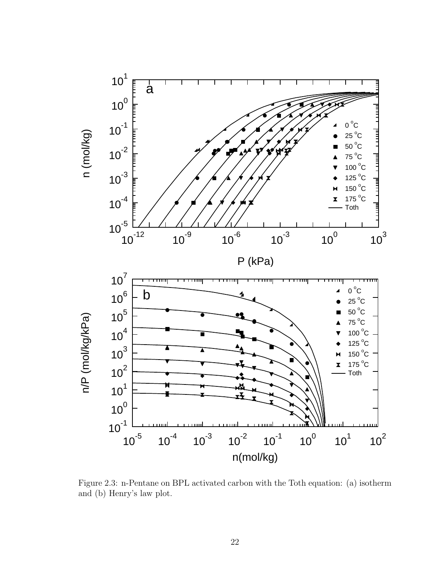

Figure 2.3: n-Pentane on BPL activated carbon with the Toth equation: (a) isotherm and (b) Henry's law plot.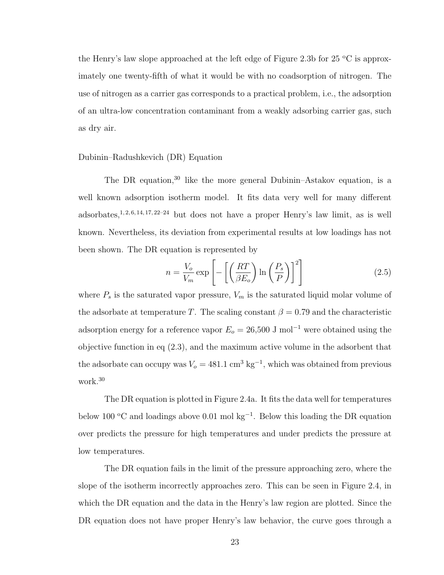the Henry's law slope approached at the left edge of Figure 2.3b for  $25\text{ °C}$  is approximately one twenty-fifth of what it would be with no coadsorption of nitrogen. The use of nitrogen as a carrier gas corresponds to a practical problem, i.e., the adsorption of an ultra-low concentration contaminant from a weakly adsorbing carrier gas, such as dry air.

### Dubinin–Radushkevich (DR) Equation

The DR equation,<sup>30</sup> like the more general Dubinin–Astakov equation, is a well known adsorption isotherm model. It fits data very well for many different adsorbates,<sup>1, 2, 6, 14, 17, 22–24</sup> but does not have a proper Henry's law limit, as is well known. Nevertheless, its deviation from experimental results at low loadings has not been shown. The DR equation is represented by

$$
n = \frac{V_o}{V_m} \exp\left[-\left[\left(\frac{RT}{\beta E_o}\right) \ln\left(\frac{P_s}{P}\right)\right]^2\right]
$$
 (2.5)

where  $P_s$  is the saturated vapor pressure,  $V_m$  is the saturated liquid molar volume of the adsorbate at temperature T. The scaling constant  $\beta = 0.79$  and the characteristic adsorption energy for a reference vapor  $E_o = 26,500$  J mol<sup>-1</sup> were obtained using the objective function in eq (2.3), and the maximum active volume in the adsorbent that the adsorbate can occupy was  $V_o = 481.1 \text{ cm}^3 \text{ kg}^{-1}$ , which was obtained from previous work.<sup>30</sup>

The DR equation is plotted in Figure 2.4a. It fits the data well for temperatures below 100  $\rm{^{\circ}C}$  and loadings above 0.01 mol kg<sup>-1</sup>. Below this loading the DR equation over predicts the pressure for high temperatures and under predicts the pressure at low temperatures.

The DR equation fails in the limit of the pressure approaching zero, where the slope of the isotherm incorrectly approaches zero. This can be seen in Figure 2.4, in which the DR equation and the data in the Henry's law region are plotted. Since the DR equation does not have proper Henry's law behavior, the curve goes through a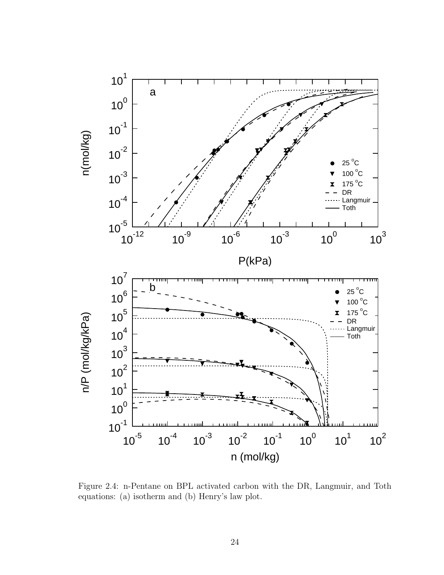

Figure 2.4: n-Pentane on BPL activated carbon with the DR, Langmuir, and Toth equations: (a) isotherm and (b) Henry's law plot.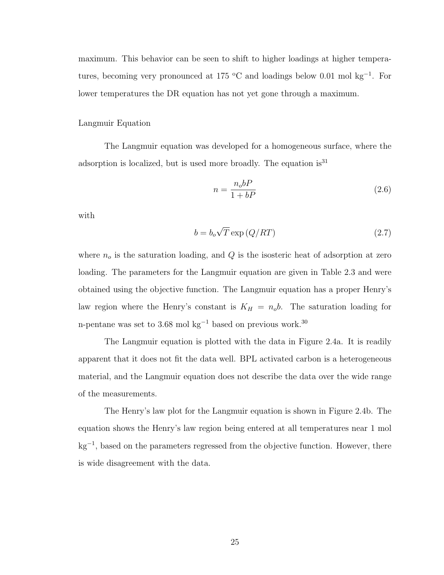maximum. This behavior can be seen to shift to higher loadings at higher temperatures, becoming very pronounced at 175  $\rm{^{\circ}C}$  and loadings below 0.01 mol kg<sup>-1</sup>. For lower temperatures the DR equation has not yet gone through a maximum.

### Langmuir Equation

The Langmuir equation was developed for a homogeneous surface, where the adsorption is localized, but is used more broadly. The equation  $is<sup>31</sup>$ 

$$
n = \frac{n_o bP}{1 + bP} \tag{2.6}
$$

with

$$
b = b_o \sqrt{T} \exp\left(Q/RT\right) \tag{2.7}
$$

where  $n<sub>o</sub>$  is the saturation loading, and  $Q$  is the isosteric heat of adsorption at zero loading. The parameters for the Langmuir equation are given in Table 2.3 and were obtained using the objective function. The Langmuir equation has a proper Henry's law region where the Henry's constant is  $K_H = n_0 b$ . The saturation loading for n-pentane was set to 3.68 mol kg<sup>-1</sup> based on previous work.<sup>30</sup>

The Langmuir equation is plotted with the data in Figure 2.4a. It is readily apparent that it does not fit the data well. BPL activated carbon is a heterogeneous material, and the Langmuir equation does not describe the data over the wide range of the measurements.

The Henry's law plot for the Langmuir equation is shown in Figure 2.4b. The equation shows the Henry's law region being entered at all temperatures near 1 mol kg<sup>−</sup><sup>1</sup> , based on the parameters regressed from the objective function. However, there is wide disagreement with the data.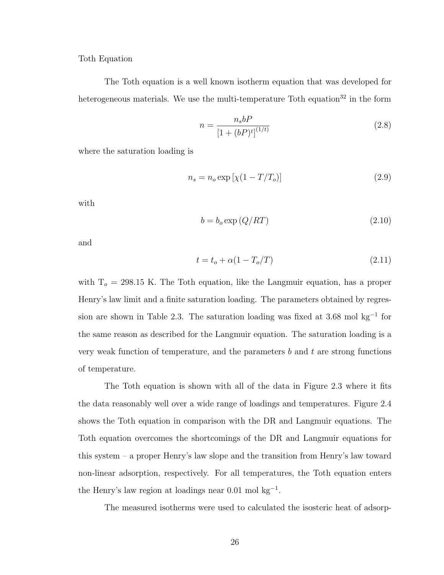### Toth Equation

The Toth equation is a well known isotherm equation that was developed for heterogeneous materials. We use the multi-temperature Toth equation<sup>32</sup> in the form

$$
n = \frac{n_s bP}{\left[1 + (bP)^t\right]^{(1/t)}}
$$
\n(2.8)

where the saturation loading is

$$
n_s = n_o \exp\left[\chi(1 - T/T_o)\right] \tag{2.9}
$$

with

$$
b = b_o \exp\left(Q/RT\right) \tag{2.10}
$$

and

$$
t = t_o + \alpha (1 - T_o/T) \tag{2.11}
$$

with  $T<sub>o</sub> = 298.15$  K. The Toth equation, like the Langmuir equation, has a proper Henry's law limit and a finite saturation loading. The parameters obtained by regression are shown in Table 2.3. The saturation loading was fixed at 3.68 mol kg<sup>-1</sup> for the same reason as described for the Langmuir equation. The saturation loading is a very weak function of temperature, and the parameters  $b$  and  $t$  are strong functions of temperature.

The Toth equation is shown with all of the data in Figure 2.3 where it fits the data reasonably well over a wide range of loadings and temperatures. Figure 2.4 shows the Toth equation in comparison with the DR and Langmuir equations. The Toth equation overcomes the shortcomings of the DR and Langmuir equations for this system – a proper Henry's law slope and the transition from Henry's law toward non-linear adsorption, respectively. For all temperatures, the Toth equation enters the Henry's law region at loadings near  $0.01$  mol kg<sup>-1</sup>.

The measured isotherms were used to calculated the isosteric heat of adsorp-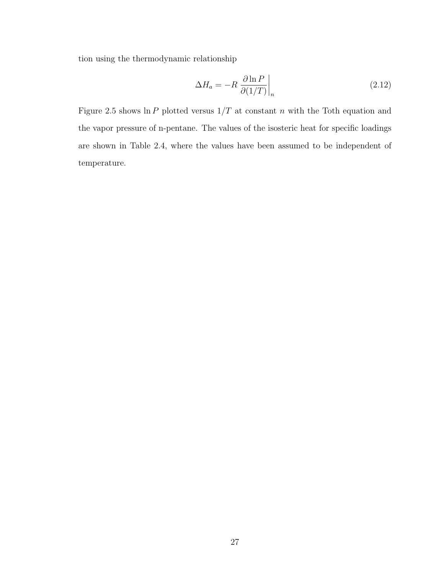tion using the thermodynamic relationship

$$
\Delta H_a = -R \left. \frac{\partial \ln P}{\partial (1/T)} \right|_n \tag{2.12}
$$

Figure 2.5 shows  $\ln P$  plotted versus  $1/T$  at constant n with the Toth equation and the vapor pressure of n-pentane. The values of the isosteric heat for specific loadings are shown in Table 2.4, where the values have been assumed to be independent of temperature.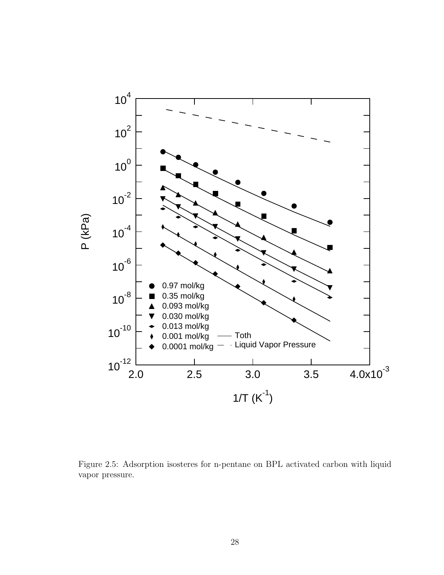

Figure 2.5: Adsorption isosteres for n-pentane on BPL activated carbon with liquid vapor pressure.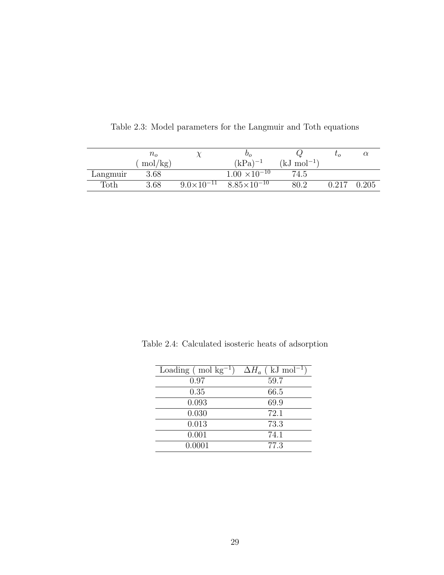|          | $n_{o}$ |                     | $\sigma_{\alpha}$      |                | $\iota_{\Omega}$ |       |
|----------|---------|---------------------|------------------------|----------------|------------------|-------|
|          | mol/kg) |                     | $(kPa)^{-1}$           | $(kJ \mod -1)$ |                  |       |
| Langmuir | 3.68    |                     | $1.00 \times 10^{-10}$ | 74.5           |                  |       |
| Toth     | 3.68    | $9.0\times10^{-11}$ | $8.85 \times 10^{-10}$ | 80.2           | $\rm 0.217$      | 0.205 |

Table 2.3: Model parameters for the Langmuir and Toth equations

| Loading $\pmod{kg^{-1}}$ | $\Delta H_a$ (kJ mol <sup>-1</sup> ) |
|--------------------------|--------------------------------------|
| 0.97                     | 59.7                                 |
| 0.35                     | 66.5                                 |
| 0.093                    | 69.9                                 |
| 0.030                    | 72.1                                 |
| 0.013                    | 73.3                                 |
| 0.001                    | 74.1                                 |
| 0.0001                   | 77.3                                 |

Table 2.4: Calculated isosteric heats of adsorption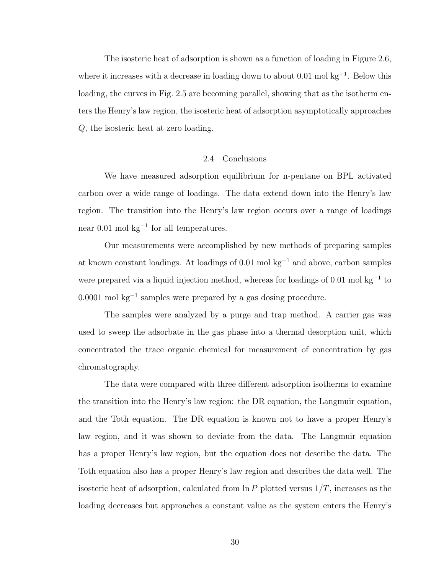The isosteric heat of adsorption is shown as a function of loading in Figure 2.6, where it increases with a decrease in loading down to about  $0.01$  mol kg<sup>-1</sup>. Below this loading, the curves in Fig. 2.5 are becoming parallel, showing that as the isotherm enters the Henry's law region, the isosteric heat of adsorption asymptotically approaches Q, the isosteric heat at zero loading.

# 2.4 Conclusions

We have measured adsorption equilibrium for n-pentane on BPL activated carbon over a wide range of loadings. The data extend down into the Henry's law region. The transition into the Henry's law region occurs over a range of loadings near  $0.01$  mol  $\text{kg}^{-1}$  for all temperatures.

Our measurements were accomplished by new methods of preparing samples at known constant loadings. At loadings of 0.01 mol kg<sup>−</sup><sup>1</sup> and above, carbon samples were prepared via a liquid injection method, whereas for loadings of 0.01 mol kg<sup>-1</sup> to 0.0001 mol kg<sup>−</sup><sup>1</sup> samples were prepared by a gas dosing procedure.

The samples were analyzed by a purge and trap method. A carrier gas was used to sweep the adsorbate in the gas phase into a thermal desorption unit, which concentrated the trace organic chemical for measurement of concentration by gas chromatography.

The data were compared with three different adsorption isotherms to examine the transition into the Henry's law region: the DR equation, the Langmuir equation, and the Toth equation. The DR equation is known not to have a proper Henry's law region, and it was shown to deviate from the data. The Langmuir equation has a proper Henry's law region, but the equation does not describe the data. The Toth equation also has a proper Henry's law region and describes the data well. The isosteric heat of adsorption, calculated from  $\ln P$  plotted versus  $1/T$ , increases as the loading decreases but approaches a constant value as the system enters the Henry's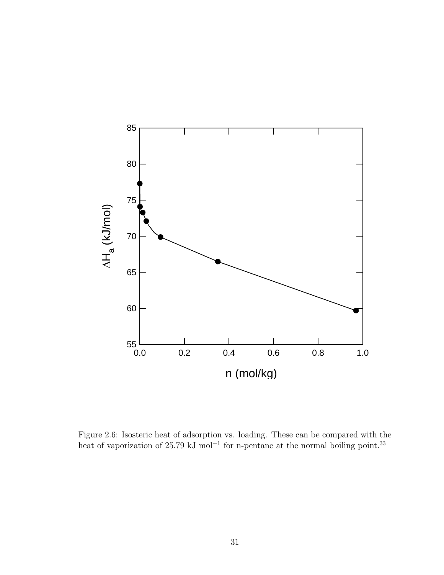

Figure 2.6: Isosteric heat of adsorption vs. loading. These can be compared with the heat of vaporization of 25.79 kJ mol<sup>-1</sup> for n-pentane at the normal boiling point.<sup>33</sup>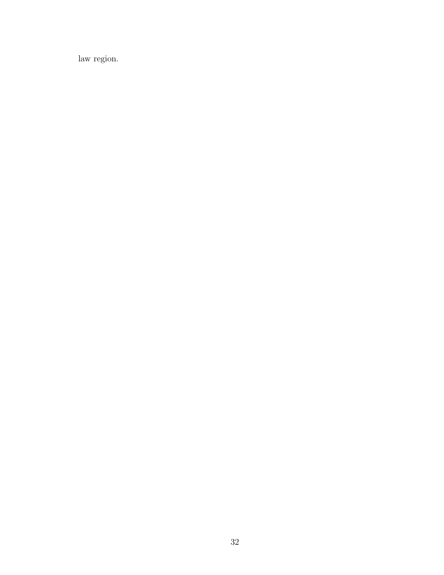law region.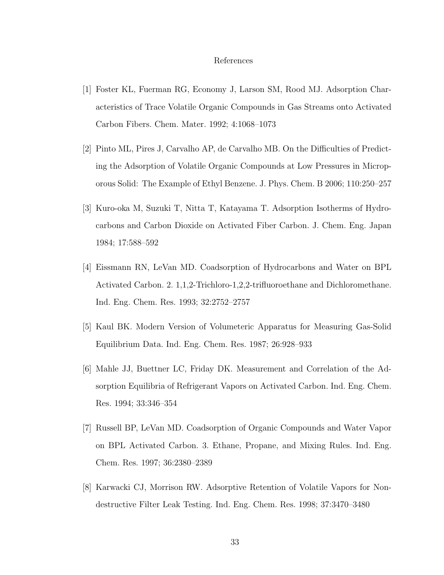#### References

- [1] Foster KL, Fuerman RG, Economy J, Larson SM, Rood MJ. Adsorption Characteristics of Trace Volatile Organic Compounds in Gas Streams onto Activated Carbon Fibers. Chem. Mater. 1992; 4:1068–1073
- [2] Pinto ML, Pires J, Carvalho AP, de Carvalho MB. On the Difficulties of Predicting the Adsorption of Volatile Organic Compounds at Low Pressures in Microporous Solid: The Example of Ethyl Benzene. J. Phys. Chem. B 2006; 110:250–257
- [3] Kuro-oka M, Suzuki T, Nitta T, Katayama T. Adsorption Isotherms of Hydrocarbons and Carbon Dioxide on Activated Fiber Carbon. J. Chem. Eng. Japan 1984; 17:588–592
- [4] Eissmann RN, LeVan MD. Coadsorption of Hydrocarbons and Water on BPL Activated Carbon. 2. 1,1,2-Trichloro-1,2,2-trifluoroethane and Dichloromethane. Ind. Eng. Chem. Res. 1993; 32:2752–2757
- [5] Kaul BK. Modern Version of Volumeteric Apparatus for Measuring Gas-Solid Equilibrium Data. Ind. Eng. Chem. Res. 1987; 26:928–933
- [6] Mahle JJ, Buettner LC, Friday DK. Measurement and Correlation of the Adsorption Equilibria of Refrigerant Vapors on Activated Carbon. Ind. Eng. Chem. Res. 1994; 33:346–354
- [7] Russell BP, LeVan MD. Coadsorption of Organic Compounds and Water Vapor on BPL Activated Carbon. 3. Ethane, Propane, and Mixing Rules. Ind. Eng. Chem. Res. 1997; 36:2380–2389
- [8] Karwacki CJ, Morrison RW. Adsorptive Retention of Volatile Vapors for Nondestructive Filter Leak Testing. Ind. Eng. Chem. Res. 1998; 37:3470–3480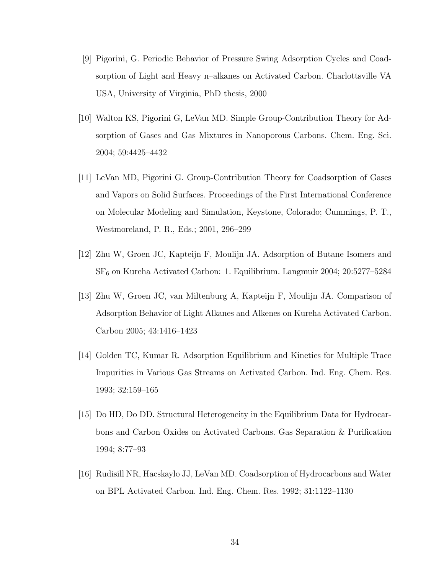- [9] Pigorini, G. Periodic Behavior of Pressure Swing Adsorption Cycles and Coadsorption of Light and Heavy n–alkanes on Activated Carbon. Charlottsville VA USA, University of Virginia, PhD thesis, 2000
- [10] Walton KS, Pigorini G, LeVan MD. Simple Group-Contribution Theory for Adsorption of Gases and Gas Mixtures in Nanoporous Carbons. Chem. Eng. Sci. 2004; 59:4425–4432
- [11] LeVan MD, Pigorini G. Group-Contribution Theory for Coadsorption of Gases and Vapors on Solid Surfaces. Proceedings of the First International Conference on Molecular Modeling and Simulation, Keystone, Colorado; Cummings, P. T., Westmoreland, P. R., Eds.; 2001, 296–299
- [12] Zhu W, Groen JC, Kapteijn F, Moulijn JA. Adsorption of Butane Isomers and  $SF<sub>6</sub>$  on Kureha Activated Carbon: 1. Equilibrium. Langmuir 2004; 20:5277–5284
- [13] Zhu W, Groen JC, van Miltenburg A, Kapteijn F, Moulijn JA. Comparison of Adsorption Behavior of Light Alkanes and Alkenes on Kureha Activated Carbon. Carbon 2005; 43:1416–1423
- [14] Golden TC, Kumar R. Adsorption Equilibrium and Kinetics for Multiple Trace Impurities in Various Gas Streams on Activated Carbon. Ind. Eng. Chem. Res. 1993; 32:159–165
- [15] Do HD, Do DD. Structural Heterogeneity in the Equilibrium Data for Hydrocarbons and Carbon Oxides on Activated Carbons. Gas Separation & Purification 1994; 8:77–93
- [16] Rudisill NR, Hacskaylo JJ, LeVan MD. Coadsorption of Hydrocarbons and Water on BPL Activated Carbon. Ind. Eng. Chem. Res. 1992; 31:1122–1130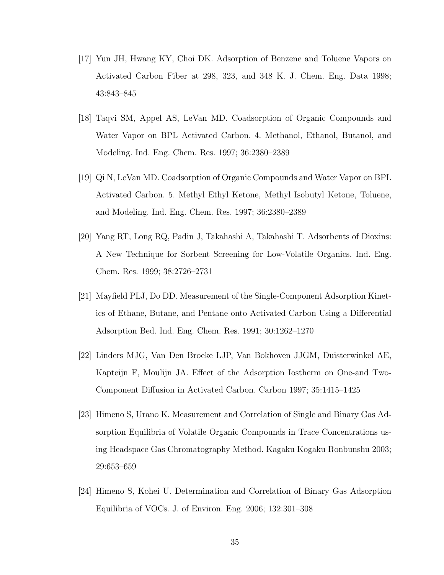- [17] Yun JH, Hwang KY, Choi DK. Adsorption of Benzene and Toluene Vapors on Activated Carbon Fiber at 298, 323, and 348 K. J. Chem. Eng. Data 1998; 43:843–845
- [18] Taqvi SM, Appel AS, LeVan MD. Coadsorption of Organic Compounds and Water Vapor on BPL Activated Carbon. 4. Methanol, Ethanol, Butanol, and Modeling. Ind. Eng. Chem. Res. 1997; 36:2380–2389
- [19] Qi N, LeVan MD. Coadsorption of Organic Compounds and Water Vapor on BPL Activated Carbon. 5. Methyl Ethyl Ketone, Methyl Isobutyl Ketone, Toluene, and Modeling. Ind. Eng. Chem. Res. 1997; 36:2380–2389
- [20] Yang RT, Long RQ, Padin J, Takahashi A, Takahashi T. Adsorbents of Dioxins: A New Technique for Sorbent Screening for Low-Volatile Organics. Ind. Eng. Chem. Res. 1999; 38:2726–2731
- [21] Mayfield PLJ, Do DD. Measurement of the Single-Component Adsorption Kinetics of Ethane, Butane, and Pentane onto Activated Carbon Using a Differential Adsorption Bed. Ind. Eng. Chem. Res. 1991; 30:1262–1270
- [22] Linders MJG, Van Den Broeke LJP, Van Bokhoven JJGM, Duisterwinkel AE, Kapteijn F, Moulijn JA. Effect of the Adsorption Iostherm on One-and Two-Component Diffusion in Activated Carbon. Carbon 1997; 35:1415–1425
- [23] Himeno S, Urano K. Measurement and Correlation of Single and Binary Gas Adsorption Equilibria of Volatile Organic Compounds in Trace Concentrations using Headspace Gas Chromatography Method. Kagaku Kogaku Ronbunshu 2003; 29:653–659
- [24] Himeno S, Kohei U. Determination and Correlation of Binary Gas Adsorption Equilibria of VOCs. J. of Environ. Eng. 2006; 132:301–308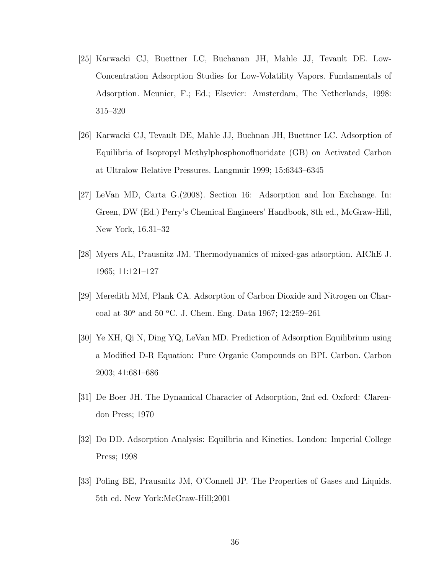- [25] Karwacki CJ, Buettner LC, Buchanan JH, Mahle JJ, Tevault DE. Low-Concentration Adsorption Studies for Low-Volatility Vapors. Fundamentals of Adsorption. Meunier, F.; Ed.; Elsevier: Amsterdam, The Netherlands, 1998: 315–320
- [26] Karwacki CJ, Tevault DE, Mahle JJ, Buchnan JH, Buettner LC. Adsorption of Equilibria of Isopropyl Methylphosphonofluoridate (GB) on Activated Carbon at Ultralow Relative Pressures. Langmuir 1999; 15:6343–6345
- [27] LeVan MD, Carta G.(2008). Section 16: Adsorption and Ion Exchange. In: Green, DW (Ed.) Perry's Chemical Engineers' Handbook, 8th ed., McGraw-Hill, New York, 16.31–32
- [28] Myers AL, Prausnitz JM. Thermodynamics of mixed-gas adsorption. AIChE J. 1965; 11:121–127
- [29] Meredith MM, Plank CA. Adsorption of Carbon Dioxide and Nitrogen on Charcoal at 30<sup>o</sup> and 50 <sup>o</sup>C. J. Chem. Eng. Data 1967; 12:259-261
- [30] Ye XH, Qi N, Ding YQ, LeVan MD. Prediction of Adsorption Equilibrium using a Modified D-R Equation: Pure Organic Compounds on BPL Carbon. Carbon 2003; 41:681–686
- [31] De Boer JH. The Dynamical Character of Adsorption, 2nd ed. Oxford: Clarendon Press; 1970
- [32] Do DD. Adsorption Analysis: Equilbria and Kinetics. London: Imperial College Press; 1998
- [33] Poling BE, Prausnitz JM, O'Connell JP. The Properties of Gases and Liquids. 5th ed. New York:McGraw-Hill;2001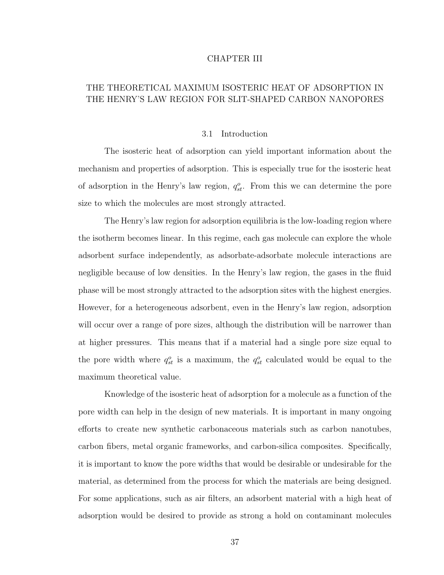#### CHAPTER III

# THE THEORETICAL MAXIMUM ISOSTERIC HEAT OF ADSORPTION IN THE HENRY'S LAW REGION FOR SLIT-SHAPED CARBON NANOPORES

#### 3.1 Introduction

The isosteric heat of adsorption can yield important information about the mechanism and properties of adsorption. This is especially true for the isosteric heat of adsorption in the Henry's law region,  $q_{st}^o$ . From this we can determine the pore size to which the molecules are most strongly attracted.

The Henry's law region for adsorption equilibria is the low-loading region where the isotherm becomes linear. In this regime, each gas molecule can explore the whole adsorbent surface independently, as adsorbate-adsorbate molecule interactions are negligible because of low densities. In the Henry's law region, the gases in the fluid phase will be most strongly attracted to the adsorption sites with the highest energies. However, for a heterogeneous adsorbent, even in the Henry's law region, adsorption will occur over a range of pore sizes, although the distribution will be narrower than at higher pressures. This means that if a material had a single pore size equal to the pore width where  $q_{st}^o$  is a maximum, the  $q_{st}^o$  calculated would be equal to the maximum theoretical value.

Knowledge of the isosteric heat of adsorption for a molecule as a function of the pore width can help in the design of new materials. It is important in many ongoing efforts to create new synthetic carbonaceous materials such as carbon nanotubes, carbon fibers, metal organic frameworks, and carbon-silica composites. Specifically, it is important to know the pore widths that would be desirable or undesirable for the material, as determined from the process for which the materials are being designed. For some applications, such as air filters, an adsorbent material with a high heat of adsorption would be desired to provide as strong a hold on contaminant molecules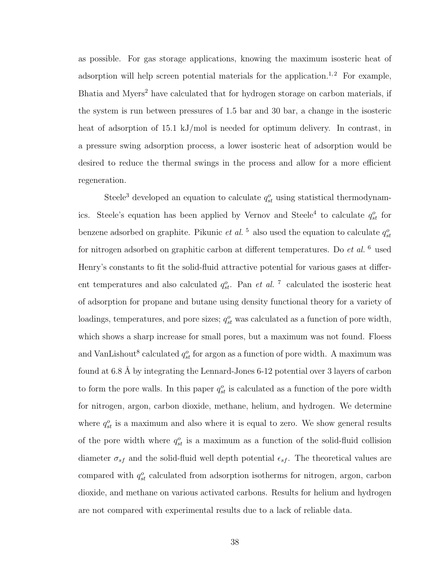as possible. For gas storage applications, knowing the maximum isosteric heat of adsorption will help screen potential materials for the application.<sup>1,2</sup> For example, Bhatia and Myers<sup>2</sup> have calculated that for hydrogen storage on carbon materials, if the system is run between pressures of 1.5 bar and 30 bar, a change in the isosteric heat of adsorption of 15.1 kJ/mol is needed for optimum delivery. In contrast, in a pressure swing adsorption process, a lower isosteric heat of adsorption would be desired to reduce the thermal swings in the process and allow for a more efficient regeneration.

Steele<sup>3</sup> developed an equation to calculate  $q_{st}^o$  using statistical thermodynamics. Steele's equation has been applied by Vernov and Steele<sup>4</sup> to calculate  $q_{st}^o$  for benzene adsorbed on graphite. Pikunic *et al.*<sup>5</sup> also used the equation to calculate  $q_{st}^o$ for nitrogen adsorbed on graphitic carbon at different temperatures. Do  $et$  al.  $6$  used Henry's constants to fit the solid-fluid attractive potential for various gases at different temperatures and also calculated  $q_{st}^o$ . Pan *et al.* <sup>7</sup> calculated the isosteric heat of adsorption for propane and butane using density functional theory for a variety of loadings, temperatures, and pore sizes;  $q_{st}^o$  was calculated as a function of pore width, which shows a sharp increase for small pores, but a maximum was not found. Floess and VanLishout<sup>8</sup> calculated  $q_{st}^o$  for argon as a function of pore width. A maximum was found at 6.8 Å by integrating the Lennard-Jones 6-12 potential over 3 layers of carbon to form the pore walls. In this paper  $q_{st}^o$  is calculated as a function of the pore width for nitrogen, argon, carbon dioxide, methane, helium, and hydrogen. We determine where  $q_{st}^o$  is a maximum and also where it is equal to zero. We show general results of the pore width where  $q_{st}^o$  is a maximum as a function of the solid-fluid collision diameter  $\sigma_{sf}$  and the solid-fluid well depth potential  $\epsilon_{sf}$ . The theoretical values are compared with  $q_{st}^o$  calculated from adsorption isotherms for nitrogen, argon, carbon dioxide, and methane on various activated carbons. Results for helium and hydrogen are not compared with experimental results due to a lack of reliable data.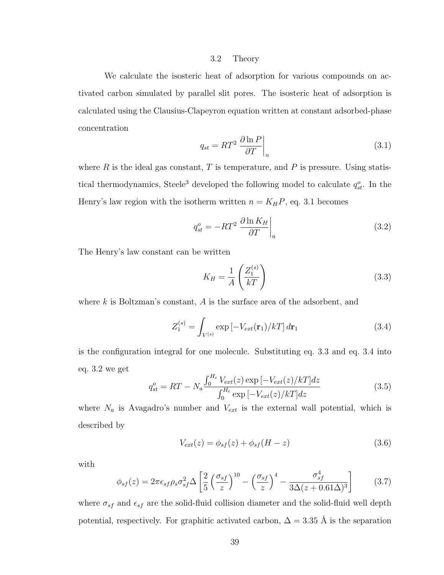#### 3.2 Theory

We calculate the isosteric heat of adsorption for various compounds on activated carbon simulated by parallel slit pores. The isosteric heat of adsorption is calculated using the Clausius-Clapeyron equation written at constant adsorbed-phase concentration

$$
q_{st} = RT^2 \left. \frac{\partial \ln P}{\partial T} \right|_n \tag{3.1}
$$

where  $R$  is the ideal gas constant,  $T$  is temperature, and  $P$  is pressure. Using statistical thermodynamics, Steele<sup>3</sup> developed the following model to calculate  $q_{st}^o$ . In the Henry's law region with the isotherm written  $n = K_H P$ , eq. 3.1 becomes

$$
q_{st}^o = -RT^2 \left. \frac{\partial \ln K_H}{\partial T} \right|_n \tag{3.2}
$$

The Henry's law constant can be written

$$
K_H = \frac{1}{A} \left( \frac{Z_1^{(s)}}{kT} \right) \tag{3.3}
$$

where  $k$  is Boltzman's constant,  $A$  is the surface area of the adsorbent, and

$$
Z_1^{(s)} = \int_{V^{(s)}} \exp\left[-V_{ext}(\mathbf{r}_1)/kT\right] d\mathbf{r}_1 \tag{3.4}
$$

is the configuration integral for one molecule. Substituting eq. 3.3 and eq. 3.4 into eq. 3.2 we get

$$
q_{st}^{o} = RT - N_a \frac{\int_0^{H_c} V_{ext}(z) \exp[-V_{ext}(z)/kT] dz}{\int_0^{H_c} \exp[-V_{ext}(z)/kT] dz}
$$
(3.5)

where  $N_a$  is Avagadro's number and  $V_{ext}$  is the external wall potential, which is described by

$$
V_{ext}(z) = \phi_{sf}(z) + \phi_{sf}(H - z)
$$
\n(3.6)

with

$$
\phi_{sf}(z) = 2\pi\epsilon_{sf}\rho_s\sigma_{sf}^2\Delta\left[\frac{2}{5}\left(\frac{\sigma_{sf}}{z}\right)^{10} - \left(\frac{\sigma_{sf}}{z}\right)^4 - \frac{\sigma_{sf}^4}{3\Delta(z+0.61\Delta)^3}\right]
$$
(3.7)

where  $\sigma_{sf}$  and  $\epsilon_{sf}$  are the solid-fluid collision diameter and the solid-fluid well depth potential, respectively. For graphitic activated carbon,  $\Delta = 3.35$  Å is the separation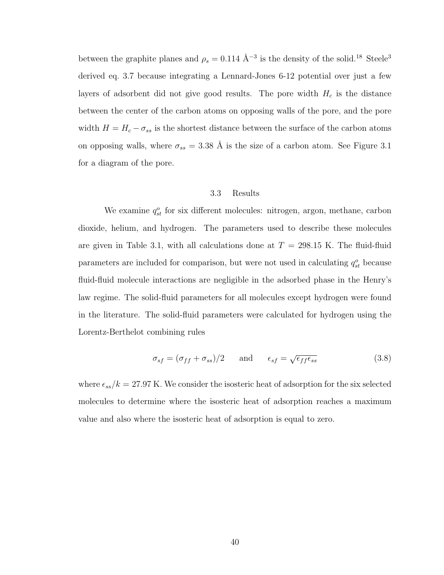between the graphite planes and  $\rho_s = 0.114 \text{ Å}^{-3}$  is the density of the solid.<sup>18</sup> Steele<sup>3</sup> derived eq. 3.7 because integrating a Lennard-Jones 6-12 potential over just a few layers of adsorbent did not give good results. The pore width  $H_c$  is the distance between the center of the carbon atoms on opposing walls of the pore, and the pore width  $H = H_c - \sigma_{ss}$  is the shortest distance between the surface of the carbon atoms on opposing walls, where  $\sigma_{ss} = 3.38 \text{ Å}$  is the size of a carbon atom. See Figure 3.1 for a diagram of the pore.

#### 3.3 Results

We examine  $q_{st}^o$  for six different molecules: nitrogen, argon, methane, carbon dioxide, helium, and hydrogen. The parameters used to describe these molecules are given in Table 3.1, with all calculations done at  $T = 298.15$  K. The fluid-fluid parameters are included for comparison, but were not used in calculating  $q_{st}^o$  because fluid-fluid molecule interactions are negligible in the adsorbed phase in the Henry's law regime. The solid-fluid parameters for all molecules except hydrogen were found in the literature. The solid-fluid parameters were calculated for hydrogen using the Lorentz-Berthelot combining rules

$$
\sigma_{sf} = (\sigma_{ff} + \sigma_{ss})/2 \quad \text{and} \quad \epsilon_{sf} = \sqrt{\epsilon_{ff} \epsilon_{ss}} \tag{3.8}
$$

where  $\epsilon_{ss}/k = 27.97$  K. We consider the isosteric heat of adsorption for the six selected molecules to determine where the isosteric heat of adsorption reaches a maximum value and also where the isosteric heat of adsorption is equal to zero.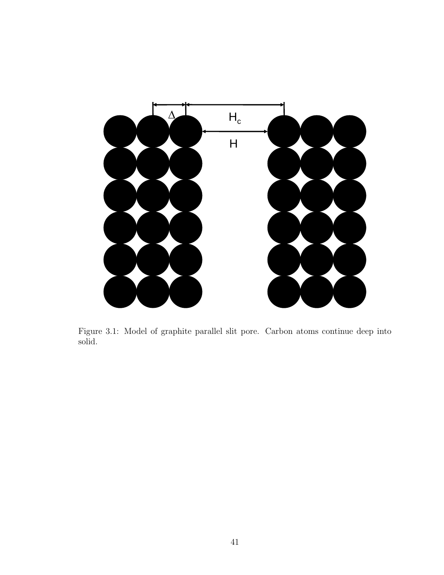

Figure 3.1: Model of graphite parallel slit pore. Carbon atoms continue deep into solid.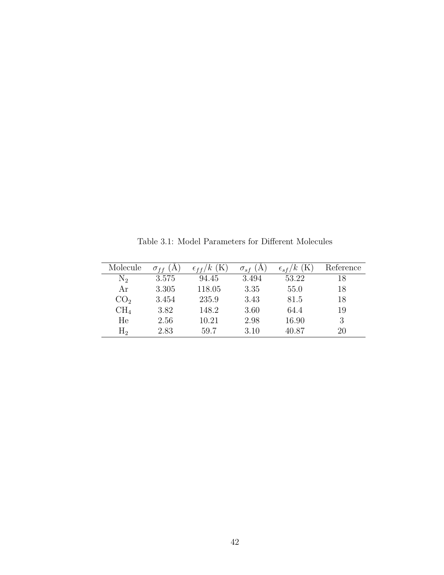| Molecule        | $\sigma_{ff}$<br>(A) | (K)<br>$\kappa$<br>$\epsilon$ ff/ | $\sigma_{sf}$ (A | $\epsilon_{sf}/k$ (K) | Reference |
|-----------------|----------------------|-----------------------------------|------------------|-----------------------|-----------|
| $N_2$           | 3.575                | 94.45                             | 3.494            | 53.22                 | 18        |
| Αr              | 3.305                | 118.05                            | 3.35             | 55.0                  | 18        |
| CO <sub>2</sub> | 3.454                | 235.9                             | 3.43             | 81.5                  | 18        |
| CH <sub>4</sub> | 3.82                 | 148.2                             | 3.60             | 64.4                  | 19        |
| He              | 2.56                 | 10.21                             | 2.98             | 16.90                 | 3         |
| $\rm{H}_{2}$    | 2.83                 | 59.7                              | 3.10             | 40.87                 | 20        |

Table 3.1: Model Parameters for Different Molecules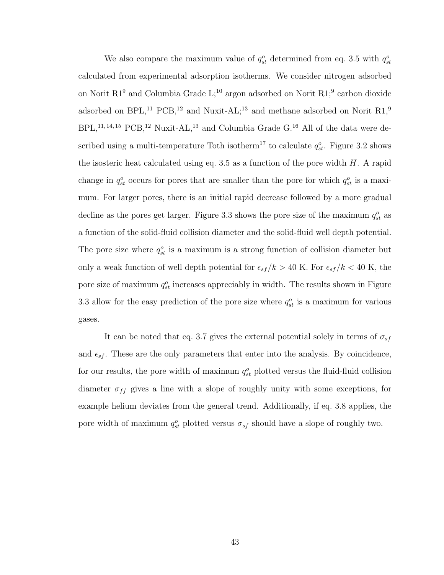We also compare the maximum value of  $q_{st}^o$  determined from eq. 3.5 with  $q_{st}^o$ calculated from experimental adsorption isotherms. We consider nitrogen adsorbed on Norit R1<sup>9</sup> and Columbia Grade L;<sup>10</sup> argon adsorbed on Norit R1;<sup>9</sup> carbon dioxide adsorbed on BPL,<sup>11</sup> PCB,<sup>12</sup> and Nuxit-AL;<sup>13</sup> and methane adsorbed on Norit R1,<sup>9</sup>  $BPL$ ,<sup>11,14,15</sup> PCB,<sup>12</sup> Nuxit-AL,<sup>13</sup> and Columbia Grade G.<sup>16</sup> All of the data were described using a multi-temperature Toth isotherm<sup>17</sup> to calculate  $q_{st}^o$ . Figure 3.2 shows the isosteric heat calculated using eq. 3.5 as a function of the pore width  $H$ . A rapid change in  $q_{st}^o$  occurs for pores that are smaller than the pore for which  $q_{st}^o$  is a maximum. For larger pores, there is an initial rapid decrease followed by a more gradual decline as the pores get larger. Figure 3.3 shows the pore size of the maximum  $q_{st}^o$  as a function of the solid-fluid collision diameter and the solid-fluid well depth potential. The pore size where  $q_{st}^o$  is a maximum is a strong function of collision diameter but only a weak function of well depth potential for  $\epsilon_{sf} / k > 40$  K. For  $\epsilon_{sf} / k < 40$  K, the pore size of maximum  $q_{st}^o$  increases appreciably in width. The results shown in Figure 3.3 allow for the easy prediction of the pore size where  $q_{st}^o$  is a maximum for various gases.

It can be noted that eq. 3.7 gives the external potential solely in terms of  $\sigma_{sf}$ and  $\epsilon_{sf}$ . These are the only parameters that enter into the analysis. By coincidence, for our results, the pore width of maximum  $q_{st}^o$  plotted versus the fluid-fluid collision diameter  $\sigma_{ff}$  gives a line with a slope of roughly unity with some exceptions, for example helium deviates from the general trend. Additionally, if eq. 3.8 applies, the pore width of maximum  $q_{st}^o$  plotted versus  $\sigma_{sf}$  should have a slope of roughly two.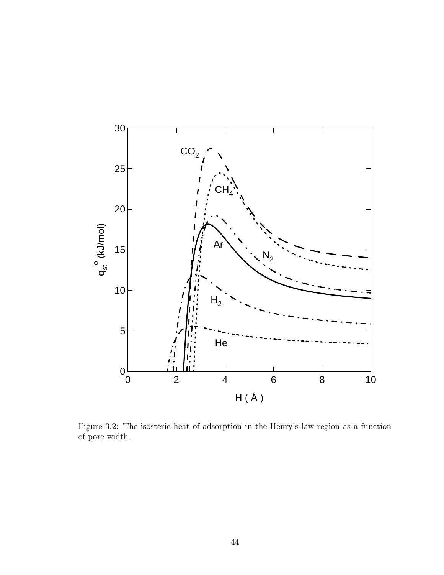

 $F = \text{at } \mathfrak{m}$ . Figure 3.2: The isosteric heat of adsorption in the Henry's law region as a function of pore width.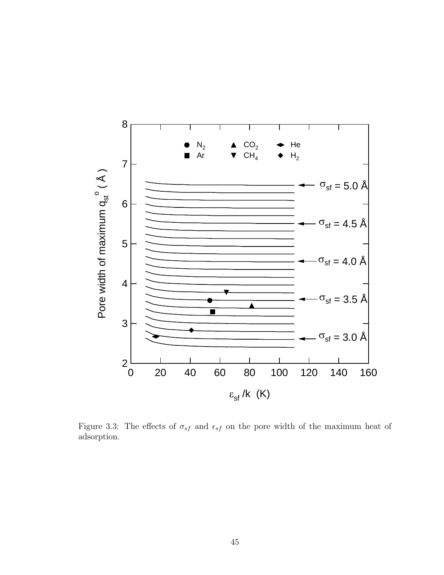

Figure 3.3: The effects of  $\sigma_{sf}$  and  $\epsilon_{sf}$  on the pore width of the maximum heat of adsorption.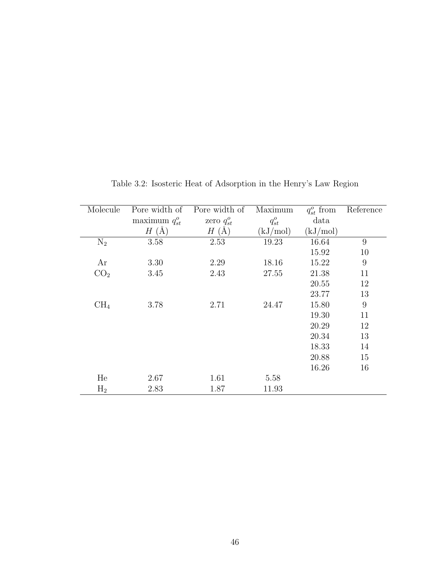| Molecule        | Pore width of          | Pore width of   | Maximum    | $q_{st}^o$ from | Reference |
|-----------------|------------------------|-----------------|------------|-----------------|-----------|
|                 | maximum $q_{st}^o$     | zero $q_{st}^o$ | $q_{st}^o$ | data            |           |
|                 | (A)<br>$H_{\parallel}$ | $H(\AA)$        | (kJ/mol)   | (kJ/mol)        |           |
| $N_2$           | 3.58                   | 2.53            | 19.23      | 16.64           | 9         |
|                 |                        |                 |            | 15.92           | 10        |
| Ar              | 3.30                   | 2.29            | 18.16      | 15.22           | 9         |
| CO <sub>2</sub> | 3.45                   | 2.43            | 27.55      | 21.38           | 11        |
|                 |                        |                 |            | 20.55           | 12        |
|                 |                        |                 |            | 23.77           | 13        |
| CH <sub>4</sub> | 3.78                   | 2.71            | 24.47      | 15.80           | 9         |
|                 |                        |                 |            | 19.30           | 11        |
|                 |                        |                 |            | 20.29           | 12        |
|                 |                        |                 |            | 20.34           | 13        |
|                 |                        |                 |            | 18.33           | 14        |
|                 |                        |                 |            | 20.88           | 15        |
|                 |                        |                 |            | 16.26           | 16        |
| He              | 2.67                   | 1.61            | 5.58       |                 |           |
| $H_2$           | 2.83                   | 1.87            | 11.93      |                 |           |

Table 3.2: Isosteric Heat of Adsorption in the Henry's Law Region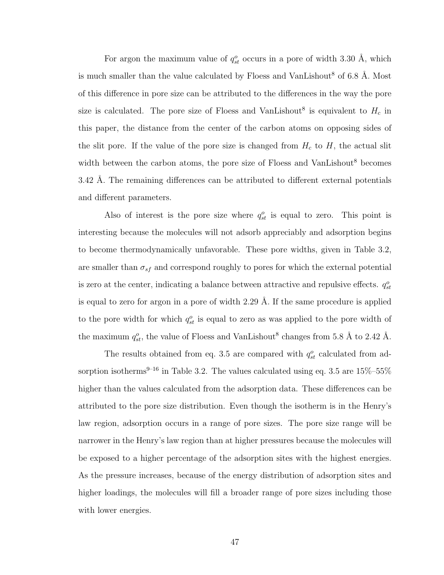For argon the maximum value of  $q_{st}^o$  occurs in a pore of width 3.30 Å, which is much smaller than the value calculated by Floess and VanLishout<sup>8</sup> of 6.8 Å. Most of this difference in pore size can be attributed to the differences in the way the pore size is calculated. The pore size of Floess and VanLishout<sup>8</sup> is equivalent to  $H_c$  in this paper, the distance from the center of the carbon atoms on opposing sides of the slit pore. If the value of the pore size is changed from  $H_c$  to  $H$ , the actual slit width between the carbon atoms, the pore size of Floess and VanLishout<sup>8</sup> becomes 3.42 Å. The remaining differences can be attributed to different external potentials and different parameters.

Also of interest is the pore size where  $q_{st}^o$  is equal to zero. This point is interesting because the molecules will not adsorb appreciably and adsorption begins to become thermodynamically unfavorable. These pore widths, given in Table 3.2, are smaller than  $\sigma_{sf}$  and correspond roughly to pores for which the external potential is zero at the center, indicating a balance between attractive and repulsive effects.  $q_{st}^o$ is equal to zero for argon in a pore of width  $2.29 \text{ Å}$ . If the same procedure is applied to the pore width for which  $q_{st}^o$  is equal to zero as was applied to the pore width of the maximum  $q_{st}^o$ , the value of Floess and VanLishout<sup>8</sup> changes from 5.8 Å to 2.42 Å.

The results obtained from eq. 3.5 are compared with  $q_{st}^o$  calculated from adsorption isotherms<sup>9–16</sup> in Table 3.2. The values calculated using eq. 3.5 are  $15\%$ –55% higher than the values calculated from the adsorption data. These differences can be attributed to the pore size distribution. Even though the isotherm is in the Henry's law region, adsorption occurs in a range of pore sizes. The pore size range will be narrower in the Henry's law region than at higher pressures because the molecules will be exposed to a higher percentage of the adsorption sites with the highest energies. As the pressure increases, because of the energy distribution of adsorption sites and higher loadings, the molecules will fill a broader range of pore sizes including those with lower energies.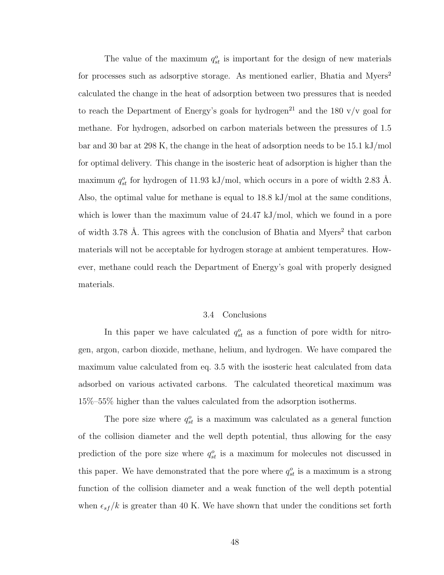The value of the maximum  $q_{st}^o$  is important for the design of new materials for processes such as adsorptive storage. As mentioned earlier, Bhatia and Myers<sup>2</sup> calculated the change in the heat of adsorption between two pressures that is needed to reach the Department of Energy's goals for hydrogen<sup>21</sup> and the 180  $v/v$  goal for methane. For hydrogen, adsorbed on carbon materials between the pressures of 1.5 bar and 30 bar at 298 K, the change in the heat of adsorption needs to be 15.1 kJ/mol for optimal delivery. This change in the isosteric heat of adsorption is higher than the maximum  $q_{st}^o$  for hydrogen of 11.93 kJ/mol, which occurs in a pore of width 2.83 Å. Also, the optimal value for methane is equal to  $18.8 \text{ kJ/mol}$  at the same conditions, which is lower than the maximum value of 24.47 kJ/mol, which we found in a pore of width 3.78 Å. This agrees with the conclusion of Bhatia and Myers<sup>2</sup> that carbon materials will not be acceptable for hydrogen storage at ambient temperatures. However, methane could reach the Department of Energy's goal with properly designed materials.

#### 3.4 Conclusions

In this paper we have calculated  $q_{st}^o$  as a function of pore width for nitrogen, argon, carbon dioxide, methane, helium, and hydrogen. We have compared the maximum value calculated from eq. 3.5 with the isosteric heat calculated from data adsorbed on various activated carbons. The calculated theoretical maximum was 15%–55% higher than the values calculated from the adsorption isotherms.

The pore size where  $q_{st}^o$  is a maximum was calculated as a general function of the collision diameter and the well depth potential, thus allowing for the easy prediction of the pore size where  $q_{st}^o$  is a maximum for molecules not discussed in this paper. We have demonstrated that the pore where  $q_{st}^o$  is a maximum is a strong function of the collision diameter and a weak function of the well depth potential when  $\epsilon_{sf}/k$  is greater than 40 K. We have shown that under the conditions set forth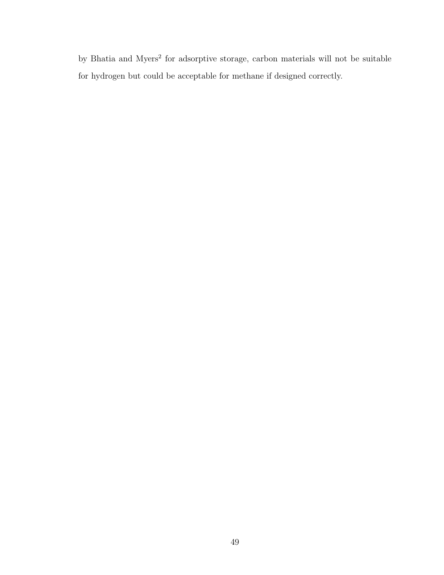by Bhatia and Myers<sup>2</sup> for adsorptive storage, carbon materials will not be suitable for hydrogen but could be acceptable for methane if designed correctly.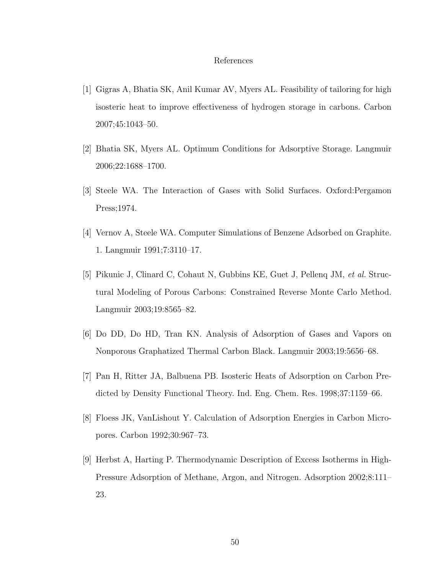## References

- [1] Gigras A, Bhatia SK, Anil Kumar AV, Myers AL. Feasibility of tailoring for high isosteric heat to improve effectiveness of hydrogen storage in carbons. Carbon 2007;45:1043–50.
- [2] Bhatia SK, Myers AL. Optimum Conditions for Adsorptive Storage. Langmuir 2006;22:1688–1700.
- [3] Steele WA. The Interaction of Gases with Solid Surfaces. Oxford:Pergamon Press;1974.
- [4] Vernov A, Steele WA. Computer Simulations of Benzene Adsorbed on Graphite. 1. Langmuir 1991;7:3110–17.
- [5] Pikunic J, Clinard C, Cohaut N, Gubbins KE, Guet J, Pellenq JM, et al. Structural Modeling of Porous Carbons: Constrained Reverse Monte Carlo Method. Langmuir 2003;19:8565–82.
- [6] Do DD, Do HD, Tran KN. Analysis of Adsorption of Gases and Vapors on Nonporous Graphatized Thermal Carbon Black. Langmuir 2003;19:5656–68.
- [7] Pan H, Ritter JA, Balbuena PB. Isosteric Heats of Adsorption on Carbon Predicted by Density Functional Theory. Ind. Eng. Chem. Res. 1998;37:1159–66.
- [8] Floess JK, VanLishout Y. Calculation of Adsorption Energies in Carbon Micropores. Carbon 1992;30:967–73.
- [9] Herbst A, Harting P. Thermodynamic Description of Excess Isotherms in High-Pressure Adsorption of Methane, Argon, and Nitrogen. Adsorption 2002;8:111– 23.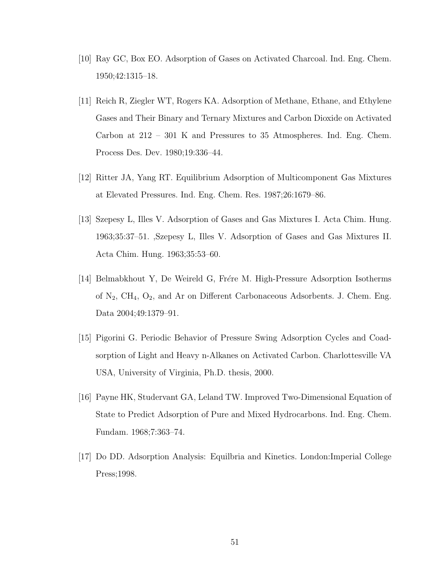- [10] Ray GC, Box EO. Adsorption of Gases on Activated Charcoal. Ind. Eng. Chem. 1950;42:1315–18.
- [11] Reich R, Ziegler WT, Rogers KA. Adsorption of Methane, Ethane, and Ethylene Gases and Their Binary and Ternary Mixtures and Carbon Dioxide on Activated Carbon at 212 – 301 K and Pressures to 35 Atmospheres. Ind. Eng. Chem. Process Des. Dev. 1980;19:336–44.
- [12] Ritter JA, Yang RT. Equilibrium Adsorption of Multicomponent Gas Mixtures at Elevated Pressures. Ind. Eng. Chem. Res. 1987;26:1679–86.
- [13] Szepesy L, Illes V. Adsorption of Gases and Gas Mixtures I. Acta Chim. Hung. 1963;35:37–51. ,Szepesy L, Illes V. Adsorption of Gases and Gas Mixtures II. Acta Chim. Hung. 1963;35:53–60.
- [14] Belmabkhout Y, De Weireld G, Frére M. High-Pressure Adsorption Isotherms of  $N_2$ ,  $CH_4$ ,  $O_2$ , and Ar on Different Carbonaceous Adsorbents. J. Chem. Eng. Data 2004;49:1379–91.
- [15] Pigorini G. Periodic Behavior of Pressure Swing Adsorption Cycles and Coadsorption of Light and Heavy n-Alkanes on Activated Carbon. Charlottesville VA USA, University of Virginia, Ph.D. thesis, 2000.
- [16] Payne HK, Studervant GA, Leland TW. Improved Two-Dimensional Equation of State to Predict Adsorption of Pure and Mixed Hydrocarbons. Ind. Eng. Chem. Fundam. 1968;7:363–74.
- [17] Do DD. Adsorption Analysis: Equilbria and Kinetics. London:Imperial College Press;1998.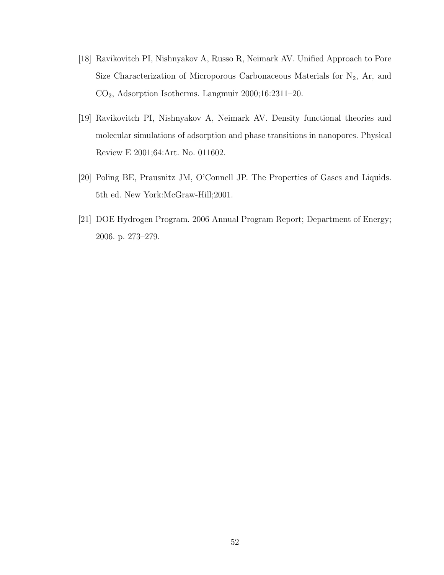- [18] Ravikovitch PI, Nishnyakov A, Russo R, Neimark AV. Unified Approach to Pore Size Characterization of Microporous Carbonaceous Materials for  $N_2$ , Ar, and CO2, Adsorption Isotherms. Langmuir 2000;16:2311–20.
- [19] Ravikovitch PI, Nishnyakov A, Neimark AV. Density functional theories and molecular simulations of adsorption and phase transitions in nanopores. Physical Review E 2001;64:Art. No. 011602.
- [20] Poling BE, Prausnitz JM, O'Connell JP. The Properties of Gases and Liquids. 5th ed. New York:McGraw-Hill;2001.
- [21] DOE Hydrogen Program. 2006 Annual Program Report; Department of Energy; 2006. p. 273–279.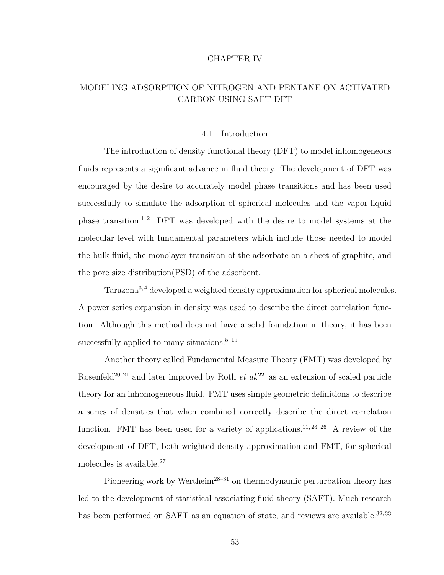#### CHAPTER IV

# MODELING ADSORPTION OF NITROGEN AND PENTANE ON ACTIVATED CARBON USING SAFT-DFT

#### 4.1 Introduction

The introduction of density functional theory (DFT) to model inhomogeneous fluids represents a significant advance in fluid theory. The development of DFT was encouraged by the desire to accurately model phase transitions and has been used successfully to simulate the adsorption of spherical molecules and the vapor-liquid phase transition.<sup>1,2</sup> DFT was developed with the desire to model systems at the molecular level with fundamental parameters which include those needed to model the bulk fluid, the monolayer transition of the adsorbate on a sheet of graphite, and the pore size distribution(PSD) of the adsorbent.

Tarazona<sup>3,4</sup> developed a weighted density approximation for spherical molecules. A power series expansion in density was used to describe the direct correlation function. Although this method does not have a solid foundation in theory, it has been successfully applied to many situations.<sup> $5-19$ </sup>

Another theory called Fundamental Measure Theory (FMT) was developed by Rosenfeld<sup>20, 21</sup> and later improved by Roth *et al.*<sup>22</sup> as an extension of scaled particle theory for an inhomogeneous fluid. FMT uses simple geometric definitions to describe a series of densities that when combined correctly describe the direct correlation function. FMT has been used for a variety of applications.<sup>11, 23–26</sup> A review of the development of DFT, both weighted density approximation and FMT, for spherical molecules is available.<sup>27</sup>

Pioneering work by Wertheim<sup>28–31</sup> on thermodynamic perturbation theory has led to the development of statistical associating fluid theory (SAFT). Much research has been performed on SAFT as an equation of state, and reviews are available.<sup>32,33</sup>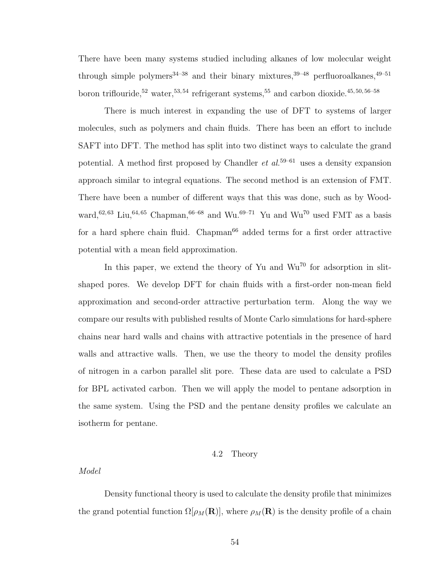There have been many systems studied including alkanes of low molecular weight through simple polymers<sup>34–38</sup> and their binary mixtures,  $39-48$  perfluoroalkanes,  $49-51$ boron triflouride,<sup>52</sup> water,<sup>53,54</sup> refrigerant systems,<sup>55</sup> and carbon dioxide.<sup>45,50,56–58</sup>

There is much interest in expanding the use of DFT to systems of larger molecules, such as polymers and chain fluids. There has been an effort to include SAFT into DFT. The method has split into two distinct ways to calculate the grand potential. A method first proposed by Chandler  $et \ al.<sup>59–61</sup>$  uses a density expansion approach similar to integral equations. The second method is an extension of FMT. There have been a number of different ways that this was done, such as by Woodward,<sup>62, 63</sup> Liu,<sup>64, 65</sup> Chapman,<sup>66–68</sup> and Wu.<sup>69–71</sup> Yu and Wu<sup>70</sup> used FMT as a basis for a hard sphere chain fluid. Chapman<sup>66</sup> added terms for a first order attractive potential with a mean field approximation.

In this paper, we extend the theory of Yu and  $Wu^{70}$  for adsorption in slitshaped pores. We develop DFT for chain fluids with a first-order non-mean field approximation and second-order attractive perturbation term. Along the way we compare our results with published results of Monte Carlo simulations for hard-sphere chains near hard walls and chains with attractive potentials in the presence of hard walls and attractive walls. Then, we use the theory to model the density profiles of nitrogen in a carbon parallel slit pore. These data are used to calculate a PSD for BPL activated carbon. Then we will apply the model to pentane adsorption in the same system. Using the PSD and the pentane density profiles we calculate an isotherm for pentane.

## 4.2 Theory

## Model

Density functional theory is used to calculate the density profile that minimizes the grand potential function  $\Omega[\rho_M(\mathbf{R})]$ , where  $\rho_M(\mathbf{R})$  is the density profile of a chain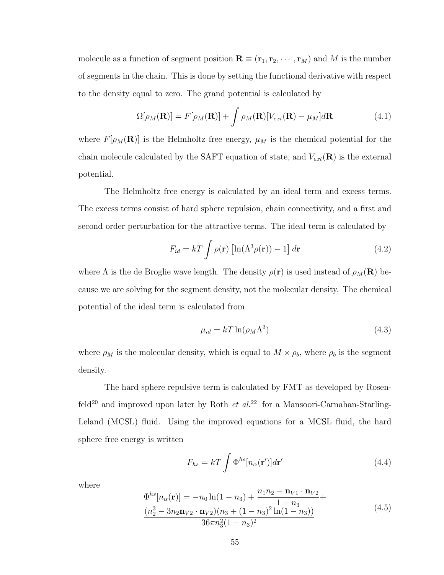molecule as a function of segment position  $\mathbf{R} \equiv (\mathbf{r}_1, \mathbf{r}_2, \cdots, \mathbf{r}_M)$  and M is the number of segments in the chain. This is done by setting the functional derivative with respect to the density equal to zero. The grand potential is calculated by

$$
\Omega[\rho_M(\mathbf{R})] = F[\rho_M(\mathbf{R})] + \int \rho_M(\mathbf{R}) [V_{ext}(\mathbf{R}) - \mu_M] d\mathbf{R}
$$
\n(4.1)

where  $F[\rho_M(\mathbf{R})]$  is the Helmholtz free energy,  $\mu_M$  is the chemical potential for the chain molecule calculated by the SAFT equation of state, and  $V_{ext}(\mathbf{R})$  is the external potential.

The Helmholtz free energy is calculated by an ideal term and excess terms. The excess terms consist of hard sphere repulsion, chain connectivity, and a first and second order perturbation for the attractive terms. The ideal term is calculated by

$$
F_{id} = kT \int \rho(\mathbf{r}) \left[ \ln(\Lambda^3 \rho(\mathbf{r})) - 1 \right] d\mathbf{r}
$$
 (4.2)

where  $\Lambda$  is the de Broglie wave length. The density  $\rho(\mathbf{r})$  is used instead of  $\rho_M(\mathbf{R})$  because we are solving for the segment density, not the molecular density. The chemical potential of the ideal term is calculated from

$$
\mu_{id} = kT \ln(\rho_M \Lambda^3) \tag{4.3}
$$

where  $\rho_M$  is the molecular density, which is equal to  $M \times \rho_b$ , where  $\rho_b$  is the segment density.

The hard sphere repulsive term is calculated by FMT as developed by Rosenfeld<sup>20</sup> and improved upon later by Roth *et al.*<sup>22</sup> for a Mansoori-Carnahan-Starling-Leland (MCSL) fluid. Using the improved equations for a MCSL fluid, the hard sphere free energy is written

$$
F_{hs} = kT \int \Phi^{hs}[n_{\alpha}(\mathbf{r}')]d\mathbf{r}'
$$
\n(4.4)

where

$$
\Phi^{hs}[n_{\alpha}(\mathbf{r})] = -n_0 \ln(1 - n_3) + \frac{n_1 n_2 - \mathbf{n}_{V1} \cdot \mathbf{n}_{V2}}{1 - n_3} + \frac{(n_2^3 - 3n_2 \mathbf{n}_{V2} \cdot \mathbf{n}_{V2}) (n_3 + (1 - n_3)^2 \ln(1 - n_3))}{36\pi n_3^2 (1 - n_3)^2}
$$
\n(4.5)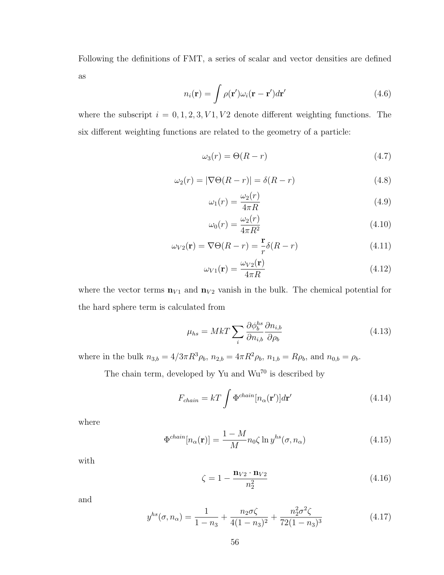Following the definitions of FMT, a series of scalar and vector densities are defined as

$$
n_i(\mathbf{r}) = \int \rho(\mathbf{r}') \omega_i(\mathbf{r} - \mathbf{r}') d\mathbf{r}'
$$
\n(4.6)

where the subscript  $i = 0, 1, 2, 3, V1, V2$  denote different weighting functions. The six different weighting functions are related to the geometry of a particle:

$$
\omega_3(r) = \Theta(R - r) \tag{4.7}
$$

$$
\omega_2(r) = |\nabla \Theta(R - r)| = \delta(R - r) \tag{4.8}
$$

$$
\omega_1(r) = \frac{\omega_2(r)}{4\pi R} \tag{4.9}
$$

$$
\omega_0(r) = \frac{\omega_2(r)}{4\pi R^2} \tag{4.10}
$$

$$
\omega_{V2}(\mathbf{r}) = \nabla \Theta(R - r) = \frac{\mathbf{r}}{r} \delta(R - r)
$$
\n(4.11)

$$
\omega_{V1}(\mathbf{r}) = \frac{\omega_{V2}(\mathbf{r})}{4\pi R} \tag{4.12}
$$

where the vector terms  $\mathbf{n}_{V1}$  and  $\mathbf{n}_{V2}$  vanish in the bulk. The chemical potential for the hard sphere term is calculated from

$$
\mu_{hs} = MkT \sum_{i} \frac{\partial \phi_b^{hs}}{\partial n_{i,b}} \frac{\partial n_{i,b}}{\partial \rho_b}
$$
\n(4.13)

where in the bulk  $n_{3,b} = 4/3\pi R^3 \rho_b$ ,  $n_{2,b} = 4\pi R^2 \rho_b$ ,  $n_{1,b} = R\rho_b$ , and  $n_{0,b} = \rho_b$ .

The chain term, developed by Yu and  $Wu^{70}$  is described by

$$
F_{chain} = kT \int \Phi^{chain}[n_{\alpha}(\mathbf{r}')]d\mathbf{r}'
$$
\n(4.14)

where

$$
\Phi^{chain}[n_{\alpha}(\mathbf{r})] = \frac{1 - M}{M} n_0 \zeta \ln y^{hs}(\sigma, n_{\alpha})
$$
\n(4.15)

with

$$
\zeta = 1 - \frac{\mathbf{n}_{V2} \cdot \mathbf{n}_{V2}}{n_2^2} \tag{4.16}
$$

and

$$
y^{hs}(\sigma, n_{\alpha}) = \frac{1}{1 - n_3} + \frac{n_2 \sigma \zeta}{4(1 - n_3)^2} + \frac{n_2^2 \sigma^2 \zeta}{72(1 - n_3)^3}
$$
(4.17)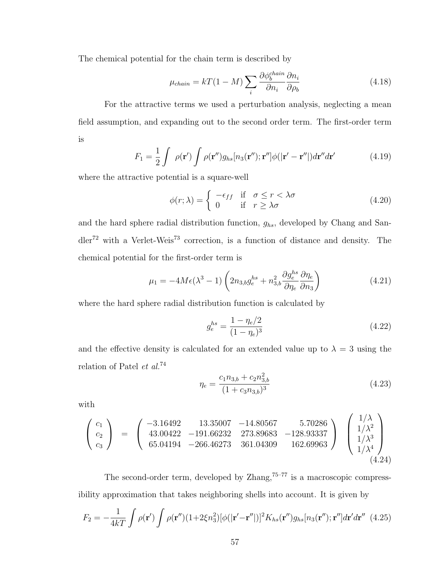The chemical potential for the chain term is described by

$$
\mu_{chain} = kT(1 - M) \sum_{i} \frac{\partial \phi_b^{chain}}{\partial n_i} \frac{\partial n_i}{\partial \rho_b}
$$
(4.18)

For the attractive terms we used a perturbation analysis, neglecting a mean field assumption, and expanding out to the second order term. The first-order term is

$$
F_1 = \frac{1}{2} \int \rho(\mathbf{r}') \int \rho(\mathbf{r}'') g_{hs}[n_3(\mathbf{r}''); \mathbf{r}''] \phi(|\mathbf{r}' - \mathbf{r}''|) d\mathbf{r}'' d\mathbf{r}'
$$
(4.19)

where the attractive potential is a square-well

$$
\phi(r;\lambda) = \begin{cases}\n-\epsilon_{ff} & \text{if } \sigma \le r < \lambda \sigma \\
0 & \text{if } r \ge \lambda \sigma\n\end{cases}
$$
\n(4.20)

and the hard sphere radial distribution function,  $g_{hs}$ , developed by Chang and San $d\text{der}^{\mathsf{72}}$  with a Verlet-Weis<sup>73</sup> correction, is a function of distance and density. The chemical potential for the first-order term is

$$
\mu_1 = -4M\epsilon(\lambda^3 - 1)\left(2n_{3,b}g_e^{hs} + n_{3,b}^2 \frac{\partial g_e^{hs}}{\partial \eta_e} \frac{\partial \eta_e}{\partial n_3}\right) \tag{4.21}
$$

where the hard sphere radial distribution function is calculated by

$$
g_e^{hs} = \frac{1 - \eta_e/2}{(1 - \eta_e)^3} \tag{4.22}
$$

and the effective density is calculated for an extended value up to  $\lambda = 3$  using the relation of Patel et al.<sup>74</sup>

$$
\eta_e = \frac{c_1 n_{3,b} + c_2 n_{3,b}^2}{(1 + c_3 n_{3,b})^3} \tag{4.23}
$$

with

$$
\begin{pmatrix} c_1 \\ c_2 \\ c_3 \end{pmatrix} = \begin{pmatrix} -3.16492 & 13.35007 & -14.80567 & 5.70286 \\ 43.00422 & -191.66232 & 273.89683 & -128.93337 \\ 65.04194 & -266.46273 & 361.04309 & 162.69963 \end{pmatrix} \begin{pmatrix} 1/\lambda \\ 1/\lambda^2 \\ 1/\lambda^3 \\ 1/\lambda^4 \\ \end{pmatrix}
$$
(4.24)

The second-order term, developed by  $\text{Zhang},^{75-77}$  is a macroscopic compressibility approximation that takes neighboring shells into account. It is given by

$$
F_2 = -\frac{1}{4kT} \int \rho(\mathbf{r}') \int \rho(\mathbf{r}'') (1+2\xi n_3^2) [\phi(|\mathbf{r}'-\mathbf{r}''|)]^2 K_{hs}(\mathbf{r}'') g_{hs}[n_3(\mathbf{r}''); \mathbf{r}''] d\mathbf{r}' d\mathbf{r}'' \tag{4.25}
$$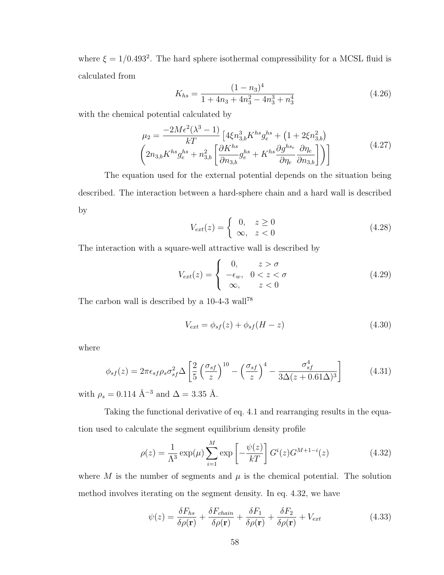where  $\xi = 1/0.493^2$ . The hard sphere isothermal compressibility for a MCSL fluid is calculated from

$$
K_{hs} = \frac{(1 - n_3)^4}{1 + 4n_3 + 4n_3^2 - 4n_3^3 + n_3^4}
$$
 (4.26)

with the chemical potential calculated by

$$
\mu_2 = \frac{-2M\epsilon^2(\lambda^3 - 1)}{kT} \left[ 4\xi n_{3,b}^3 K^{hs} g_e^{hs} + (1 + 2\xi n_{3,b}^2) \left( 2n_{3,b} K^{hs} g_e^{hs} + n_{3,b}^2 \left[ \frac{\partial K^{hs}}{\partial n_{3,b}} g_e^{hs} + K^{hs} \frac{\partial g^{hs}}{\partial n_e} \frac{\partial n_e}{\partial n_{3,b}} \right] \right) \right]
$$
(4.27)

The equation used for the external potential depends on the situation being described. The interaction between a hard-sphere chain and a hard wall is described by

$$
V_{ext}(z) = \begin{cases} 0, & z \ge 0 \\ \infty, & z < 0 \end{cases}
$$
 (4.28)

The interaction with a square-well attractive wall is described by

$$
V_{ext}(z) = \begin{cases} 0, & z > \sigma \\ -\epsilon_w, & 0 < z < \sigma \\ \infty, & z < 0 \end{cases} \tag{4.29}
$$

The carbon wall is described by a  $10-4-3$  wall<sup>78</sup>

$$
V_{ext} = \phi_{sf}(z) + \phi_{sf}(H - z)
$$
\n(4.30)

where

$$
\phi_{sf}(z) = 2\pi\epsilon_{sf}\rho_s\sigma_{sf}^2\Delta\left[\frac{2}{5}\left(\frac{\sigma_{sf}}{z}\right)^{10} - \left(\frac{\sigma_{sf}}{z}\right)^4 - \frac{\sigma_{sf}^4}{3\Delta(z+0.61\Delta)^3}\right]
$$
(4.31)

with  $\rho_s = 0.114$   $\mbox{\AA}^{-3}$  and<br>  $\Delta = 3.35$  Å.

Taking the functional derivative of eq. 4.1 and rearranging results in the equation used to calculate the segment equilibrium density profile

$$
\rho(z) = \frac{1}{\Lambda^3} \exp(\mu) \sum_{i=1}^{M} \exp\left[-\frac{\psi(z)}{kT}\right] G^i(z) G^{M+1-i}(z)
$$
\n(4.32)

where M is the number of segments and  $\mu$  is the chemical potential. The solution method involves iterating on the segment density. In eq. 4.32, we have

$$
\psi(z) = \frac{\delta F_{hs}}{\delta \rho(\mathbf{r})} + \frac{\delta F_{chain}}{\delta \rho(\mathbf{r})} + \frac{\delta F_1}{\delta \rho(\mathbf{r})} + \frac{\delta F_2}{\delta \rho(\mathbf{r})} + V_{ext}
$$
(4.33)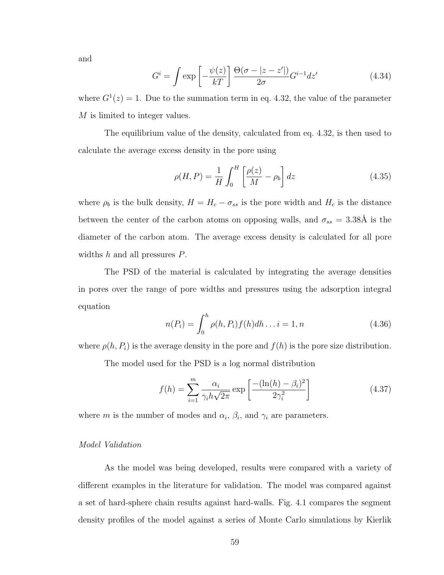and

$$
G^{i} = \int \exp\left[-\frac{\psi(z)}{kT}\right] \frac{\Theta(\sigma - |z - z'|)}{2\sigma} G^{i-1} dz'
$$
 (4.34)

where  $G^{1}(z) = 1$ . Due to the summation term in eq. 4.32, the value of the parameter M is limited to integer values.

The equilibrium value of the density, calculated from eq. 4.32, is then used to calculate the average excess density in the pore using

$$
\rho(H, P) = \frac{1}{H} \int_0^H \left[ \frac{\rho(z)}{M} - \rho_b \right] dz \tag{4.35}
$$

where  $\rho_b$  is the bulk density,  $H = H_c - \sigma_{ss}$  is the pore width and  $H_c$  is the distance between the center of the carbon atoms on opposing walls, and  $\sigma_{ss} = 3.38\text{\AA}$  is the diameter of the carbon atom. The average excess density is calculated for all pore widths  $h$  and all pressures  $P$ .

The PSD of the material is calculated by integrating the average densities in pores over the range of pore widths and pressures using the adsorption integral equation

$$
n(P_i) = \int_0^h \rho(h, P_i) f(h) dh \dots i = 1, n
$$
 (4.36)

where  $\rho(h, P_i)$  is the average density in the pore and  $f(h)$  is the pore size distribution.

The model used for the PSD is a log normal distribution

$$
f(h) = \sum_{i=1}^{m} \frac{\alpha_i}{\gamma_i h \sqrt{2\pi}} \exp\left[\frac{-(\ln(h) - \beta_i)^2}{2\gamma_i^2}\right]
$$
(4.37)

where m is the number of modes and  $\alpha_i$ ,  $\beta_i$ , and  $\gamma_i$  are parameters.

## Model Validation

As the model was being developed, results were compared with a variety of different examples in the literature for validation. The model was compared against a set of hard-sphere chain results against hard-walls. Fig. 4.1 compares the segment density profiles of the model against a series of Monte Carlo simulations by Kierlik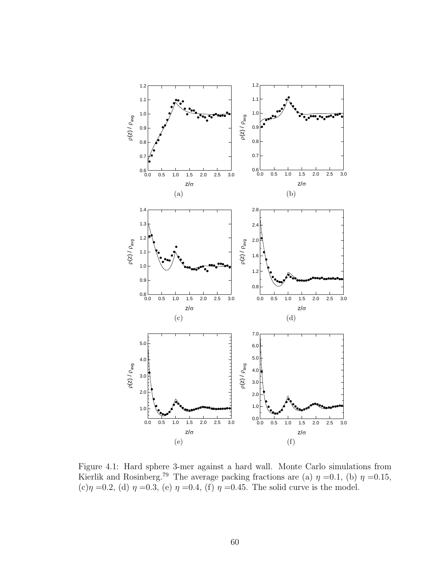

Figure 4.1: Hard sphere 3-mer against a hard wall. Monte Carlo simulations from Kierlik and Rosinberg.<sup>79</sup> The average packing fractions are (a)  $\eta =0.1$ , (b)  $\eta =0.15$ , (c) $\eta = 0.2$ , (d)  $\eta = 0.3$ , (e)  $\eta = 0.4$ , (f)  $\eta = 0.45$ . The solid curve is the model.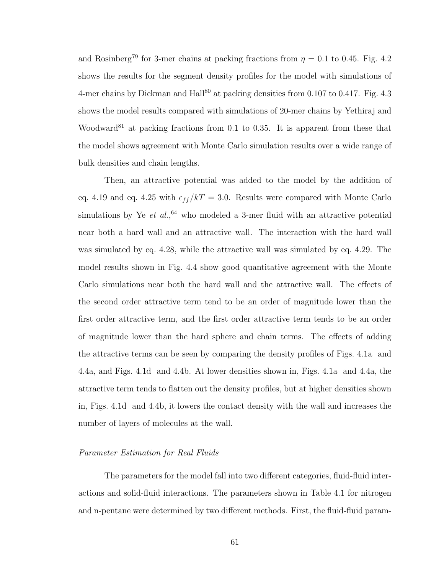and Rosinberg<sup>79</sup> for 3-mer chains at packing fractions from  $\eta = 0.1$  to 0.45. Fig. 4.2 shows the results for the segment density profiles for the model with simulations of 4-mer chains by Dickman and  $\text{Hall}^{80}$  at packing densities from 0.107 to 0.417. Fig. 4.3 shows the model results compared with simulations of 20-mer chains by Yethiraj and Woodward<sup>81</sup> at packing fractions from 0.1 to 0.35. It is apparent from these that the model shows agreement with Monte Carlo simulation results over a wide range of bulk densities and chain lengths.

Then, an attractive potential was added to the model by the addition of eq. 4.19 and eq. 4.25 with  $\epsilon_{ff}/kT = 3.0$ . Results were compared with Monte Carlo simulations by Ye *et al.*,<sup>64</sup> who modeled a 3-mer fluid with an attractive potential near both a hard wall and an attractive wall. The interaction with the hard wall was simulated by eq. 4.28, while the attractive wall was simulated by eq. 4.29. The model results shown in Fig. 4.4 show good quantitative agreement with the Monte Carlo simulations near both the hard wall and the attractive wall. The effects of the second order attractive term tend to be an order of magnitude lower than the first order attractive term, and the first order attractive term tends to be an order of magnitude lower than the hard sphere and chain terms. The effects of adding the attractive terms can be seen by comparing the density profiles of Figs. 4.1a and 4.4a, and Figs. 4.1d and 4.4b. At lower densities shown in, Figs. 4.1a and 4.4a, the attractive term tends to flatten out the density profiles, but at higher densities shown in, Figs. 4.1d and 4.4b, it lowers the contact density with the wall and increases the number of layers of molecules at the wall.

#### Parameter Estimation for Real Fluids

The parameters for the model fall into two different categories, fluid-fluid interactions and solid-fluid interactions. The parameters shown in Table 4.1 for nitrogen and n-pentane were determined by two different methods. First, the fluid-fluid param-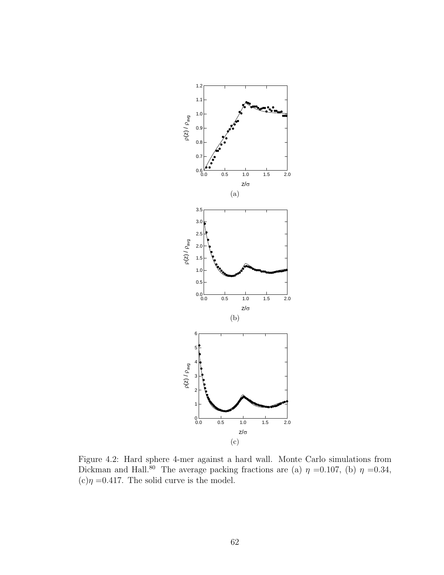

Figure 4.2: Hard sphere 4-mer against a hard wall. Monte Carlo simulations from Dickman and Hall.<sup>80</sup> The average packing fractions are (a)  $\eta = 0.107$ , (b)  $\eta = 0.34$ ,  $(c)\eta = 0.417$ . The solid curve is the model.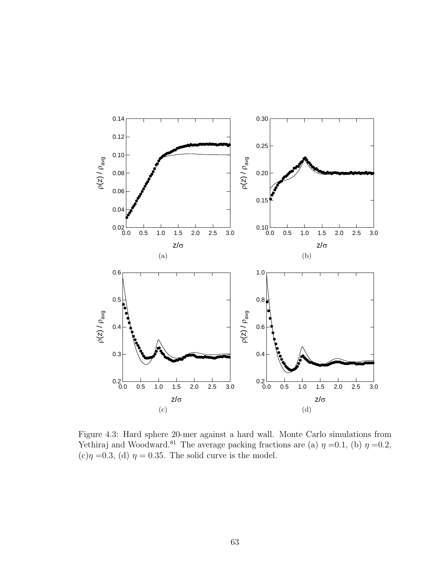

Figure 4.3: Hard sphere 20-mer against a hard wall. Monte Carlo simulations from Yethiraj and Woodward.<sup>81</sup> The average packing fractions are (a)  $\eta = 0.1$ , (b)  $\eta = 0.2$ ,  $(c)\eta = 0.3$ , (d)  $\eta = 0.35$ . The solid curve is the model.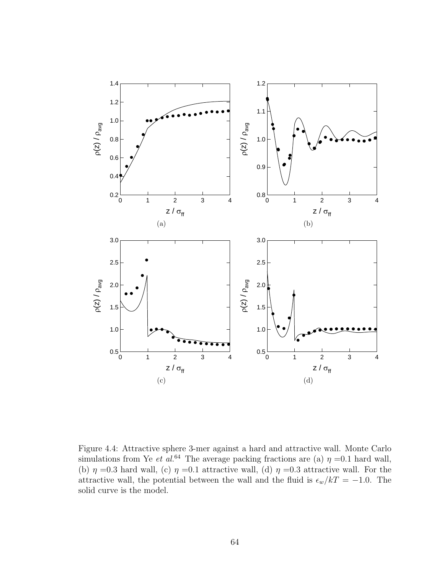

Figure 4.4: Attractive sphere 3-mer against a hard and attractive wall. Monte Carlo simulations from Ye et al.<sup>64</sup> The average packing fractions are (a)  $\eta = 0.1$  hard wall, (b)  $\eta = 0.3$  hard wall, (c)  $\eta = 0.1$  attractive wall, (d)  $\eta = 0.3$  attractive wall. For the attractive wall, the potential between the wall and the fluid is  $\epsilon_w/kT = -1.0$ . The solid curve is the model.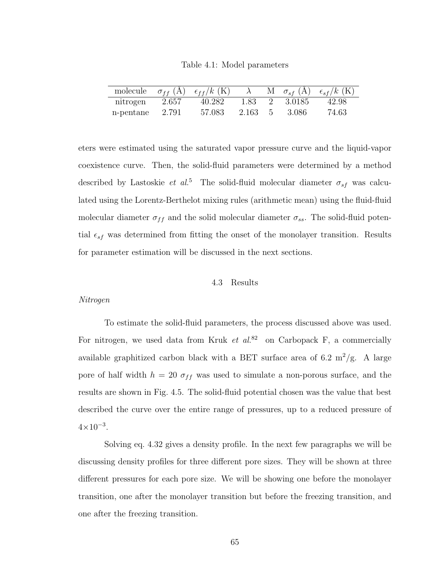Table 4.1: Model parameters

|           |       | molecule $\sigma_{ff}$ (Å) $\epsilon_{ff}/k$ (K) |       |     |          | M $\sigma_{sf}$ (Å) $\epsilon_{sf}/k$ (K) |
|-----------|-------|--------------------------------------------------|-------|-----|----------|-------------------------------------------|
| nitrogen  | 2.657 | 40.282                                           | 1.83  |     | - 3.0185 | 42.98                                     |
| n-pentane | 2.791 | 57.083                                           | 2.163 | -5. | -3.086   | 74.63                                     |

eters were estimated using the saturated vapor pressure curve and the liquid-vapor coexistence curve. Then, the solid-fluid parameters were determined by a method described by Lastoskie et al.<sup>5</sup> The solid-fluid molecular diameter  $\sigma_{sf}$  was calculated using the Lorentz-Berthelot mixing rules (arithmetic mean) using the fluid-fluid molecular diameter  $\sigma_{ff}$  and the solid molecular diameter  $\sigma_{ss}$ . The solid-fluid potential  $\epsilon_{sf}$  was determined from fitting the onset of the monolayer transition. Results for parameter estimation will be discussed in the next sections.

#### 4.3 Results

#### Nitrogen

To estimate the solid-fluid parameters, the process discussed above was used. For nitrogen, we used data from Kruk et  $al^{82}$  on Carbopack F, a commercially available graphitized carbon black with a BET surface area of 6.2 m<sup>2</sup>/g. A large pore of half width  $h = 20 \sigma_{ff}$  was used to simulate a non-porous surface, and the results are shown in Fig. 4.5. The solid-fluid potential chosen was the value that best described the curve over the entire range of pressures, up to a reduced pressure of  $4 \times 10^{-3}$ .

Solving eq. 4.32 gives a density profile. In the next few paragraphs we will be discussing density profiles for three different pore sizes. They will be shown at three different pressures for each pore size. We will be showing one before the monolayer transition, one after the monolayer transition but before the freezing transition, and one after the freezing transition.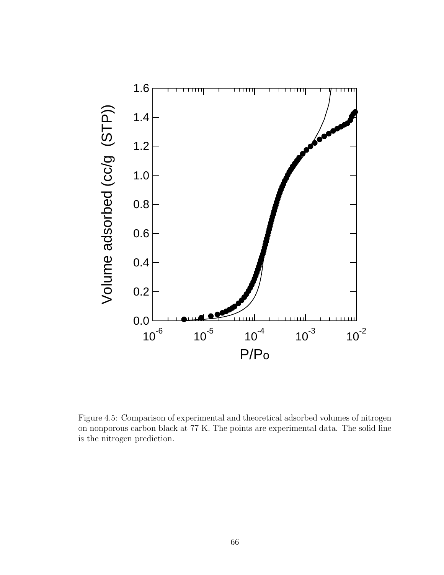

Figure 4.5: Comparison of experimental and theoretical adsorbed volumes of nitrogen on nonporous carbon black at 77 K. The points are experimental data. The solid line is the nitrogen prediction.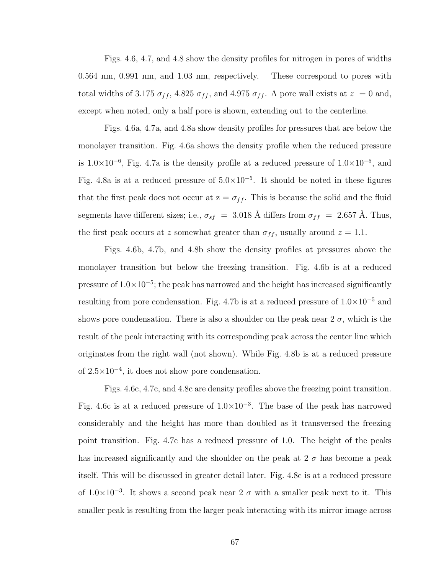Figs. 4.6, 4.7, and 4.8 show the density profiles for nitrogen in pores of widths 0.564 nm, 0.991 nm, and 1.03 nm, respectively. These correspond to pores with total widths of 3.175  $\sigma_{ff}$ , 4.825  $\sigma_{ff}$ , and 4.975  $\sigma_{ff}$ . A pore wall exists at  $z = 0$  and, except when noted, only a half pore is shown, extending out to the centerline.

Figs. 4.6a, 4.7a, and 4.8a show density profiles for pressures that are below the monolayer transition. Fig. 4.6a shows the density profile when the reduced pressure is  $1.0 \times 10^{-6}$ , Fig. 4.7a is the density profile at a reduced pressure of  $1.0 \times 10^{-5}$ , and Fig. 4.8a is at a reduced pressure of  $5.0 \times 10^{-5}$ . It should be noted in these figures that the first peak does not occur at  $z = \sigma_{ff}$ . This is because the solid and the fluid segments have different sizes; i.e.,  $\sigma_{sf}$  = 3.018 Å differs from  $\sigma_{ff}$  = 2.657 Å. Thus, the first peak occurs at z somewhat greater than  $\sigma_{ff}$ , usually around  $z = 1.1$ .

Figs. 4.6b, 4.7b, and 4.8b show the density profiles at pressures above the monolayer transition but below the freezing transition. Fig. 4.6b is at a reduced pressure of  $1.0 \times 10^{-5}$ ; the peak has narrowed and the height has increased significantly resulting from pore condensation. Fig. 4.7b is at a reduced pressure of  $1.0 \times 10^{-5}$  and shows pore condensation. There is also a shoulder on the peak near  $2\sigma$ , which is the result of the peak interacting with its corresponding peak across the center line which originates from the right wall (not shown). While Fig. 4.8b is at a reduced pressure of  $2.5 \times 10^{-4}$ , it does not show pore condensation.

Figs. 4.6c, 4.7c, and 4.8c are density profiles above the freezing point transition. Fig. 4.6c is at a reduced pressure of  $1.0 \times 10^{-3}$ . The base of the peak has narrowed considerably and the height has more than doubled as it transversed the freezing point transition. Fig. 4.7c has a reduced pressure of 1.0. The height of the peaks has increased significantly and the shoulder on the peak at  $2\sigma$  has become a peak itself. This will be discussed in greater detail later. Fig. 4.8c is at a reduced pressure of  $1.0 \times 10^{-3}$ . It shows a second peak near 2  $\sigma$  with a smaller peak next to it. This smaller peak is resulting from the larger peak interacting with its mirror image across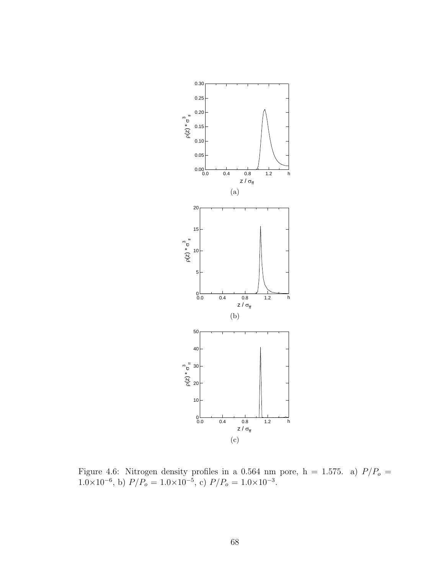

Figure 4.6: Nitrogen density profiles in a 0.564 nm pore,  $h = 1.575$ . a)  $P/P<sub>o</sub> =$  $1.0 \times 10^{-6}$ , b)  $P/P_o = 1.0 \times 10^{-5}$ , c)  $P/P_o = 1.0 \times 10^{-3}$ .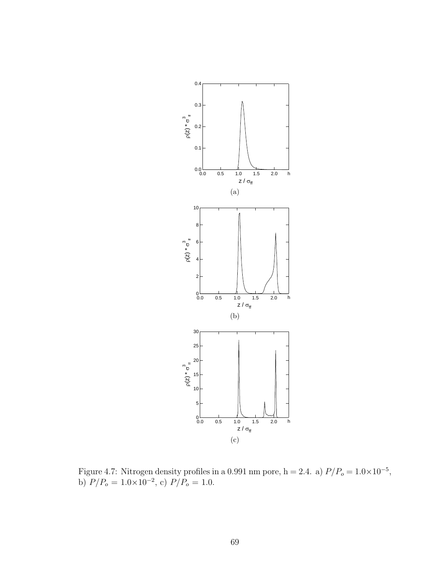

Figure 4.7: Nitrogen density profiles in a 0.991 nm pore, h = 2.4. a)  $P/P_o = 1.0 \times 10^{-5}$ , b)  $P/P_o = 1.0 \times 10^{-2}$ , c)  $P/P_o = 1.0$ .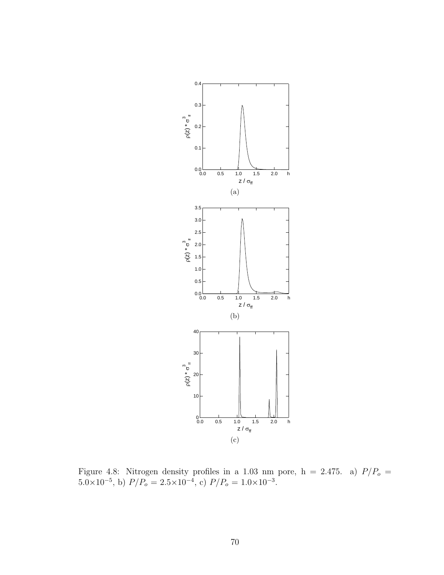

Figure 4.8: Nitrogen density profiles in a 1.03 nm pore,  $h = 2.475$ . a)  $P/P<sub>o</sub> =$  $5.0 \times 10^{-5}$ , b)  $P/P_o = 2.5 \times 10^{-4}$ , c)  $P/P_o = 1.0 \times 10^{-3}$ .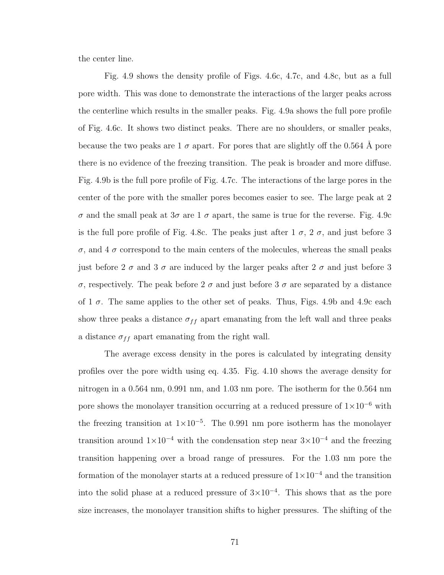the center line.

Fig. 4.9 shows the density profile of Figs. 4.6c, 4.7c, and 4.8c, but as a full pore width. This was done to demonstrate the interactions of the larger peaks across the centerline which results in the smaller peaks. Fig. 4.9a shows the full pore profile of Fig. 4.6c. It shows two distinct peaks. There are no shoulders, or smaller peaks, because the two peaks are  $1\sigma$  apart. For pores that are slightly off the 0.564 Å pore there is no evidence of the freezing transition. The peak is broader and more diffuse. Fig. 4.9b is the full pore profile of Fig. 4.7c. The interactions of the large pores in the center of the pore with the smaller pores becomes easier to see. The large peak at 2 σ and the small peak at 3σ are 1 σ apart, the same is true for the reverse. Fig. 4.9c is the full pore profile of Fig. 4.8c. The peaks just after  $1\sigma$ ,  $2\sigma$ , and just before 3 σ, and 4 σ correspond to the main centers of the molecules, whereas the small peaks just before 2  $\sigma$  and 3  $\sigma$  are induced by the larger peaks after 2  $\sigma$  and just before 3 σ, respectively. The peak before 2 σ and just before 3 σ are separated by a distance of 1  $\sigma$ . The same applies to the other set of peaks. Thus, Figs. 4.9b and 4.9c each show three peaks a distance  $\sigma_{ff}$  apart emanating from the left wall and three peaks a distance  $\sigma_{ff}$  apart emanating from the right wall.

The average excess density in the pores is calculated by integrating density profiles over the pore width using eq. 4.35. Fig. 4.10 shows the average density for nitrogen in a 0.564 nm, 0.991 nm, and 1.03 nm pore. The isotherm for the 0.564 nm pore shows the monolayer transition occurring at a reduced pressure of  $1\times10^{-6}$  with the freezing transition at  $1 \times 10^{-5}$ . The 0.991 nm pore isotherm has the monolayer transition around  $1\times10^{-4}$  with the condensation step near  $3\times10^{-4}$  and the freezing transition happening over a broad range of pressures. For the 1.03 nm pore the formation of the monolayer starts at a reduced pressure of  $1 \times 10^{-4}$  and the transition into the solid phase at a reduced pressure of  $3 \times 10^{-4}$ . This shows that as the pore size increases, the monolayer transition shifts to higher pressures. The shifting of the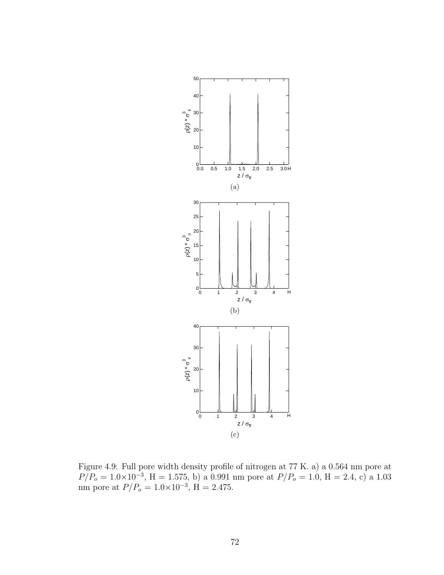

Figure 4.9: Full pore width density profile of nitrogen at 77 K. a) a 0.564 nm pore at  $P/P_o = 1.0 \times 10^{-3}$ , H = 1.575, b) a 0.991 nm pore at  $P/P_o = 1.0$ , H = 2.4, c) a 1.03 nm pore at  $P/P_o = 1.0 \times 10^{-3}$ , H = 2.475.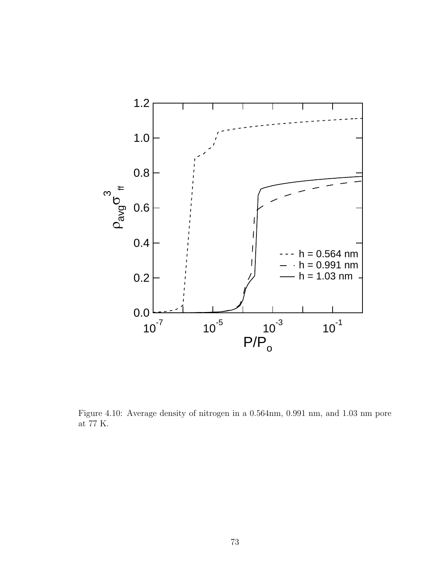

Figure 4.10: Average density of nitrogen in a 0.564nm, 0.991 nm, and 1.03 nm pore at 77 K.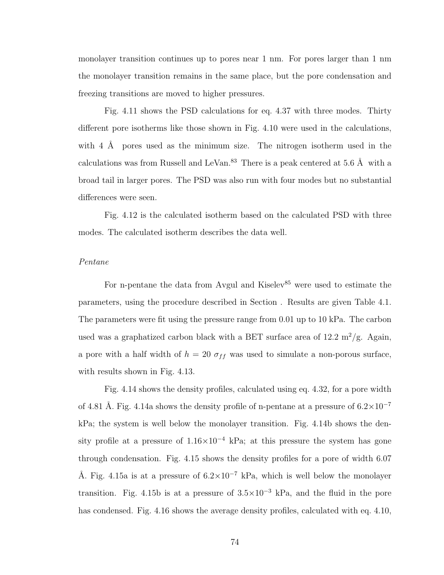monolayer transition continues up to pores near 1 nm. For pores larger than 1 nm the monolayer transition remains in the same place, but the pore condensation and freezing transitions are moved to higher pressures.

Fig. 4.11 shows the PSD calculations for eq. 4.37 with three modes. Thirty different pore isotherms like those shown in Fig. 4.10 were used in the calculations, with  $4 \text{ Å}$  pores used as the minimum size. The nitrogen isotherm used in the calculations was from Russell and LeVan.<sup>83</sup> There is a peak centered at 5.6  $\AA$  with a broad tail in larger pores. The PSD was also run with four modes but no substantial differences were seen.

Fig. 4.12 is the calculated isotherm based on the calculated PSD with three modes. The calculated isotherm describes the data well.

#### Pentane

For n-pentane the data from Avgul and Kiselev<sup>85</sup> were used to estimate the parameters, using the procedure described in Section . Results are given Table 4.1. The parameters were fit using the pressure range from 0.01 up to 10 kPa. The carbon used was a graphatized carbon black with a BET surface area of  $12.2 \text{ m}^2/\text{g}$ . Again, a pore with a half width of  $h = 20 \sigma_{ff}$  was used to simulate a non-porous surface, with results shown in Fig. 4.13.

Fig. 4.14 shows the density profiles, calculated using eq. 4.32, for a pore width of 4.81 Å. Fig. 4.14a shows the density profile of n-pentane at a pressure of  $6.2\times10^{-7}$ kPa; the system is well below the monolayer transition. Fig. 4.14b shows the density profile at a pressure of  $1.16\times10^{-4}$  kPa; at this pressure the system has gone through condensation. Fig. 4.15 shows the density profiles for a pore of width 6.07 Å. Fig. 4.15a is at a pressure of  $6.2 \times 10^{-7}$  kPa, which is well below the monolayer transition. Fig. 4.15b is at a pressure of  $3.5\times10^{-3}$  kPa, and the fluid in the pore has condensed. Fig. 4.16 shows the average density profiles, calculated with eq. 4.10,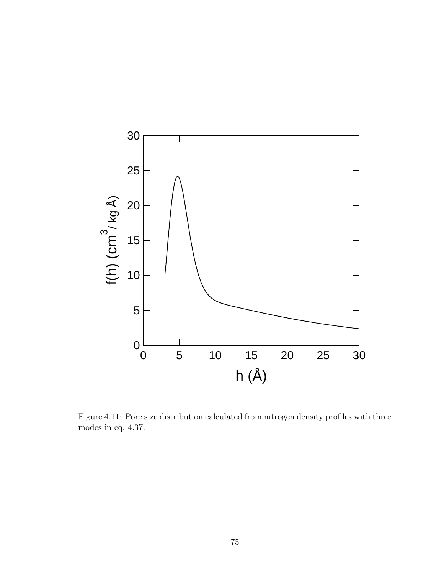

Figure 4.11: Pore size distribution calculated from nitrogen density profiles with three modes in eq. 4.37.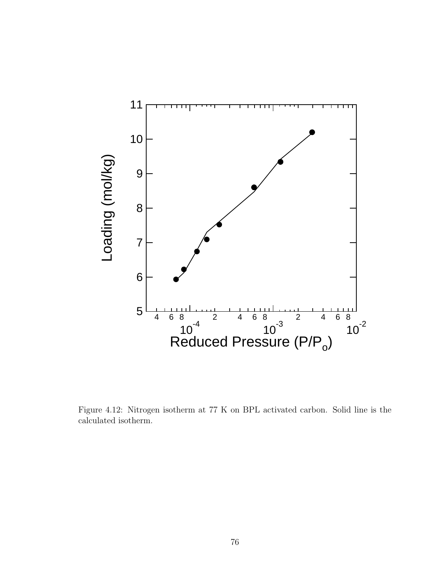

Figure 4.12: Nitrogen isotherm at 77 K on BPL activated carbon. Solid line is the calculated isotherm.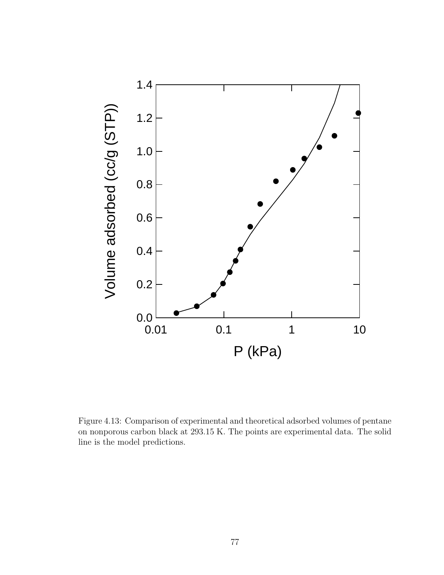

Figure 4.13: Comparison of experimental and theoretical adsorbed volumes of pentane on nonporous carbon black at 293.15 K. The points are experimental data. The solid line is the model predictions.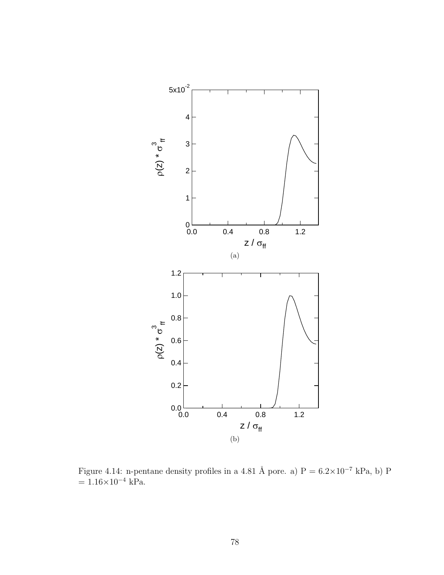

Figure 4.14: n-pentane density profiles in a 4.81 Å pore. a)  $P = 6.2 \times 10^{-7}$  kPa, b) P  $= 1.16 \times 10^{-4}$  kPa.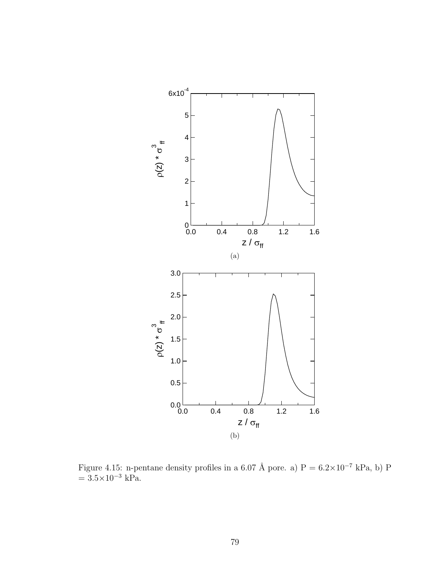

Figure 4.15: n-pentane density profiles in a 6.07 Å pore. a)  $P = 6.2 \times 10^{-7}$  kPa, b) P  $= 3.5 \times 10^{-3}$  kPa.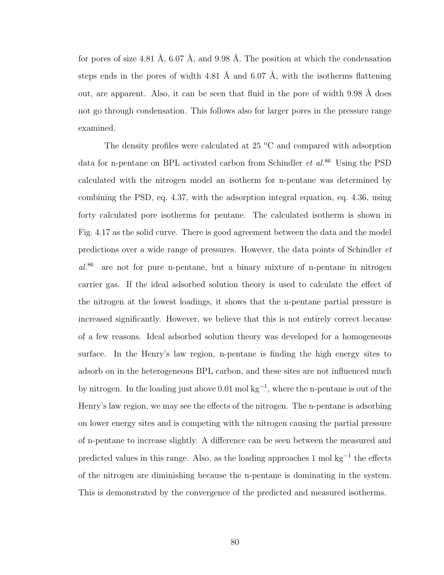for pores of size 4.81 Å,  $6.07$  Å, and  $9.98$  Å. The position at which the condensation steps ends in the pores of width 4.81 Å and 6.07 Å, with the isotherms flattening out, are apparent. Also, it can be seen that fluid in the pore of width  $9.98 \text{ Å}$  does not go through condensation. This follows also for larger pores in the pressure range examined.

The density profiles were calculated at  $25 \text{ °C}$  and compared with adsorption data for n-pentane on BPL activated carbon from Schindler *et al.*<sup>86</sup> Using the PSD calculated with the nitrogen model an isotherm for n-pentane was determined by combining the PSD, eq. 4.37, with the adsorption integral equation, eq. 4.36, using forty calculated pore isotherms for pentane. The calculated isotherm is shown in Fig. 4.17 as the solid curve. There is good agreement between the data and the model predictions over a wide range of pressures. However, the data points of Schindler et al.<sup>86</sup> are not for pure n-pentane, but a binary mixture of n-pentane in nitrogen carrier gas. If the ideal adsorbed solution theory is used to calculate the effect of the nitrogen at the lowest loadings, it shows that the n-pentane partial pressure is increased significantly. However, we believe that this is not entirely correct because of a few reasons. Ideal adsorbed solution theory was developed for a homogeneous surface. In the Henry's law region, n-pentane is finding the high energy sites to adsorb on in the heterogeneous BPL carbon, and these sites are not influenced much by nitrogen. In the loading just above 0.01 mol kg<sup>−</sup><sup>1</sup> , where the n-pentane is out of the Henry's law region, we may see the effects of the nitrogen. The n-pentane is adsorbing on lower energy sites and is competing with the nitrogen causing the partial pressure of n-pentane to increase slightly. A difference can be seen between the measured and predicted values in this range. Also, as the loading approaches  $1 \text{ mol kg}^{-1}$  the effects of the nitrogen are diminishing because the n-pentane is dominating in the system. This is demonstrated by the convergence of the predicted and measured isotherms.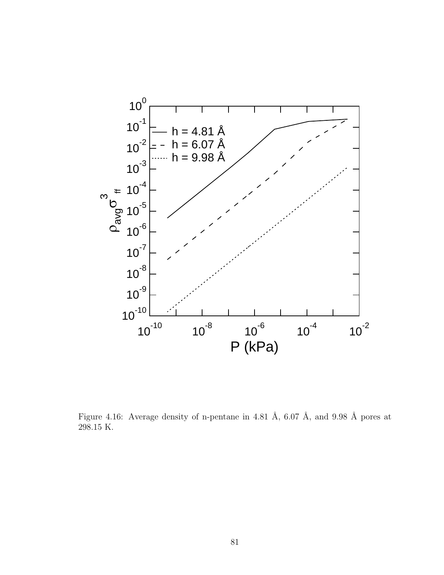

Figure 4.16: Average density of n-pentane in 4.81 Å, 6.07 Å, and 9.98 Å pores at 298.15 K.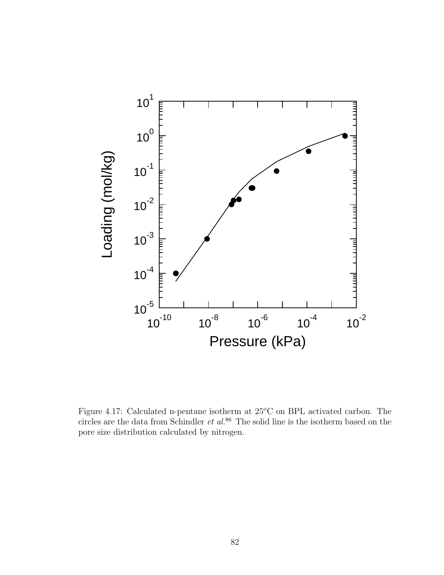

Figure 4.17: Calculated n-pentane isotherm at  $25^{\circ}$ C on BPL activated carbon. The circles are the data from Schindler  $et$   $al$ .<sup>86</sup> The solid line is the isotherm based on the pore size distribution calculated by nitrogen.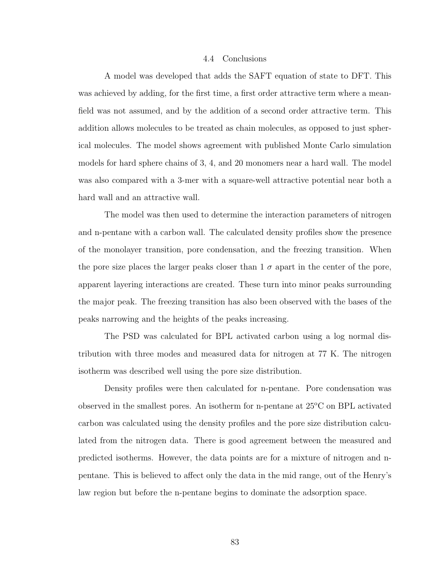#### 4.4 Conclusions

A model was developed that adds the SAFT equation of state to DFT. This was achieved by adding, for the first time, a first order attractive term where a meanfield was not assumed, and by the addition of a second order attractive term. This addition allows molecules to be treated as chain molecules, as opposed to just spherical molecules. The model shows agreement with published Monte Carlo simulation models for hard sphere chains of 3, 4, and 20 monomers near a hard wall. The model was also compared with a 3-mer with a square-well attractive potential near both a hard wall and an attractive wall.

The model was then used to determine the interaction parameters of nitrogen and n-pentane with a carbon wall. The calculated density profiles show the presence of the monolayer transition, pore condensation, and the freezing transition. When the pore size places the larger peaks closer than  $1 \sigma$  apart in the center of the pore, apparent layering interactions are created. These turn into minor peaks surrounding the major peak. The freezing transition has also been observed with the bases of the peaks narrowing and the heights of the peaks increasing.

The PSD was calculated for BPL activated carbon using a log normal distribution with three modes and measured data for nitrogen at 77 K. The nitrogen isotherm was described well using the pore size distribution.

Density profiles were then calculated for n-pentane. Pore condensation was observed in the smallest pores. An isotherm for n-pentane at  $25^{\circ}$ C on BPL activated carbon was calculated using the density profiles and the pore size distribution calculated from the nitrogen data. There is good agreement between the measured and predicted isotherms. However, the data points are for a mixture of nitrogen and npentane. This is believed to affect only the data in the mid range, out of the Henry's law region but before the n-pentane begins to dominate the adsorption space.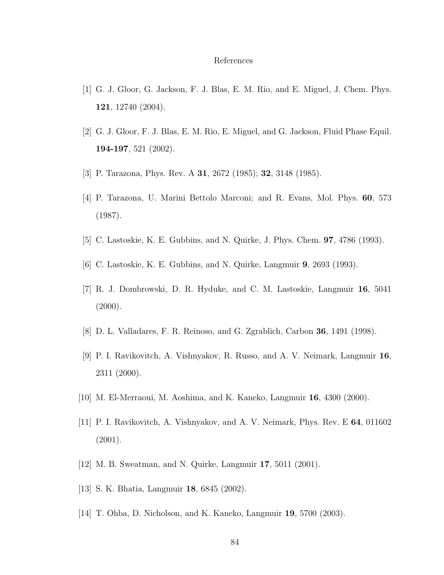#### References

- [1] G. J. Gloor, G. Jackson, F. J. Blas, E. M. Rio, and E. Miguel, J. Chem. Phys. 121, 12740 (2004).
- [2] G. J. Gloor, F. J. Blas, E. M. Rio, E. Miguel, and G. Jackson, Fluid Phase Equil. 194-197, 521 (2002).
- [3] P. Tarazona, Phys. Rev. A 31, 2672 (1985); 32, 3148 (1985).
- [4] P. Tarazona, U. Marini Bettolo Marconi; and R. Evans, Mol. Phys. 60, 573 (1987).
- [5] C. Lastoskie, K. E. Gubbins, and N. Quirke, J. Phys. Chem. 97, 4786 (1993).
- [6] C. Lastoskie, K. E. Gubbins, and N. Quirke, Langmuir 9, 2693 (1993).
- [7] R. J. Dombrowski, D. R. Hyduke, and C. M. Lastoskie, Langmuir 16, 5041  $(2000).$
- [8] D. L. Valladares, F. R. Reinoso, and G. Zgrablich, Carbon 36, 1491 (1998).
- [9] P. I. Ravikovitch, A. Vishnyakov, R. Russo, and A. V. Neimark, Langmuir 16, 2311 (2000).
- [10] M. El-Merraoui, M. Aoshima, and K. Kaneko, Langmuir 16, 4300 (2000).
- [11] P. I. Ravikovitch, A. Vishnyakov, and A. V. Neimark, Phys. Rev. E 64, 011602 (2001).
- [12] M. B. Sweatman, and N. Quirke, Langmuir 17, 5011 (2001).
- [13] S. K. Bhatia, Langmuir 18, 6845 (2002).
- [14] T. Ohba, D. Nicholson, and K. Kaneko, Langmuir 19, 5700 (2003).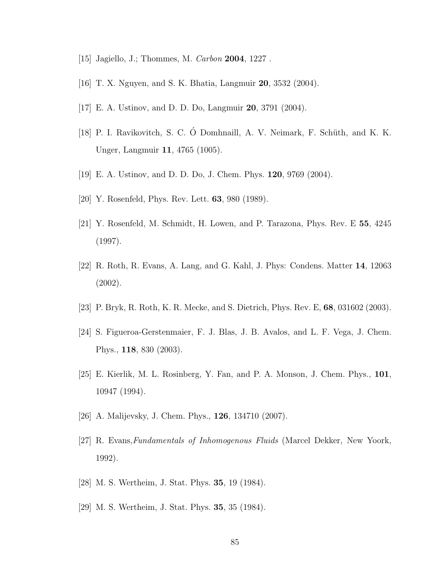- [15] Jagiello, J.; Thommes, M. Carbon 2004, 1227 .
- [16] T. X. Nguyen, and S. K. Bhatia, Langmuir 20, 3532 (2004).
- [17] E. A. Ustinov, and D. D. Do, Langmuir 20, 3791 (2004).
- [18] P. I. Ravikovitch, S. C. Ó Domhnaill, A. V. Neimark, F. Schüth, and K. K. Unger, Langmuir 11, 4765 (1005).
- [19] E. A. Ustinov, and D. D. Do, J. Chem. Phys. 120, 9769 (2004).
- [20] Y. Rosenfeld, Phys. Rev. Lett. 63, 980 (1989).
- [21] Y. Rosenfeld, M. Schmidt, H. Lowen, and P. Tarazona, Phys. Rev. E 55, 4245 (1997).
- [22] R. Roth, R. Evans, A. Lang, and G. Kahl, J. Phys: Condens. Matter 14, 12063 (2002).
- [23] P. Bryk, R. Roth, K. R. Mecke, and S. Dietrich, Phys. Rev. E, 68, 031602 (2003).
- [24] S. Figueroa-Gerstenmaier, F. J. Blas, J. B. Avalos, and L. F. Vega, J. Chem. Phys., 118, 830 (2003).
- [25] E. Kierlik, M. L. Rosinberg, Y. Fan, and P. A. Monson, J. Chem. Phys., 101, 10947 (1994).
- [26] A. Malijevsky, J. Chem. Phys., 126, 134710 (2007).
- [27] R. Evans,Fundamentals of Inhomogenous Fluids (Marcel Dekker, New Yoork, 1992).
- [28] M. S. Wertheim, J. Stat. Phys. 35, 19 (1984).
- [29] M. S. Wertheim, J. Stat. Phys. 35, 35 (1984).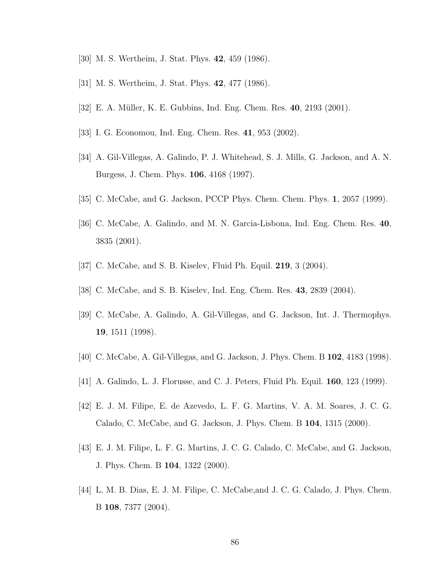- [30] M. S. Wertheim, J. Stat. Phys. 42, 459 (1986).
- [31] M. S. Wertheim, J. Stat. Phys. 42, 477 (1986).
- [32] E. A. Müller, K. E. Gubbins, Ind. Eng. Chem. Res. 40, 2193 (2001).
- [33] I. G. Economou, Ind. Eng. Chem. Res. 41, 953 (2002).
- [34] A. Gil-Villegas, A. Galindo, P. J. Whitehead, S. J. Mills, G. Jackson, and A. N. Burgess, J. Chem. Phys. 106, 4168 (1997).
- [35] C. McCabe, and G. Jackson, PCCP Phys. Chem. Chem. Phys. 1, 2057 (1999).
- [36] C. McCabe, A. Galindo, and M. N. Garcia-Lisbona, Ind. Eng. Chem. Res. 40, 3835 (2001).
- [37] C. McCabe, and S. B. Kiselev, Fluid Ph. Equil. 219, 3 (2004).
- [38] C. McCabe, and S. B. Kiselev, Ind. Eng. Chem. Res. 43, 2839 (2004).
- [39] C. McCabe, A. Galindo, A. Gil-Villegas, and G. Jackson, Int. J. Thermophys. 19, 1511 (1998).
- [40] C. McCabe, A. Gil-Villegas, and G. Jackson, J. Phys. Chem. B 102, 4183 (1998).
- [41] A. Galindo, L. J. Florusse, and C. J. Peters, Fluid Ph. Equil. 160, 123 (1999).
- [42] E. J. M. Filipe, E. de Azevedo, L. F. G. Martins, V. A. M. Soares, J. C. G. Calado, C. McCabe, and G. Jackson, J. Phys. Chem. B 104, 1315 (2000).
- [43] E. J. M. Filipe, L. F. G. Martins, J. C. G. Calado, C. McCabe, and G. Jackson, J. Phys. Chem. B 104, 1322 (2000).
- [44] L. M. B. Dias, E. J. M. Filipe, C. McCabe,and J. C. G. Calado, J. Phys. Chem. B 108, 7377 (2004).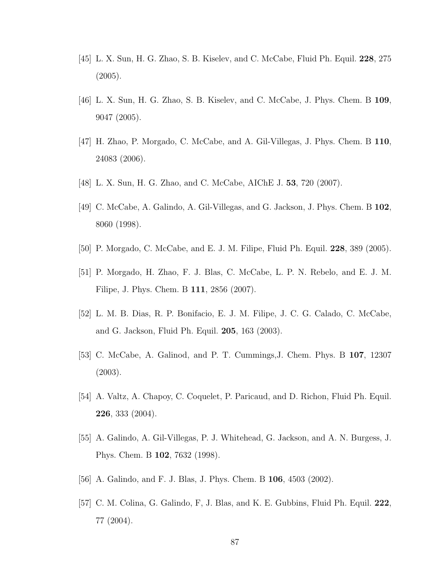- [45] L. X. Sun, H. G. Zhao, S. B. Kiselev, and C. McCabe, Fluid Ph. Equil. 228, 275 (2005).
- [46] L. X. Sun, H. G. Zhao, S. B. Kiselev, and C. McCabe, J. Phys. Chem. B 109, 9047 (2005).
- [47] H. Zhao, P. Morgado, C. McCabe, and A. Gil-Villegas, J. Phys. Chem. B 110, 24083 (2006).
- [48] L. X. Sun, H. G. Zhao, and C. McCabe, AIChE J. 53, 720 (2007).
- [49] C. McCabe, A. Galindo, A. Gil-Villegas, and G. Jackson, J. Phys. Chem. B 102, 8060 (1998).
- [50] P. Morgado, C. McCabe, and E. J. M. Filipe, Fluid Ph. Equil. 228, 389 (2005).
- [51] P. Morgado, H. Zhao, F. J. Blas, C. McCabe, L. P. N. Rebelo, and E. J. M. Filipe, J. Phys. Chem. B 111, 2856 (2007).
- [52] L. M. B. Dias, R. P. Bonifacio, E. J. M. Filipe, J. C. G. Calado, C. McCabe, and G. Jackson, Fluid Ph. Equil. 205, 163 (2003).
- [53] C. McCabe, A. Galinod, and P. T. Cummings,J. Chem. Phys. B 107, 12307 (2003).
- [54] A. Valtz, A. Chapoy, C. Coquelet, P. Paricaud, and D. Richon, Fluid Ph. Equil. 226, 333 (2004).
- [55] A. Galindo, A. Gil-Villegas, P. J. Whitehead, G. Jackson, and A. N. Burgess, J. Phys. Chem. B 102, 7632 (1998).
- [56] A. Galindo, and F. J. Blas, J. Phys. Chem. B 106, 4503 (2002).
- [57] C. M. Colina, G. Galindo, F, J. Blas, and K. E. Gubbins, Fluid Ph. Equil. 222, 77 (2004).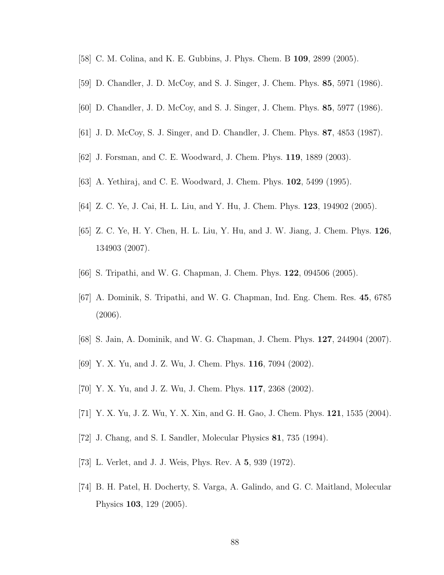- [58] C. M. Colina, and K. E. Gubbins, J. Phys. Chem. B 109, 2899 (2005).
- [59] D. Chandler, J. D. McCoy, and S. J. Singer, J. Chem. Phys. 85, 5971 (1986).
- [60] D. Chandler, J. D. McCoy, and S. J. Singer, J. Chem. Phys. 85, 5977 (1986).
- [61] J. D. McCoy, S. J. Singer, and D. Chandler, J. Chem. Phys. 87, 4853 (1987).
- [62] J. Forsman, and C. E. Woodward, J. Chem. Phys. 119, 1889 (2003).
- [63] A. Yethiraj, and C. E. Woodward, J. Chem. Phys. 102, 5499 (1995).
- [64] Z. C. Ye, J. Cai, H. L. Liu, and Y. Hu, J. Chem. Phys. 123, 194902 (2005).
- [65] Z. C. Ye, H. Y. Chen, H. L. Liu, Y. Hu, and J. W. Jiang, J. Chem. Phys. 126, 134903 (2007).
- [66] S. Tripathi, and W. G. Chapman, J. Chem. Phys. 122, 094506 (2005).
- [67] A. Dominik, S. Tripathi, and W. G. Chapman, Ind. Eng. Chem. Res. 45, 6785 (2006).
- [68] S. Jain, A. Dominik, and W. G. Chapman, J. Chem. Phys. 127, 244904 (2007).
- [69] Y. X. Yu, and J. Z. Wu, J. Chem. Phys. 116, 7094 (2002).
- [70] Y. X. Yu, and J. Z. Wu, J. Chem. Phys. 117, 2368 (2002).
- [71] Y. X. Yu, J. Z. Wu, Y. X. Xin, and G. H. Gao, J. Chem. Phys. 121, 1535 (2004).
- [72] J. Chang, and S. I. Sandler, Molecular Physics 81, 735 (1994).
- [73] L. Verlet, and J. J. Weis, Phys. Rev. A 5, 939 (1972).
- [74] B. H. Patel, H. Docherty, S. Varga, A. Galindo, and G. C. Maitland, Molecular Physics 103, 129 (2005).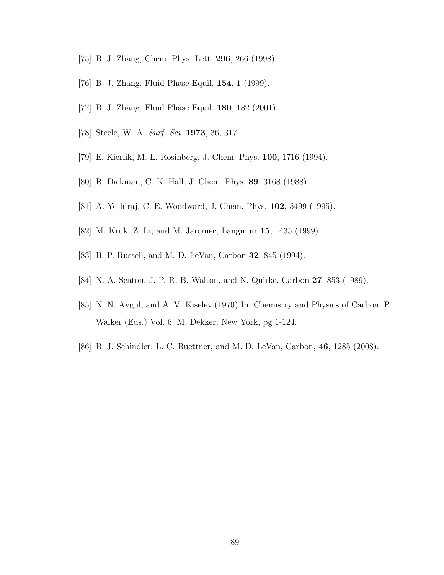- [75] B. J. Zhang, Chem. Phys. Lett. 296, 266 (1998).
- [76] B. J. Zhang, Fluid Phase Equil. 154, 1 (1999).
- [77] B. J. Zhang, Fluid Phase Equil. 180, 182 (2001).
- [78] Steele, W. A. Surf. Sci. **1973**, 36, 317.
- [79] E. Kierlik, M. L. Rosinberg, J. Chem. Phys. 100, 1716 (1994).
- [80] R. Dickman, C. K. Hall, J. Chem. Phys. 89, 3168 (1988).
- [81] A. Yethiraj, C. E. Woodward, J. Chem. Phys. 102, 5499 (1995).
- [82] M. Kruk, Z. Li, and M. Jaroniec, Langmuir 15, 1435 (1999).
- [83] B. P. Russell, and M. D. LeVan, Carbon 32, 845 (1994).
- [84] N. A. Seaton, J. P. R. B. Walton, and N. Quirke, Carbon 27, 853 (1989).
- [85] N. N. Avgul, and A. V. Kiselev.(1970) In. Chemistry and Physics of Carbon. P. Walker (Eds.) Vol. 6, M. Dekker, New York, pg 1-124.
- [86] B. J. Schindler, L. C. Buettner, and M. D. LeVan, Carbon, 46, 1285 (2008).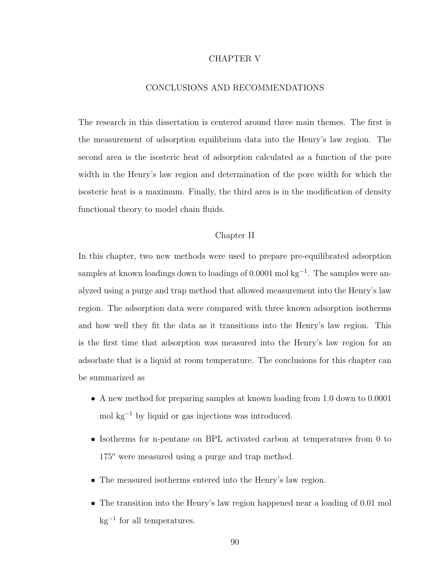#### CHAPTER V

## CONCLUSIONS AND RECOMMENDATIONS

The research in this dissertation is centered around three main themes. The first is the measurement of adsorption equilibrium data into the Henry's law region. The second area is the isosteric heat of adsorption calculated as a function of the pore width in the Henry's law region and determination of the pore width for which the isosteric heat is a maximum. Finally, the third area is in the modification of density functional theory to model chain fluids.

#### Chapter II

In this chapter, two new methods were used to prepare pre-equilibrated adsorption samples at known loadings down to loadings of 0.0001 mol kg<sup>-1</sup>. The samples were analyzed using a purge and trap method that allowed measurement into the Henry's law region. The adsorption data were compared with three known adsorption isotherms and how well they fit the data as it transitions into the Henry's law region. This is the first time that adsorption was measured into the Henry's law region for an adsorbate that is a liquid at room temperature. The conclusions for this chapter can be summarized as

- A new method for preparing samples at known loading from 1.0 down to 0.0001 mol kg<sup>−</sup><sup>1</sup> by liquid or gas injections was introduced.
- Isotherms for n-pentane on BPL activated carbon at temperatures from 0 to 175<sup>o</sup> were measured using a purge and trap method.
- The measured isotherms entered into the Henry's law region.
- The transition into the Henry's law region happened near a loading of 0.01 mol kg<sup>−</sup><sup>1</sup> for all temperatures.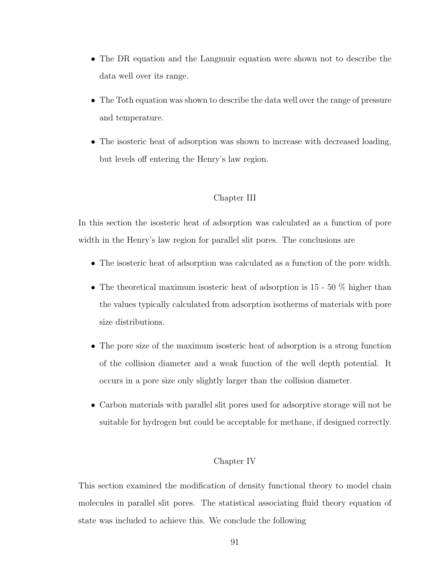- The DR equation and the Langmuir equation were shown not to describe the data well over its range.
- The Toth equation was shown to describe the data well over the range of pressure and temperature.
- The isosteric heat of adsorption was shown to increase with decreased loading, but levels off entering the Henry's law region.

## Chapter III

In this section the isosteric heat of adsorption was calculated as a function of pore width in the Henry's law region for parallel slit pores. The conclusions are

- The isosteric heat of adsorption was calculated as a function of the pore width.
- The theoretical maximum isosteric heat of adsorption is  $15 50\%$  higher than the values typically calculated from adsorption isotherms of materials with pore size distributions.
- The pore size of the maximum isosteric heat of adsorption is a strong function of the collision diameter and a weak function of the well depth potential. It occurs in a pore size only slightly larger than the collision diameter.
- Carbon materials with parallel slit pores used for adsorptive storage will not be suitable for hydrogen but could be acceptable for methane, if designed correctly.

### Chapter IV

This section examined the modification of density functional theory to model chain molecules in parallel slit pores. The statistical associating fluid theory equation of state was included to achieve this. We conclude the following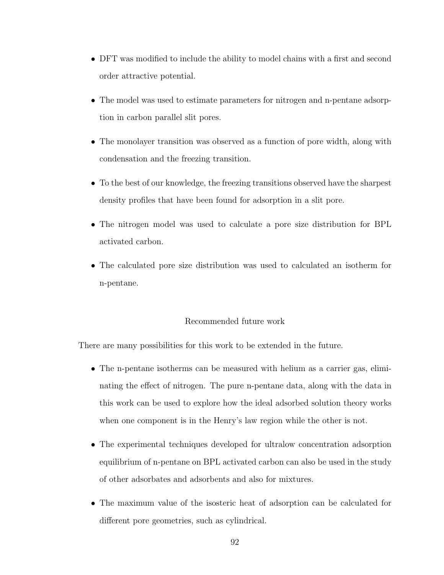- DFT was modified to include the ability to model chains with a first and second order attractive potential.
- The model was used to estimate parameters for nitrogen and n-pentane adsorption in carbon parallel slit pores.
- The monolayer transition was observed as a function of pore width, along with condensation and the freezing transition.
- To the best of our knowledge, the freezing transitions observed have the sharpest density profiles that have been found for adsorption in a slit pore.
- The nitrogen model was used to calculate a pore size distribution for BPL activated carbon.
- The calculated pore size distribution was used to calculated an isotherm for n-pentane.

## Recommended future work

There are many possibilities for this work to be extended in the future.

- The n-pentane isotherms can be measured with helium as a carrier gas, eliminating the effect of nitrogen. The pure n-pentane data, along with the data in this work can be used to explore how the ideal adsorbed solution theory works when one component is in the Henry's law region while the other is not.
- The experimental techniques developed for ultralow concentration adsorption equilibrium of n-pentane on BPL activated carbon can also be used in the study of other adsorbates and adsorbents and also for mixtures.
- The maximum value of the isosteric heat of adsorption can be calculated for different pore geometries, such as cylindrical.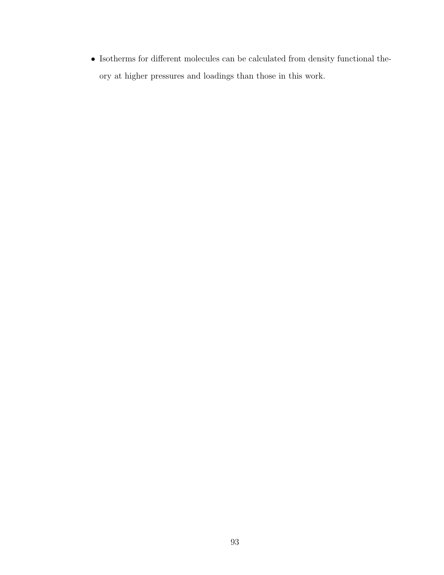$\bullet~$  Isotherms for different molecules can be calculated from density functional theory at higher pressures and loadings than those in this work.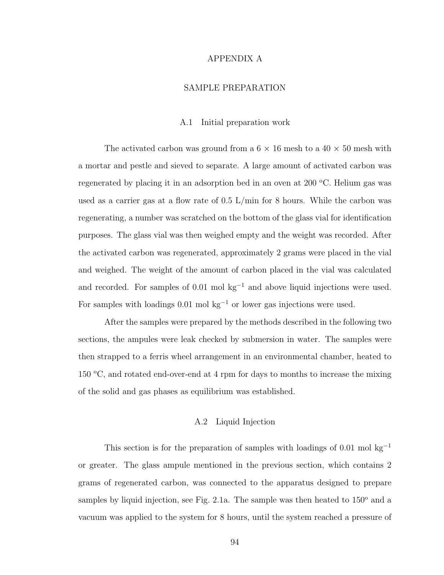#### APPENDIX A

## SAMPLE PREPARATION

#### A.1 Initial preparation work

The activated carbon was ground from a  $6 \times 16$  mesh to a  $40 \times 50$  mesh with a mortar and pestle and sieved to separate. A large amount of activated carbon was regenerated by placing it in an adsorption bed in an oven at  $200^{\circ}$ C. Helium gas was used as a carrier gas at a flow rate of  $0.5 \text{ L/min}$  for 8 hours. While the carbon was regenerating, a number was scratched on the bottom of the glass vial for identification purposes. The glass vial was then weighed empty and the weight was recorded. After the activated carbon was regenerated, approximately 2 grams were placed in the vial and weighed. The weight of the amount of carbon placed in the vial was calculated and recorded. For samples of  $0.01$  mol kg<sup>-1</sup> and above liquid injections were used. For samples with loadings 0.01 mol kg<sup>−</sup><sup>1</sup> or lower gas injections were used.

After the samples were prepared by the methods described in the following two sections, the ampules were leak checked by submersion in water. The samples were then strapped to a ferris wheel arrangement in an environmental chamber, heated to 150  $\degree$ C, and rotated end-over-end at 4 rpm for days to months to increase the mixing of the solid and gas phases as equilibrium was established.

#### A.2 Liquid Injection

This section is for the preparation of samples with loadings of 0.01 mol kg<sup>-1</sup> or greater. The glass ampule mentioned in the previous section, which contains 2 grams of regenerated carbon, was connected to the apparatus designed to prepare samples by liquid injection, see Fig. 2.1a. The sample was then heated to  $150^{\circ}$  and a vacuum was applied to the system for 8 hours, until the system reached a pressure of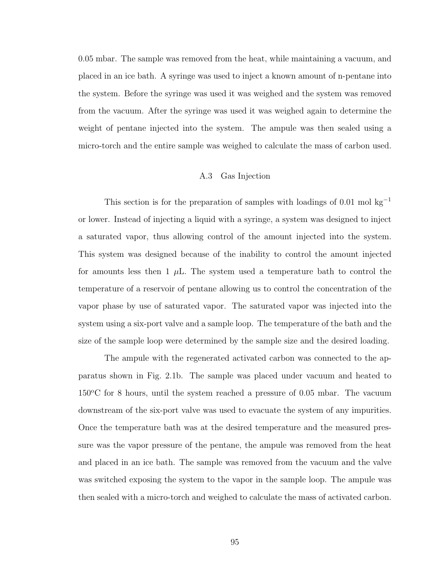0.05 mbar. The sample was removed from the heat, while maintaining a vacuum, and placed in an ice bath. A syringe was used to inject a known amount of n-pentane into the system. Before the syringe was used it was weighed and the system was removed from the vacuum. After the syringe was used it was weighed again to determine the weight of pentane injected into the system. The ampule was then sealed using a micro-torch and the entire sample was weighed to calculate the mass of carbon used.

#### A.3 Gas Injection

This section is for the preparation of samples with loadings of  $0.01 \text{ mol kg}^{-1}$ or lower. Instead of injecting a liquid with a syringe, a system was designed to inject a saturated vapor, thus allowing control of the amount injected into the system. This system was designed because of the inability to control the amount injected for amounts less then 1  $\mu$ L. The system used a temperature bath to control the temperature of a reservoir of pentane allowing us to control the concentration of the vapor phase by use of saturated vapor. The saturated vapor was injected into the system using a six-port valve and a sample loop. The temperature of the bath and the size of the sample loop were determined by the sample size and the desired loading.

The ampule with the regenerated activated carbon was connected to the apparatus shown in Fig. 2.1b. The sample was placed under vacuum and heated to  $150^{\circ}$ C for 8 hours, until the system reached a pressure of 0.05 mbar. The vacuum downstream of the six-port valve was used to evacuate the system of any impurities. Once the temperature bath was at the desired temperature and the measured pressure was the vapor pressure of the pentane, the ampule was removed from the heat and placed in an ice bath. The sample was removed from the vacuum and the valve was switched exposing the system to the vapor in the sample loop. The ampule was then sealed with a micro-torch and weighed to calculate the mass of activated carbon.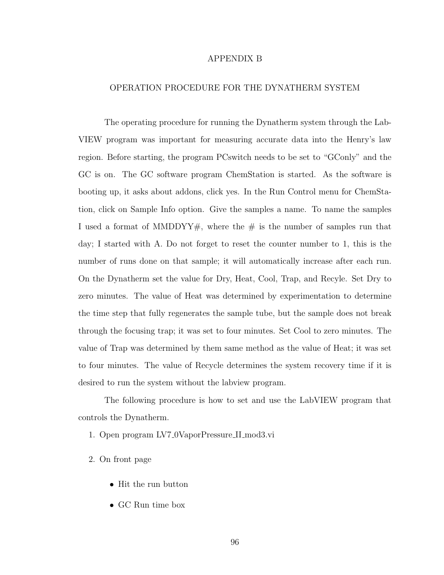#### APPENDIX B

## OPERATION PROCEDURE FOR THE DYNATHERM SYSTEM

The operating procedure for running the Dynatherm system through the Lab-VIEW program was important for measuring accurate data into the Henry's law region. Before starting, the program PCswitch needs to be set to "GConly" and the GC is on. The GC software program ChemStation is started. As the software is booting up, it asks about addons, click yes. In the Run Control menu for ChemStation, click on Sample Info option. Give the samples a name. To name the samples I used a format of MMDDYY#, where the  $#$  is the number of samples run that day; I started with A. Do not forget to reset the counter number to 1, this is the number of runs done on that sample; it will automatically increase after each run. On the Dynatherm set the value for Dry, Heat, Cool, Trap, and Recyle. Set Dry to zero minutes. The value of Heat was determined by experimentation to determine the time step that fully regenerates the sample tube, but the sample does not break through the focusing trap; it was set to four minutes. Set Cool to zero minutes. The value of Trap was determined by them same method as the value of Heat; it was set to four minutes. The value of Recycle determines the system recovery time if it is desired to run the system without the labview program.

The following procedure is how to set and use the LabVIEW program that controls the Dynatherm.

- 1. Open program LV7 0VaporPressure II mod3.vi
- 2. On front page
	- Hit the run button
	- GC Run time box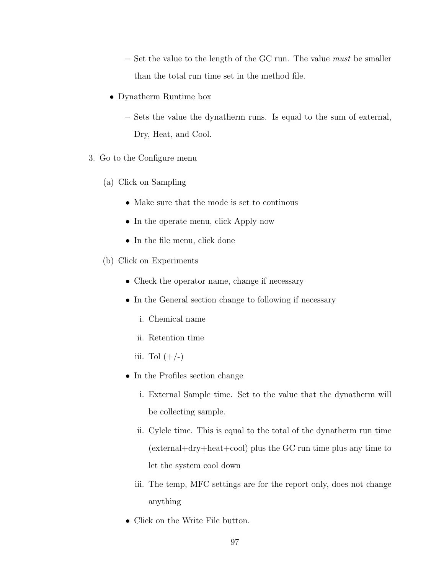$-$  Set the value to the length of the GC run. The value must be smaller than the total run time set in the method file.

- Dynatherm Runtime box
	- Sets the value the dynatherm runs. Is equal to the sum of external, Dry, Heat, and Cool.
- 3. Go to the Configure menu
	- (a) Click on Sampling
		- Make sure that the mode is set to continous
		- In the operate menu, click Apply now
		- In the file menu, click done
	- (b) Click on Experiments
		- Check the operator name, change if necessary
		- In the General section change to following if necessary
			- i. Chemical name
			- ii. Retention time
			- iii. Tol  $(+/-)$
		- In the Profiles section change
			- i. External Sample time. Set to the value that the dynatherm will be collecting sample.
			- ii. Cylcle time. This is equal to the total of the dynatherm run time (external+dry+heat+cool) plus the GC run time plus any time to let the system cool down
			- iii. The temp, MFC settings are for the report only, does not change anything
		- Click on the Write File button.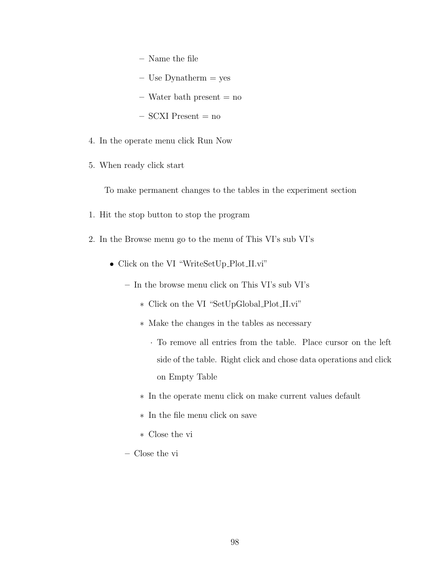- Name the file
- $-$  Use Dynatherm  $=$  yes
- $-$  Water bath present  $=$  no
- $-$  SCXI Present  $=$  no
- 4. In the operate menu click Run Now
- 5. When ready click start

To make permanent changes to the tables in the experiment section

- 1. Hit the stop button to stop the program
- 2. In the Browse menu go to the menu of This VI's sub VI's
	- Click on the VI "WriteSetUp\_Plot\_II.vi"
		- In the browse menu click on This VI's sub VI's
			- ∗ Click on the VI "SetUpGlobal Plot II.vi"
			- ∗ Make the changes in the tables as necessary
				- · To remove all entries from the table. Place cursor on the left side of the table. Right click and chose data operations and click on Empty Table
			- ∗ In the operate menu click on make current values default
			- ∗ In the file menu click on save
			- ∗ Close the vi
		- Close the vi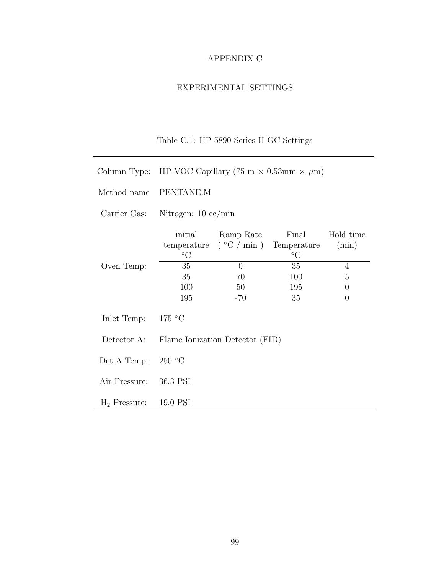## APPENDIX C

## EXPERIMENTAL SETTINGS

# Table C.1: HP 5890 Series II GC Settings

- Column Type: HP-VOC Capillary (75 m  $\times$  0.53mm  $\times \mu$ m)
- Method name PENTANE.M

 $\overline{\phantom{0}}$ 

Carrier Gas: Nitrogen: 10 cc/min

|                 | initial                         | Ramp Rate | Final                                  | Hold time |  |  |  |  |
|-----------------|---------------------------------|-----------|----------------------------------------|-----------|--|--|--|--|
|                 | temperature                     |           | $({\degree}C / {\rm min})$ Temperature | (min)     |  |  |  |  |
|                 | $\rm ^{\circ}C$                 |           | $\rm ^{\circ}C$                        |           |  |  |  |  |
| Oven Temp:      | 35                              | $\Omega$  | 35                                     | 4         |  |  |  |  |
|                 | 35                              | 70        | 100                                    | 5         |  |  |  |  |
|                 | 100                             | 50        | 195                                    | $\theta$  |  |  |  |  |
|                 | 195                             | $-70$     | 35                                     | $\theta$  |  |  |  |  |
|                 |                                 |           |                                        |           |  |  |  |  |
| Inlet Temp:     | 175 °C                          |           |                                        |           |  |  |  |  |
|                 |                                 |           |                                        |           |  |  |  |  |
| Detector A:     | Flame Ionization Detector (FID) |           |                                        |           |  |  |  |  |
|                 |                                 |           |                                        |           |  |  |  |  |
| Det A Temp:     | 250 °C                          |           |                                        |           |  |  |  |  |
|                 |                                 |           |                                        |           |  |  |  |  |
| Air Pressure:   | 36.3 PSI                        |           |                                        |           |  |  |  |  |
|                 |                                 |           |                                        |           |  |  |  |  |
| $H_2$ Pressure: | 19.0 PSI                        |           |                                        |           |  |  |  |  |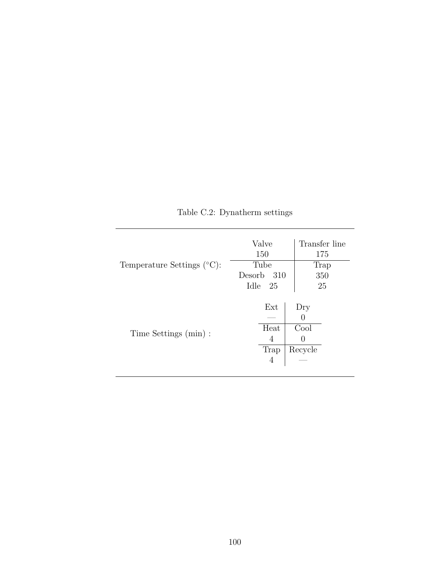| Temperature Settings $({}^{\circ}C)$ : | Valve<br>150<br>Tube<br>Desorb<br>- 310<br>Idle 25 | Transfer line<br>175<br>Trap<br>350<br>25                      |
|----------------------------------------|----------------------------------------------------|----------------------------------------------------------------|
| Time Settings (min) :                  | Ext<br>Heat<br>4<br>Trap<br>4                      | Dry<br>$\left( \right)$<br>Cool<br>$\left( \right)$<br>Recycle |

Table C.2: Dynatherm settings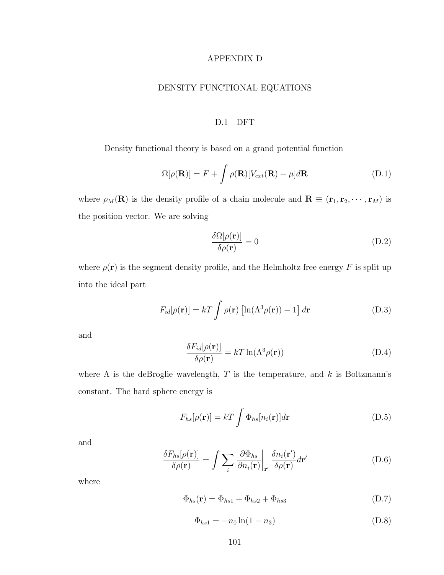#### APPENDIX D

# DENSITY FUNCTIONAL EQUATIONS

#### D.1 DFT

Density functional theory is based on a grand potential function

$$
\Omega[\rho(\mathbf{R})] = F + \int \rho(\mathbf{R}) [V_{ext}(\mathbf{R}) - \mu] d\mathbf{R}
$$
 (D.1)

where  $\rho_M(\mathbf{R})$  is the density profile of a chain molecule and  $\mathbf{R} \equiv (\mathbf{r}_1, \mathbf{r}_2, \cdots, \mathbf{r}_M)$  is the position vector. We are solving

$$
\frac{\delta\Omega[\rho(\mathbf{r})]}{\delta\rho(\mathbf{r})} = 0
$$
\n(D.2)

where  $\rho(\mathbf{r})$  is the segment density profile, and the Helmholtz free energy  $F$  is split up into the ideal part

$$
F_{id}[\rho(\mathbf{r})] = kT \int \rho(\mathbf{r}) \left[ \ln(\Lambda^3 \rho(\mathbf{r})) - 1 \right] d\mathbf{r}
$$
 (D.3)

and

$$
\frac{\delta F_{id}[\rho(\mathbf{r})]}{\delta \rho(\mathbf{r})} = kT \ln(\Lambda^3 \rho(\mathbf{r}))
$$
\n(D.4)

where  $\Lambda$  is the deBroglie wavelength, T is the temperature, and k is Boltzmann's constant. The hard sphere energy is

$$
F_{hs}[\rho(\mathbf{r})] = kT \int \Phi_{hs}[n_i(\mathbf{r})] d\mathbf{r}
$$
 (D.5)

and

$$
\frac{\delta F_{hs}[\rho(\mathbf{r})]}{\delta \rho(\mathbf{r})} = \int \sum_{i} \frac{\partial \Phi_{hs}}{\partial n_{i}(\mathbf{r})} \bigg|_{\mathbf{r}'} \frac{\delta n_{i}(\mathbf{r}')}{\delta \rho(\mathbf{r})} d\mathbf{r}' \tag{D.6}
$$

$$
\Phi_{hs}(\mathbf{r}) = \Phi_{hs1} + \Phi_{hs2} + \Phi_{hs3} \tag{D.7}
$$

$$
\Phi_{hs1} = -n_0 \ln(1 - n_3) \tag{D.8}
$$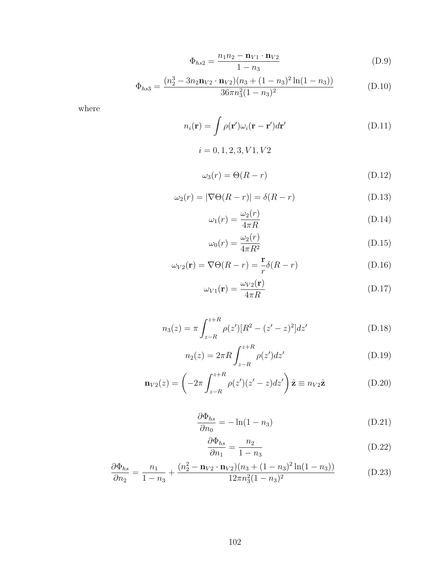$$
\Phi_{hs2} = \frac{n_1 n_2 - \mathbf{n}_{V1} \cdot \mathbf{n}_{V2}}{1 - n_3} \tag{D.9}
$$

$$
\Phi_{hs3} = \frac{(n_2^3 - 3n_2 \mathbf{n}_{V2} \cdot \mathbf{n}_{V2})(n_3 + (1 - n_3)^2 \ln(1 - n_3))}{36\pi n_3^2 (1 - n_3)^2}
$$
(D.10)

$$
n_i(\mathbf{r}) = \int \rho(\mathbf{r}') \omega_i(\mathbf{r} - \mathbf{r}') d\mathbf{r}'
$$
 (D.11)

$$
i = 0, 1, 2, 3, V1, V2
$$

$$
\omega_3(r) = \Theta(R - r) \tag{D.12}
$$

$$
\omega_2(r) = |\nabla \Theta(R - r)| = \delta(R - r) \tag{D.13}
$$

$$
\omega_1(r) = \frac{\omega_2(r)}{4\pi R} \tag{D.14}
$$

$$
\omega_0(r) = \frac{\omega_2(r)}{4\pi R^2} \tag{D.15}
$$

$$
\omega_{V2}(\mathbf{r}) = \nabla \Theta(R - r) = \frac{\mathbf{r}}{r} \delta(R - r)
$$
 (D.16)

$$
\omega_{V1}(\mathbf{r}) = \frac{\omega_{V2}(\mathbf{r})}{4\pi R} \tag{D.17}
$$

$$
n_3(z) = \pi \int_{z-R}^{z+R} \rho(z') [R^2 - (z'-z)^2] dz' \tag{D.18}
$$

$$
n_2(z) = 2\pi R \int_{z-R}^{z+R} \rho(z')dz' \tag{D.19}
$$

$$
\mathbf{n}_{V2}(z) = \left(-2\pi \int_{z-R}^{z+R} \rho(z')(z'-z)dz'\right)\hat{\mathbf{z}} \equiv n_{V2}\hat{\mathbf{z}}
$$
(D.20)

$$
\frac{\partial \Phi_{hs}}{\partial n_0} = -\ln(1 - n_3) \tag{D.21}
$$

$$
\frac{\partial \Phi_{hs}}{\partial n_1} = \frac{n_2}{1 - n_3} \tag{D.22}
$$

$$
\frac{\partial \Phi_{hs}}{\partial n_2} = \frac{n_1}{1 - n_3} + \frac{(n_2^2 - \mathbf{n}_{V2} \cdot \mathbf{n}_{V2})(n_3 + (1 - n_3)^2 \ln(1 - n_3))}{12\pi n_3^2 (1 - n_3)^2}
$$
(D.23)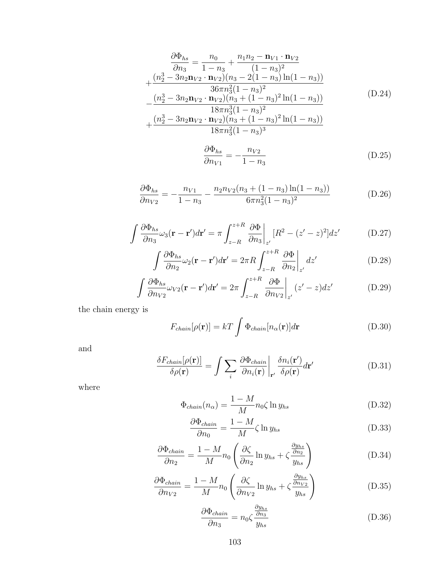$$
\frac{\partial \Phi_{hs}}{\partial n_3} = \frac{n_0}{1 - n_3} + \frac{n_1 n_2 - \mathbf{n}_{V1} \cdot \mathbf{n}_{V2}}{(1 - n_3)^2} \n+ \frac{(n_2^3 - 3n_2 \mathbf{n}_{V2} \cdot \mathbf{n}_{V2})(n_3 - 2(1 - n_3) \ln(1 - n_3))}{36 \pi n_3^2 (1 - n_3)^2} \n- \frac{(n_2^3 - 3n_2 \mathbf{n}_{V2} \cdot \mathbf{n}_{V2})(n_3 + (1 - n_3)^2 \ln(1 - n_3))}{18 \pi n_3^3 (1 - n_3)^2} \n+ \frac{(n_2^3 - 3n_2 \mathbf{n}_{V2} \cdot \mathbf{n}_{V2})(n_3 + (1 - n_3)^2 \ln(1 - n_3))}{18 \pi n_3^2 (1 - n_3)^3}
$$
\n(D.24)

$$
\frac{\partial \Phi_{hs}}{\partial n_{V1}} = -\frac{n_{V2}}{1 - n_3} \tag{D.25}
$$

$$
\frac{\partial \Phi_{hs}}{\partial n_{V2}} = -\frac{n_{V1}}{1 - n_3} - \frac{n_2 n_{V2} (n_3 + (1 - n_3) \ln(1 - n_3))}{6 \pi n_3^2 (1 - n_3)^2}
$$
(D.26)

$$
\int \frac{\partial \Phi_{hs}}{\partial n_3} \omega_3(\mathbf{r} - \mathbf{r}') d\mathbf{r}' = \pi \int_{z-R}^{z+R} \frac{\partial \Phi}{\partial n_3} \bigg|_{z'} [R^2 - (z'-z)^2] dz' \tag{D.27}
$$

$$
\int \frac{\partial \Phi_{hs}}{\partial n_2} \omega_2(\mathbf{r} - \mathbf{r}') d\mathbf{r}' = 2\pi R \int_{z-R}^{z+R} \frac{\partial \Phi}{\partial n_2} \bigg|_{z'} dz' \tag{D.28}
$$

$$
\int \frac{\partial \Phi_{hs}}{\partial n_{V2}} \omega_{V2}(\mathbf{r} - \mathbf{r}') d\mathbf{r}' = 2\pi \int_{z-R}^{z+R} \frac{\partial \Phi}{\partial n_{V2}} \bigg|_{z'} (z'-z) dz' \tag{D.29}
$$

the chain energy is

$$
F_{chain}[\rho(\mathbf{r})] = kT \int \Phi_{chain}[n_{\alpha}(\mathbf{r})]d\mathbf{r}
$$
 (D.30)

and

$$
\frac{\delta F_{chain}[\rho(\mathbf{r})]}{\delta \rho(\mathbf{r})} = \int \sum_{i} \frac{\partial \Phi_{chain}}{\partial n_{i}(\mathbf{r})} \bigg|_{\mathbf{r}'} \frac{\delta n_{i}(\mathbf{r}')}{\delta \rho(\mathbf{r})} d\mathbf{r}'
$$
(D.31)

$$
\Phi_{chain}(n_{\alpha}) = \frac{1 - M}{M} n_0 \zeta \ln y_{hs} \tag{D.32}
$$

$$
\frac{\partial \Phi_{chain}}{\partial n_0} = \frac{1 - M}{M} \zeta \ln y_{hs} \tag{D.33}
$$

$$
\frac{\partial \Phi_{chain}}{\partial n_2} = \frac{1 - M}{M} n_0 \left( \frac{\partial \zeta}{\partial n_2} \ln y_{hs} + \zeta \frac{\frac{\partial y_{hs}}{\partial n_2}}{y_{hs}} \right) \tag{D.34}
$$

$$
\frac{\partial \Phi_{chain}}{\partial n_{V2}} = \frac{1 - M}{M} n_0 \left( \frac{\partial \zeta}{\partial n_{V2}} \ln y_{hs} + \zeta \frac{\frac{\partial y_{hs}}{\partial n_{V2}}}{y_{hs}} \right) \tag{D.35}
$$

$$
\frac{\partial \Phi_{chain}}{\partial n_3} = n_0 \zeta \frac{\frac{\partial y_{hs}}{\partial n_3}}{y_{hs}}
$$
(D.36)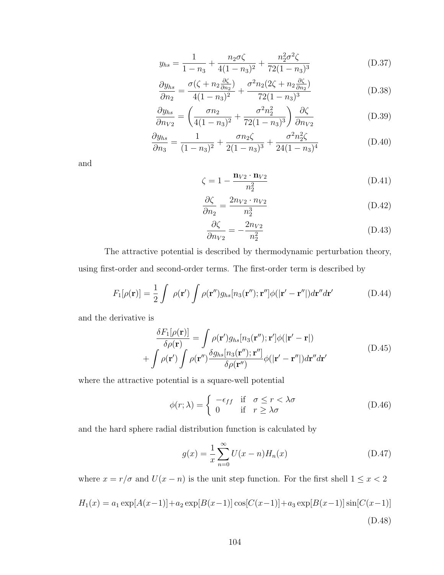$$
y_{hs} = \frac{1}{1 - n_3} + \frac{n_2 \sigma \zeta}{4(1 - n_3)^2} + \frac{n_2^2 \sigma^2 \zeta}{72(1 - n_3)^3}
$$
(D.37)

$$
\frac{\partial y_{hs}}{\partial n_2} = \frac{\sigma(\zeta + n_2 \frac{\partial \zeta}{\partial n_2})}{4(1 - n_3)^2} + \frac{\sigma^2 n_2 (2\zeta + n_2 \frac{\partial \zeta}{\partial n_2})}{72(1 - n_3)^3}
$$
(D.38)

$$
\frac{\partial y_{hs}}{\partial n_{V2}} = \left(\frac{\sigma n_2}{4(1-n_3)^2} + \frac{\sigma^2 n_2^2}{72(1-n_3)^3}\right) \frac{\partial \zeta}{\partial n_{V2}}\tag{D.39}
$$

$$
\frac{\partial y_{hs}}{\partial n_3} = \frac{1}{(1 - n_3)^2} + \frac{\sigma n_2 \zeta}{2(1 - n_3)^3} + \frac{\sigma^2 n_2^2 \zeta}{24(1 - n_3)^4}
$$
(D.40)

and

$$
\zeta = 1 - \frac{\mathbf{n}_{V2} \cdot \mathbf{n}_{V2}}{n_2^2} \tag{D.41}
$$

$$
\frac{\partial \zeta}{\partial n_2} = \frac{2n_{V2} \cdot n_{V2}}{n_2^3} \tag{D.42}
$$

$$
\frac{\partial \zeta}{\partial n_{V2}} = -\frac{2n_{V2}}{n_2^2} \tag{D.43}
$$

The attractive potential is described by thermodynamic perturbation theory, using first-order and second-order terms. The first-order term is described by

$$
F_1[\rho(\mathbf{r})] = \frac{1}{2} \int \rho(\mathbf{r}') \int \rho(\mathbf{r}'') g_{hs}[n_3(\mathbf{r}''); \mathbf{r}''] \phi(|\mathbf{r}' - \mathbf{r}''|) d\mathbf{r}'' d\mathbf{r}'
$$
 (D.44)

and the derivative is

$$
\frac{\delta F_1[\rho(\mathbf{r})]}{\delta \rho(\mathbf{r})} = \int \rho(\mathbf{r}') g_{hs}[n_3(\mathbf{r}''); \mathbf{r}'] \phi(|\mathbf{r}' - \mathbf{r}|)
$$
\n
$$
+ \int \rho(\mathbf{r}') \int \rho(\mathbf{r}'') \frac{\delta g_{hs}[n_3(\mathbf{r}''); \mathbf{r}'']}{\delta \rho(\mathbf{r}'')} \phi(|\mathbf{r}' - \mathbf{r}''|) d\mathbf{r}'' d\mathbf{r}'
$$
\n(D.45)

where the attractive potential is a square-well potential

$$
\phi(r;\lambda) = \begin{cases}\n-\epsilon_{ff} & \text{if } \sigma \le r < \lambda \sigma \\
0 & \text{if } r \ge \lambda \sigma\n\end{cases}
$$
\n(D.46)

and the hard sphere radial distribution function is calculated by

$$
g(x) = \frac{1}{x} \sum_{n=0}^{\infty} U(x - n) H_n(x)
$$
 (D.47)

where  $x = r/\sigma$  and  $U(x - n)$  is the unit step function. For the first shell  $1 \leq x < 2$ 

$$
H_1(x) = a_1 \exp[A(x-1)] + a_2 \exp[B(x-1)] \cos[C(x-1)] + a_3 \exp[B(x-1)] \sin[C(x-1)]
$$
\n(D.48)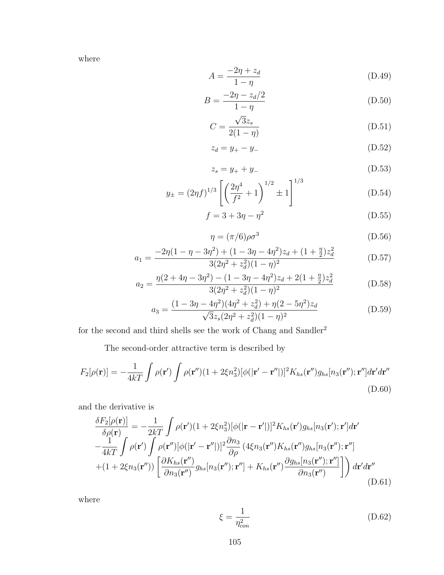where

$$
A = \frac{-2\eta + z_d}{1 - \eta} \tag{D.49}
$$

$$
B = \frac{-2\eta - z_d/2}{1 - \eta} \tag{D.50}
$$

$$
C = \frac{\sqrt{3}z_s}{2(1-\eta)}\tag{D.51}
$$

$$
z_d = y_+ - y_- \tag{D.52}
$$

$$
z_s = y_+ + y_- \tag{D.53}
$$

$$
y_{\pm} = (2\eta f)^{1/3} \left[ \left( \frac{2\eta^4}{f^2} + 1 \right)^{1/2} \pm 1 \right]^{1/3} \tag{D.54}
$$

$$
f = 3 + 3\eta - \eta^2
$$
 (D.55)

$$
\eta = (\pi/6)\rho\sigma^3 \tag{D.56}
$$

$$
a_1 = \frac{-2\eta(1 - \eta - 3\eta^2) + (1 - 3\eta - 4\eta^2)z_d + (1 + \frac{\eta}{2})z_d^2}{3(2\eta^2 + z_d^2)(1 - \eta)^2}
$$
(D.57)

$$
a_2 = \frac{\eta(2+4\eta-3\eta^2) - (1-3\eta-4\eta^2)z_d + 2(1+\frac{\eta}{2})z_d^2}{3(2\eta^2+z_d^2)(1-\eta)^2}
$$
(D.58)

$$
a_3 = \frac{(1 - 3\eta - 4\eta^2)(4\eta^2 + z_d^2) + \eta(2 - 5\eta^2)z_d}{\sqrt{3}z_s(2\eta^2 + z_d^2)(1 - \eta)^2}
$$
(D.59)

for the second and third shells see the work of Chang and Sandler<sup>2</sup>

The second-order attractive term is described by

$$
F_2[\rho(\mathbf{r})] = -\frac{1}{4kT} \int \rho(\mathbf{r}') \int \rho(\mathbf{r}'') (1 + 2\xi n_3^2) [\phi(|\mathbf{r}' - \mathbf{r}''|)]^2 K_{hs}(\mathbf{r}'') g_{hs}[n_3(\mathbf{r}''); \mathbf{r}''] d\mathbf{r}' d\mathbf{r}''
$$
\n(D.60)

and the derivative is

$$
\frac{\delta F_2[\rho(\mathbf{r})]}{\delta \rho(\mathbf{r})} = -\frac{1}{2kT} \int \rho(\mathbf{r}')(1+2\xi n_3^2) [\phi(|\mathbf{r}-\mathbf{r}'|)]^2 K_{hs}(\mathbf{r}')g_{hs}[n_3(\mathbf{r}');\mathbf{r}']d\mathbf{r}'
$$
  
\n
$$
-\frac{1}{4kT} \int \rho(\mathbf{r}') \int \rho(\mathbf{r}'') [\phi(|\mathbf{r}'-\mathbf{r}''|)]^2 \frac{\partial n_3}{\partial \rho} (4\xi n_3(\mathbf{r}'')K_{hs}(\mathbf{r}'')g_{hs}[n_3(\mathbf{r}'');\mathbf{r}'']
$$
  
\n
$$
+(1+2\xi n_3(\mathbf{r}'')) \left[ \frac{\partial K_{hs}(\mathbf{r}'')}{\partial n_3(\mathbf{r}'')}g_{hs}[n_3(\mathbf{r}'');\mathbf{r}''] + K_{hs}(\mathbf{r}'') \frac{\partial g_{hs}[n_3(\mathbf{r}'');\mathbf{r}'']}{\partial n_3(\mathbf{r}'')} \right] dx'd\mathbf{r}''
$$
\n(D.61)

$$
\xi = \frac{1}{\eta_{con}^2} \tag{D.62}
$$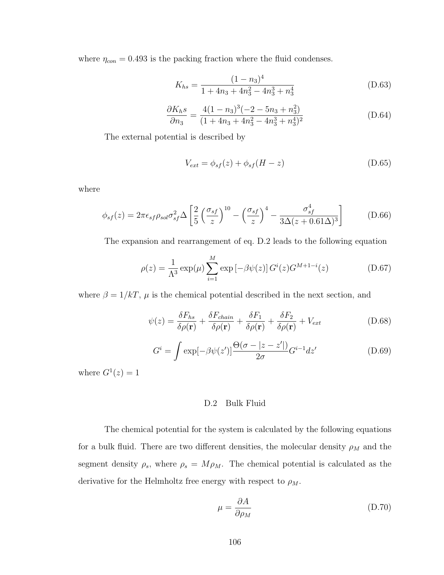where  $\eta_{con} = 0.493$  is the packing fraction where the fluid condenses.

$$
K_{hs} = \frac{(1 - n_3)^4}{1 + 4n_3 + 4n_3^2 - 4n_3^3 + n_3^4}
$$
 (D.63)

$$
\frac{\partial K_{h}s}{\partial n_{3}} = \frac{4(1 - n_{3})^{3}(-2 - 5n_{3} + n_{3}^{2})}{(1 + 4n_{3} + 4n_{3}^{2} - 4n_{3}^{3} + n_{3}^{4})^{2}}
$$
(D.64)

The external potential is described by

$$
V_{ext} = \phi_{sf}(z) + \phi_{sf}(H - z)
$$
\n(D.65)

where

$$
\phi_{sf}(z) = 2\pi\epsilon_{sf}\rho_{sol}\sigma_{sf}^2\Delta\left[\frac{2}{5}\left(\frac{\sigma_{sf}}{z}\right)^{10} - \left(\frac{\sigma_{sf}}{z}\right)^4 - \frac{\sigma_{sf}^4}{3\Delta(z+0.61\Delta)^3}\right]
$$
(D.66)

The expansion and rearrangement of eq. D.2 leads to the following equation

$$
\rho(z) = \frac{1}{\Lambda^3} \exp(\mu) \sum_{i=1}^{M} \exp[-\beta \psi(z)] G^{i}(z) G^{M+1-i}(z)
$$
\n(D.67)

where  $\beta = 1/kT$ ,  $\mu$  is the chemical potential described in the next section, and

$$
\psi(z) = \frac{\delta F_{hs}}{\delta \rho(\mathbf{r})} + \frac{\delta F_{chain}}{\delta \rho(\mathbf{r})} + \frac{\delta F_1}{\delta \rho(\mathbf{r})} + \frac{\delta F_2}{\delta \rho(\mathbf{r})} + V_{ext}
$$
(D.68)

$$
G^{i} = \int \exp[-\beta \psi(z')] \frac{\Theta(\sigma - |z - z'|)}{2\sigma} G^{i-1} dz'
$$
 (D.69)

where  $G^1(z) = 1$ 

## D.2 Bulk Fluid

The chemical potential for the system is calculated by the following equations for a bulk fluid. There are two different densities, the molecular density  $\rho_M$  and the segment density  $\rho_s$ , where  $\rho_s = M \rho_M$ . The chemical potential is calculated as the derivative for the Helmholtz free energy with respect to  $\rho_M$ .

$$
\mu = \frac{\partial A}{\partial \rho_M} \tag{D.70}
$$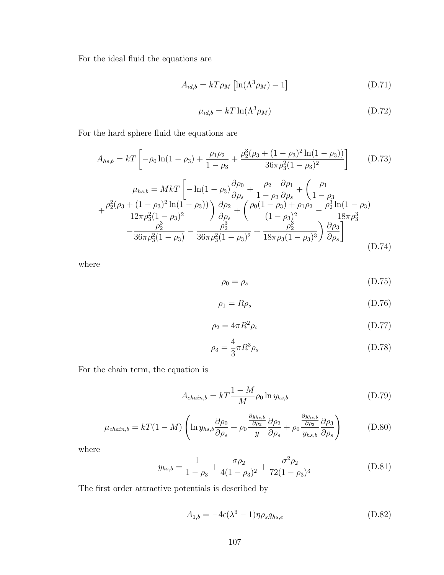For the ideal fluid the equations are

$$
A_{id,b} = kT\rho_M \left[ \ln(\Lambda^3 \rho_M) - 1 \right] \tag{D.71}
$$

$$
\mu_{id,b} = kT \ln(\Lambda^3 \rho_M) \tag{D.72}
$$

For the hard sphere fluid the equations are

$$
A_{hs,b} = kT \left[ -\rho_0 \ln(1 - \rho_3) + \frac{\rho_1 \rho_2}{1 - \rho_3} + \frac{\rho_2^3 (\rho_3 + (1 - \rho_3)^2 \ln(1 - \rho_3))}{36\pi \rho_3^2 (1 - \rho_3)^2} \right]
$$
(D.73)  
\n
$$
\mu_{hs,b} = MkT \left[ -\ln(1 - \rho_3) \frac{\partial \rho_0}{\partial \rho_s} + \frac{\rho_2}{1 - \rho_3} \frac{\partial \rho_1}{\partial \rho_s} + \left( \frac{\rho_1}{1 - \rho_3} + \frac{\rho_2^2 (\rho_3 + (1 - \rho_3)^2 \ln(1 - \rho_3))}{12\pi \rho_3^2 (1 - \rho_3)^2} \right) \frac{\partial \rho_2}{\partial \rho_s} + \left( \frac{\rho_0 (1 - \rho_3) + \rho_1 \rho_2}{(1 - \rho_3)^2} - \frac{\rho_2^3 \ln(1 - \rho_3)}{18\pi \rho_3^3} - \frac{\rho_2^3}{36\pi \rho_3^2 (1 - \rho_3)} - \frac{\rho_2^3}{36\pi \rho_3^2 (1 - \rho_3)^2} + \frac{\rho_2^3}{18\pi \rho_3 (1 - \rho_3)^3} \right) \frac{\partial \rho_3}{\partial \rho_s} \right]
$$
(D.74)

where

$$
\rho_0 = \rho_s \tag{D.75}
$$

$$
\rho_1 = R\rho_s \tag{D.76}
$$

$$
\rho_2 = 4\pi R^2 \rho_s \tag{D.77}
$$

$$
\rho_3 = \frac{4}{3}\pi R^3 \rho_s \tag{D.78}
$$

For the chain term, the equation is

$$
A_{chain,b} = kT \frac{1 - M}{M} \rho_0 \ln y_{hs,b}
$$
 (D.79)

$$
\mu_{chain,b} = kT(1-M)\left(\ln y_{hs,b}\frac{\partial \rho_0}{\partial \rho_s} + \rho_0 \frac{\frac{\partial y_{hs,b}}{\partial \rho_2}}{y} \frac{\partial \rho_2}{\partial \rho_s} + \rho_0 \frac{\frac{\partial y_{hs,b}}{\partial \rho_3}}{y_{hs,b}} \frac{\partial \rho_3}{\partial \rho_s}\right) \tag{D.80}
$$

where

$$
y_{hs,b} = \frac{1}{1 - \rho_3} + \frac{\sigma \rho_2}{4(1 - \rho_3)^2} + \frac{\sigma^2 \rho_2}{72(1 - \rho_3)^3}
$$
(D.81)

The first order attractive potentials is described by

$$
A_{1,b} = -4\epsilon(\lambda^3 - 1)\eta \rho_s g_{hs,e}
$$
 (D.82)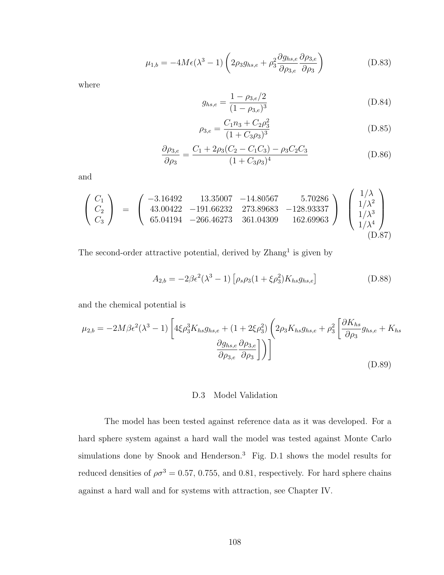$$
\mu_{1,b} = -4M\epsilon(\lambda^3 - 1)\left(2\rho_3 g_{hs,e} + \rho_3^2 \frac{\partial g_{hs,e}}{\partial \rho_{3,e}} \frac{\partial \rho_{3,e}}{\partial \rho_3}\right)
$$
(D.83)

where

$$
g_{hs,e} = \frac{1 - \rho_{3,e}/2}{(1 - \rho_{3,e})^3}
$$
 (D.84)

$$
\rho_{3,e} = \frac{C_1 n_3 + C_2 \rho_3^2}{(1 + C_3 \rho_3)^3} \tag{D.85}
$$

$$
\frac{\partial \rho_{3,e}}{\partial \rho_3} = \frac{C_1 + 2\rho_3(C_2 - C_1C_3) - \rho_3C_2C_3}{(1 + C_3\rho_3)^4}
$$
(D.86)

and

$$
\begin{pmatrix}\nC_1 \\
C_2 \\
C_3\n\end{pmatrix} = \begin{pmatrix}\n-3.16492 & 13.35007 & -14.80567 & 5.70286 \\
43.00422 & -191.66232 & 273.89683 & -128.93337 \\
65.04194 & -266.46273 & 361.04309 & 162.69963\n\end{pmatrix} \begin{pmatrix}\n1/\lambda \\
1/\lambda^2 \\
1/\lambda^3 \\
1/\lambda^4 \\
1/\lambda^4\n\end{pmatrix}
$$
\n(D.87)

The second-order attractive potential, derived by Zhang<sup>1</sup> is given by

$$
A_{2,b} = -2\beta\epsilon^2(\lambda^3 - 1)\left[\rho_s\rho_3(1 + \xi\rho_3^2)K_{hs}g_{hs,e}\right]
$$
(D.88)

and the chemical potential is

$$
\mu_{2,b} = -2M\beta\epsilon^2(\lambda^3 - 1)\left[4\xi\rho_3^3K_{hs}g_{hs,e} + (1 + 2\xi\rho_3^2)\left(2\rho_3K_{hs}g_{hs,e} + \rho_3^2\left[\frac{\partial K_{hs}}{\partial \rho_3}g_{hs,e} + K_{hs}\frac{\partial^2 K_{hs}}{\partial \rho_3}g_{hs,e}\right]\right)\right]
$$
\n
$$
\frac{\partial g_{hs,e}}{\partial \rho_{3,e}}\frac{\partial \rho_{3,e}}{\partial \rho_3}\right]\right)\right]
$$
\n(D.89)

### D.3 Model Validation

The model has been tested against reference data as it was developed. For a hard sphere system against a hard wall the model was tested against Monte Carlo simulations done by Snook and Henderson.<sup>3</sup> Fig. D.1 shows the model results for reduced densities of  $\rho \sigma^3 = 0.57, 0.755,$  and 0.81, respectively. For hard sphere chains against a hard wall and for systems with attraction, see Chapter IV.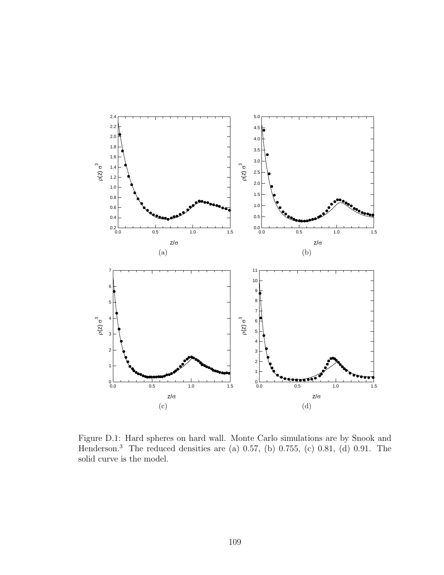

Figure D.1: Hard spheres on hard wall. Monte Carlo simulations are by Snook and Henderson.<sup>3</sup> The reduced densities are (a) 0.57, (b) 0.755, (c) 0.81, (d) 0.91. The solid curve is the model.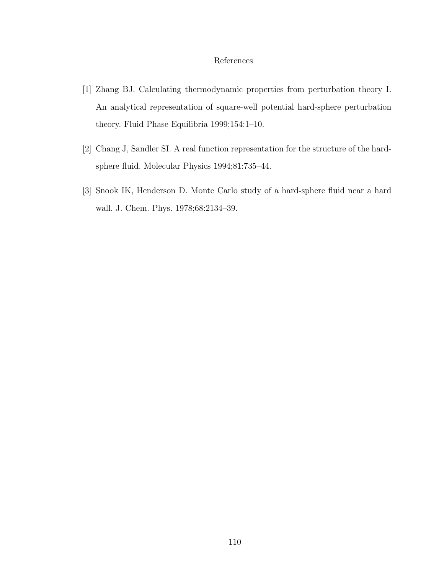## References

- [1] Zhang BJ. Calculating thermodynamic properties from perturbation theory I. An analytical representation of square-well potential hard-sphere perturbation theory. Fluid Phase Equilibria 1999;154:1–10.
- [2] Chang J, Sandler SI. A real function representation for the structure of the hardsphere fluid. Molecular Physics 1994;81:735–44.
- [3] Snook IK, Henderson D. Monte Carlo study of a hard-sphere fluid near a hard wall. J. Chem. Phys. 1978;68:2134–39.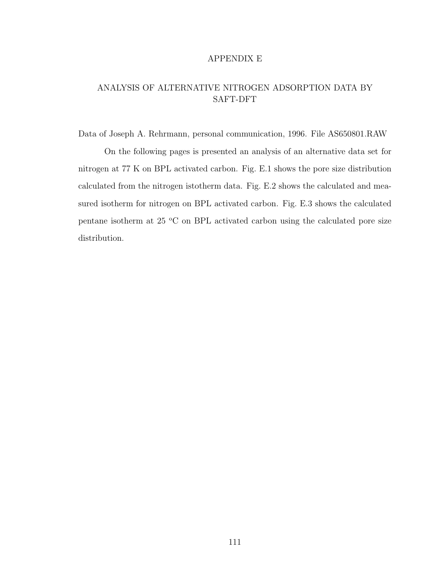### APPENDIX E

# ANALYSIS OF ALTERNATIVE NITROGEN ADSORPTION DATA BY SAFT-DFT

Data of Joseph A. Rehrmann, personal communication, 1996. File AS650801.RAW

On the following pages is presented an analysis of an alternative data set for nitrogen at 77 K on BPL activated carbon. Fig. E.1 shows the pore size distribution calculated from the nitrogen istotherm data. Fig. E.2 shows the calculated and measured isotherm for nitrogen on BPL activated carbon. Fig. E.3 shows the calculated pentane isotherm at  $25 \text{ °C}$  on BPL activated carbon using the calculated pore size distribution.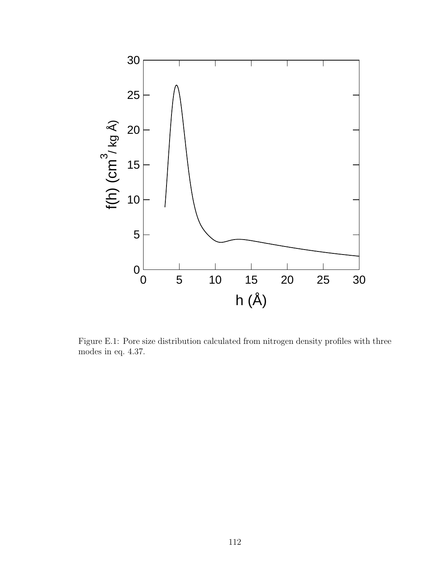

Figure E.1: Pore size distribution calculated from nitrogen density profiles with three modes in eq. 4.37.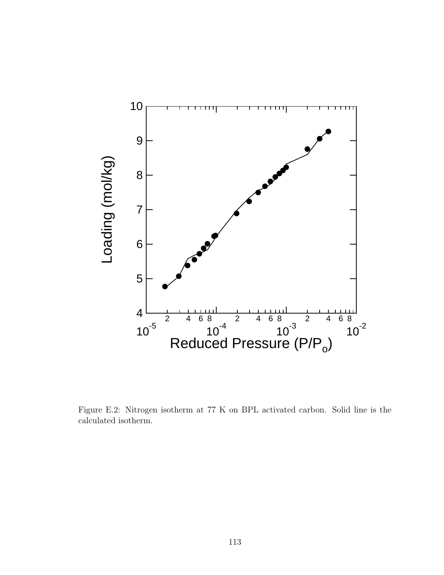

Figure E.2: Nitrogen isotherm at 77 K on BPL activated carbon. Solid line is the calculated isotherm.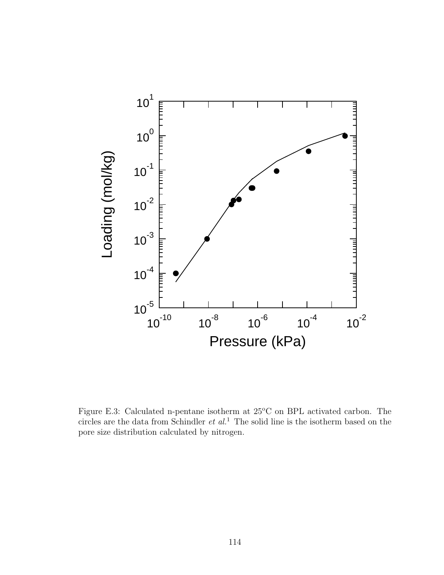

Figure E.3: Calculated n-pentane isotherm at  $25^{\circ}$ C on BPL activated carbon. The circles are the data from Schindler  $et$   $al$ <sup>1</sup>. The solid line is the isotherm based on the pore size distribution calculated by nitrogen.